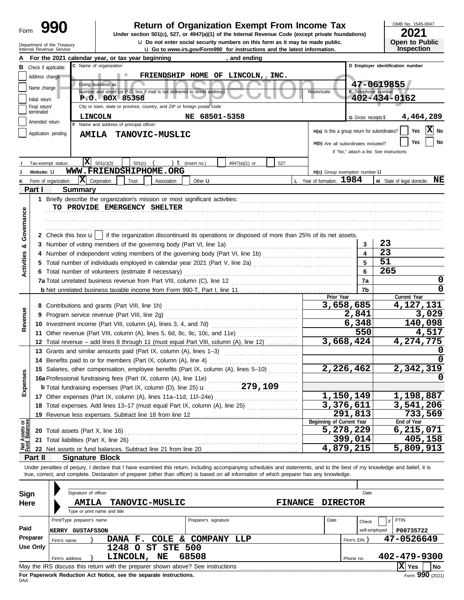| Form | ч<br>ъ |  |
|------|--------|--|
|      |        |  |

# **990** | Return of Organization Exempt From Income Tax

**u** Go to *www.irs.gov/Form990* for instructions and the latest information. **u** Do not enter social security numbers on this form as it may be made public. **Under section 501(c), 527, or 4947(a)(1) of the Internal Revenue Code (except private foundations)** OMB No. 1545-0047

| ZUZ I                 |
|-----------------------|
| <b>Open to Public</b> |
| <b>Inspection</b>     |

|                                |                             | Department of the Treasury<br>Internal Revenue Service |                                                                                                                                                                                                                                                                                                                          |                      | <b>u</b> Do not enter social security numbers on this form as it may be made public.<br><b>u</b> Go to www.irs.gov/Form990 for instructions and the latest information. |                |                                     |                         | <b>Open to Public</b><br><b>Inspection</b>                                  |
|--------------------------------|-----------------------------|--------------------------------------------------------|--------------------------------------------------------------------------------------------------------------------------------------------------------------------------------------------------------------------------------------------------------------------------------------------------------------------------|----------------------|-------------------------------------------------------------------------------------------------------------------------------------------------------------------------|----------------|-------------------------------------|-------------------------|-----------------------------------------------------------------------------|
|                                |                             |                                                        | For the 2021 calendar year, or tax year beginning                                                                                                                                                                                                                                                                        |                      | , and ending                                                                                                                                                            |                |                                     |                         |                                                                             |
| в                              | Check if applicable:        |                                                        | C Name of organization                                                                                                                                                                                                                                                                                                   |                      |                                                                                                                                                                         |                |                                     |                         | D Employer identification number                                            |
|                                | Address change              |                                                        |                                                                                                                                                                                                                                                                                                                          |                      | FRIENDSHIP HOME OF LINCOLN, INC.                                                                                                                                        |                |                                     |                         |                                                                             |
|                                |                             |                                                        | Doing business as                                                                                                                                                                                                                                                                                                        |                      |                                                                                                                                                                         |                |                                     |                         | 47-0619855                                                                  |
|                                | Name change                 |                                                        | Number and street (or P.O. box if mail is not delivered to street address)                                                                                                                                                                                                                                               |                      |                                                                                                                                                                         |                | Room/suite                          |                         | E Telephone number                                                          |
|                                | Initial return              |                                                        | $P. O. BOX - 85358$                                                                                                                                                                                                                                                                                                      |                      |                                                                                                                                                                         |                |                                     |                         | 402-434-0162                                                                |
|                                | Final return/<br>terminated |                                                        | City or town, state or province, country, and ZIP or foreign postal code                                                                                                                                                                                                                                                 |                      |                                                                                                                                                                         |                |                                     |                         |                                                                             |
|                                | Amended return              |                                                        | LINCOLN                                                                                                                                                                                                                                                                                                                  | NE 68501-5358        |                                                                                                                                                                         |                |                                     | G Gross receipts \$     | 4,464,289                                                                   |
|                                |                             |                                                        | F Name and address of principal officer:                                                                                                                                                                                                                                                                                 |                      |                                                                                                                                                                         |                |                                     |                         | $ \mathbf{X} $ No<br>Yes<br>$H(a)$ is this a group return for subordinates? |
|                                | Application pending         |                                                        | AMILA TANOVIC-MUSLIC                                                                                                                                                                                                                                                                                                     |                      |                                                                                                                                                                         |                |                                     |                         |                                                                             |
|                                |                             |                                                        |                                                                                                                                                                                                                                                                                                                          |                      |                                                                                                                                                                         |                | H(b) Are all subordinates included? |                         | No<br><b>Yes</b>                                                            |
|                                |                             |                                                        |                                                                                                                                                                                                                                                                                                                          |                      |                                                                                                                                                                         |                |                                     |                         | If "No," attach a list. See instructions                                    |
|                                | Tax-exempt status:          | IXI                                                    | 501(c)(3)<br>501(c)                                                                                                                                                                                                                                                                                                      | ) $t$ (insert no.)   | 4947(a)(1) or<br>527                                                                                                                                                    |                |                                     |                         |                                                                             |
|                                | Website: U                  |                                                        | WWW.FRIENDSHIPHOME.ORG                                                                                                                                                                                                                                                                                                   |                      |                                                                                                                                                                         |                | H(c) Group exemption number U       |                         |                                                                             |
|                                |                             | Form of organization:                                  | $ \mathbf{X} $ Corporation<br>Trust<br>Association                                                                                                                                                                                                                                                                       | Other <b>u</b>       |                                                                                                                                                                         |                | L Year of formation: 1984           |                         | <b>M</b> State of legal domicile: $NE$                                      |
|                                | Part I                      | <b>Summary</b>                                         |                                                                                                                                                                                                                                                                                                                          |                      |                                                                                                                                                                         |                |                                     |                         |                                                                             |
|                                |                             |                                                        |                                                                                                                                                                                                                                                                                                                          |                      |                                                                                                                                                                         |                |                                     |                         |                                                                             |
|                                |                             |                                                        | TO PROVIDE EMERGENCY SHELTER                                                                                                                                                                                                                                                                                             |                      |                                                                                                                                                                         |                |                                     |                         |                                                                             |
|                                |                             |                                                        |                                                                                                                                                                                                                                                                                                                          |                      |                                                                                                                                                                         |                |                                     |                         |                                                                             |
|                                |                             |                                                        |                                                                                                                                                                                                                                                                                                                          |                      |                                                                                                                                                                         |                |                                     |                         |                                                                             |
| Governance                     |                             |                                                        | 2 Check this box $\mathbf{u}$   if the organization discontinued its operations or disposed of more than 25% of its net assets.                                                                                                                                                                                          |                      |                                                                                                                                                                         |                |                                     |                         |                                                                             |
| ಯ                              |                             |                                                        | 3 Number of voting members of the governing body (Part VI, line 1a)                                                                                                                                                                                                                                                      |                      |                                                                                                                                                                         |                |                                     | 3                       | 23                                                                          |
|                                |                             |                                                        |                                                                                                                                                                                                                                                                                                                          |                      |                                                                                                                                                                         |                |                                     | $\overline{\mathbf{4}}$ | $\overline{23}$                                                             |
|                                |                             |                                                        |                                                                                                                                                                                                                                                                                                                          |                      |                                                                                                                                                                         |                |                                     | 5                       | 51                                                                          |
| Activities                     |                             |                                                        | 6 Total number of volunteers (estimate if necessary)                                                                                                                                                                                                                                                                     |                      |                                                                                                                                                                         |                |                                     | 6                       | 265                                                                         |
|                                |                             |                                                        |                                                                                                                                                                                                                                                                                                                          |                      |                                                                                                                                                                         |                |                                     | 7a                      | 0                                                                           |
|                                |                             |                                                        |                                                                                                                                                                                                                                                                                                                          |                      |                                                                                                                                                                         |                |                                     | 7b                      | $\Omega$                                                                    |
|                                |                             |                                                        |                                                                                                                                                                                                                                                                                                                          |                      |                                                                                                                                                                         |                | Prior Year                          |                         | Current Year                                                                |
|                                |                             |                                                        |                                                                                                                                                                                                                                                                                                                          |                      |                                                                                                                                                                         |                |                                     | 3,658,685               | 4,127,131                                                                   |
| Revenue                        |                             |                                                        |                                                                                                                                                                                                                                                                                                                          |                      |                                                                                                                                                                         |                |                                     | 2,841                   | 3,029                                                                       |
|                                |                             |                                                        |                                                                                                                                                                                                                                                                                                                          |                      |                                                                                                                                                                         |                |                                     | 6,348                   | 140,098                                                                     |
|                                |                             |                                                        | 11 Other revenue (Part VIII, column (A), lines 5, 6d, 8c, 9c, 10c, and 11e)                                                                                                                                                                                                                                              |                      |                                                                                                                                                                         |                |                                     | 550                     | 4,517                                                                       |
|                                |                             |                                                        | 12 Total revenue – add lines 8 through 11 (must equal Part VIII, column (A), line 12)                                                                                                                                                                                                                                    |                      |                                                                                                                                                                         |                |                                     | 3,668,424               | 4,274,775                                                                   |
|                                |                             |                                                        | 13 Grants and similar amounts paid (Part IX, column (A), lines 1-3)                                                                                                                                                                                                                                                      |                      |                                                                                                                                                                         |                |                                     |                         |                                                                             |
|                                |                             |                                                        | 14 Benefits paid to or for members (Part IX, column (A), line 4)                                                                                                                                                                                                                                                         |                      |                                                                                                                                                                         |                |                                     |                         |                                                                             |
| Ses                            |                             |                                                        | 15 Salaries, other compensation, employee benefits (Part IX, column (A), lines 5-10)                                                                                                                                                                                                                                     |                      |                                                                                                                                                                         |                |                                     | 2,226,462               | 2,342,319                                                                   |
|                                |                             |                                                        | 16a Professional fundraising fees (Part IX, column (A), line 11e)                                                                                                                                                                                                                                                        |                      |                                                                                                                                                                         |                |                                     |                         |                                                                             |
| Expen                          |                             |                                                        | <b>b</b> Total fundraising expenses (Part IX, column (D), line 25) <b>u</b> 279, 109                                                                                                                                                                                                                                     |                      |                                                                                                                                                                         |                |                                     |                         |                                                                             |
|                                |                             |                                                        |                                                                                                                                                                                                                                                                                                                          |                      |                                                                                                                                                                         |                |                                     | 1,150,149               | 1,198,887                                                                   |
|                                |                             |                                                        | 18 Total expenses. Add lines 13-17 (must equal Part IX, column (A), line 25)                                                                                                                                                                                                                                             |                      |                                                                                                                                                                         |                |                                     | 3,376,611               | 3,541,206                                                                   |
|                                |                             |                                                        |                                                                                                                                                                                                                                                                                                                          |                      |                                                                                                                                                                         |                |                                     | 291,813                 | 733,569                                                                     |
| Net Assets or<br>Fund Balances |                             |                                                        |                                                                                                                                                                                                                                                                                                                          |                      |                                                                                                                                                                         |                | Beginning of Current Year           | 5,278,229               | End of Year<br>6,215,071                                                    |
|                                |                             | <b>20</b> Total assets (Part X, line 16)               |                                                                                                                                                                                                                                                                                                                          |                      |                                                                                                                                                                         |                |                                     | 399,014                 | 405,158                                                                     |
|                                |                             | 21 Total liabilities (Part X, line 26)                 |                                                                                                                                                                                                                                                                                                                          |                      |                                                                                                                                                                         |                |                                     | 4,879,215               | $\overline{5,809,913}$                                                      |
|                                |                             |                                                        |                                                                                                                                                                                                                                                                                                                          |                      |                                                                                                                                                                         |                |                                     |                         |                                                                             |
|                                | Part II                     | <b>Signature Block</b>                                 |                                                                                                                                                                                                                                                                                                                          |                      |                                                                                                                                                                         |                |                                     |                         |                                                                             |
|                                |                             |                                                        | Under penalties of perjury, I declare that I have examined this return, including accompanying schedules and statements, and to the best of my knowledge and belief, it is<br>true, correct, and complete. Declaration of preparer (other than officer) is based on all information of which preparer has any knowledge. |                      |                                                                                                                                                                         |                |                                     |                         |                                                                             |
|                                |                             |                                                        |                                                                                                                                                                                                                                                                                                                          |                      |                                                                                                                                                                         |                |                                     |                         |                                                                             |
|                                |                             | Signature of officer                                   |                                                                                                                                                                                                                                                                                                                          |                      |                                                                                                                                                                         |                |                                     | Date                    |                                                                             |
| Sign                           |                             |                                                        |                                                                                                                                                                                                                                                                                                                          |                      |                                                                                                                                                                         |                | <b>DIRECTOR</b>                     |                         |                                                                             |
| Here                           |                             | <b>AMILA</b>                                           | <b>TANOVIC-MUSLIC</b><br>Type or print name and title                                                                                                                                                                                                                                                                    |                      |                                                                                                                                                                         | <b>FINANCE</b> |                                     |                         |                                                                             |
|                                |                             | Print/Type preparer's name                             |                                                                                                                                                                                                                                                                                                                          | Preparer's signature |                                                                                                                                                                         |                | Date                                |                         | PTIN                                                                        |
| Paid                           |                             |                                                        |                                                                                                                                                                                                                                                                                                                          |                      |                                                                                                                                                                         |                |                                     | Check                   | ۱i                                                                          |
|                                | Preparer                    | <b>KERRY GUSTAFSSON</b>                                |                                                                                                                                                                                                                                                                                                                          |                      |                                                                                                                                                                         |                |                                     |                         | self-employed<br>P00735722                                                  |
|                                | <b>Use Only</b>             | Firm's name                                            | DANA F. COLE & COMPANY LLP                                                                                                                                                                                                                                                                                               |                      |                                                                                                                                                                         |                |                                     | Firm's $EIN$ }          | 47-0526649                                                                  |
|                                |                             |                                                        | 1248 O ST STE 500                                                                                                                                                                                                                                                                                                        |                      |                                                                                                                                                                         |                |                                     |                         |                                                                             |
|                                |                             | Firm's address                                         | LINCOLN, NE                                                                                                                                                                                                                                                                                                              | 68508                |                                                                                                                                                                         |                |                                     | Phone no.               | 402-479-9300                                                                |
|                                |                             |                                                        | May the IRS discuss this return with the preparer shown above? See instructions                                                                                                                                                                                                                                          |                      |                                                                                                                                                                         |                |                                     |                         | $ \mathbf{X} $ Yes<br>No                                                    |

| Sign     |       | Signature of officer                         |  |                       |          |            |                                                                                 |  |                | Date            |              |               |              |      |
|----------|-------|----------------------------------------------|--|-----------------------|----------|------------|---------------------------------------------------------------------------------|--|----------------|-----------------|--------------|---------------|--------------|------|
| Here     |       | <b>AMILA</b><br>Type or print name and title |  | <b>TANOVIC-MUSLIC</b> |          |            |                                                                                 |  | <b>FINANCE</b> | <b>DIRECTOR</b> |              |               |              |      |
|          |       | Print/Type preparer's name                   |  |                       |          |            | Preparer's signature                                                            |  |                | Date            |              | Check         | PTIN         |      |
| Paid     | KERRY | <b>GUSTAFSSON</b>                            |  |                       |          |            |                                                                                 |  |                |                 |              | self-employed | P00735722    |      |
| Preparer |       | Firm's name                                  |  | DANA F.               |          |            | COLE & COMPANY LLP                                                              |  |                |                 | Firm's $EIN$ |               | 47-0526649   |      |
| Use Only |       |                                              |  | 1248                  | $\Omega$ | ST STE 500 |                                                                                 |  |                |                 |              |               |              |      |
|          |       | Firm's address                               |  | LINCOLN,              |          | NΕ         | 68508                                                                           |  |                |                 | Phone no.    |               | 402-479-9300 |      |
|          |       |                                              |  |                       |          |            | May the IRS discuss this return with the preparer shown above? See instructions |  |                |                 |              |               | Ιx<br>Yes    | l No |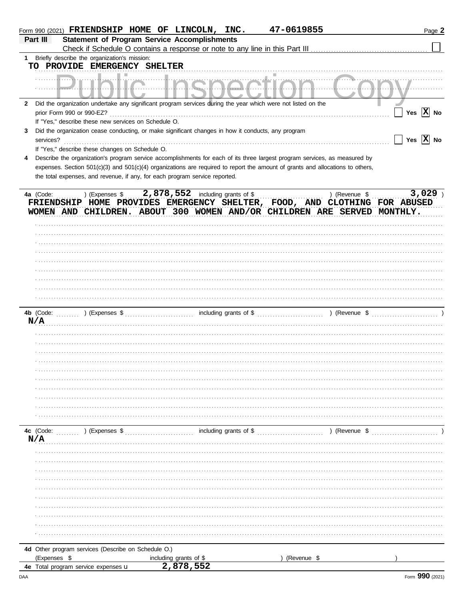|   | Form 990 (2021) FRIENDSHIP HOME OF LINCOLN, INC.                                                                               |                                          | 47-0619855                                                                   | Page 2                                                                                     |
|---|--------------------------------------------------------------------------------------------------------------------------------|------------------------------------------|------------------------------------------------------------------------------|--------------------------------------------------------------------------------------------|
|   | <b>Statement of Program Service Accomplishments</b><br>Part III                                                                |                                          |                                                                              |                                                                                            |
|   |                                                                                                                                |                                          | Check if Schedule O contains a response or note to any line in this Part III |                                                                                            |
|   | 1 Briefly describe the organization's mission:<br>TO PROVIDE EMERGENCY SHELTER                                                 |                                          |                                                                              |                                                                                            |
|   | .                                                                                                                              |                                          |                                                                              |                                                                                            |
|   | 2 Did the organization undertake any significant program services during the year which were not listed on the                 |                                          |                                                                              |                                                                                            |
|   | prior Form 990 or 990-EZ?                                                                                                      |                                          |                                                                              | Yes $ X $ No                                                                               |
|   | If "Yes," describe these new services on Schedule O.                                                                           |                                          |                                                                              |                                                                                            |
| 3 | Did the organization cease conducting, or make significant changes in how it conducts, any program<br>services?                |                                          |                                                                              | Yes $ \mathbf{X} $ No                                                                      |
|   | If "Yes," describe these changes on Schedule O.                                                                                |                                          |                                                                              |                                                                                            |
| 4 | Describe the organization's program service accomplishments for each of its three largest program services, as measured by     |                                          |                                                                              |                                                                                            |
|   | expenses. Section 501(c)(3) and 501(c)(4) organizations are required to report the amount of grants and allocations to others, |                                          |                                                                              |                                                                                            |
|   | the total expenses, and revenue, if any, for each program service reported.                                                    |                                          |                                                                              |                                                                                            |
|   |                                                                                                                                | 2,878,552 including grants of \$         |                                                                              | $3,029$ )                                                                                  |
|   | ) (Expenses \$<br>4a (Code:                                                                                                    |                                          |                                                                              | ) (Revenue \$<br>FRIENDSHIP HOME PROVIDES EMERGENCY SHELTER, FOOD, AND CLOTHING FOR ABUSED |
|   | WOMEN AND CHILDREN. ABOUT 300 WOMEN AND/OR CHILDREN ARE SERVED MONTHLY.                                                        |                                          |                                                                              |                                                                                            |
|   |                                                                                                                                |                                          |                                                                              |                                                                                            |
|   |                                                                                                                                |                                          |                                                                              |                                                                                            |
|   |                                                                                                                                |                                          |                                                                              |                                                                                            |
|   |                                                                                                                                |                                          |                                                                              |                                                                                            |
|   |                                                                                                                                |                                          |                                                                              |                                                                                            |
|   |                                                                                                                                |                                          |                                                                              |                                                                                            |
|   |                                                                                                                                |                                          |                                                                              |                                                                                            |
|   |                                                                                                                                |                                          |                                                                              |                                                                                            |
|   |                                                                                                                                |                                          |                                                                              |                                                                                            |
|   | 4b (Code:                                                                                                                      |                                          |                                                                              |                                                                                            |
|   | N/A                                                                                                                            |                                          |                                                                              |                                                                                            |
|   |                                                                                                                                |                                          |                                                                              |                                                                                            |
|   |                                                                                                                                |                                          |                                                                              |                                                                                            |
|   |                                                                                                                                |                                          |                                                                              |                                                                                            |
|   |                                                                                                                                |                                          |                                                                              |                                                                                            |
|   |                                                                                                                                |                                          |                                                                              |                                                                                            |
|   |                                                                                                                                |                                          |                                                                              |                                                                                            |
|   |                                                                                                                                |                                          |                                                                              |                                                                                            |
|   |                                                                                                                                |                                          |                                                                              |                                                                                            |
|   |                                                                                                                                |                                          |                                                                              |                                                                                            |
|   | 4c (Code:<br>) (Expenses \$                                                                                                    | $\ldots$ including grants of \$ $\ldots$ |                                                                              | ) (Revenue \$                                                                              |
|   | N/A                                                                                                                            |                                          |                                                                              |                                                                                            |
|   |                                                                                                                                |                                          |                                                                              |                                                                                            |
|   |                                                                                                                                |                                          |                                                                              |                                                                                            |
|   |                                                                                                                                |                                          |                                                                              |                                                                                            |
|   |                                                                                                                                |                                          |                                                                              |                                                                                            |
|   |                                                                                                                                |                                          |                                                                              |                                                                                            |
|   |                                                                                                                                |                                          |                                                                              |                                                                                            |
|   |                                                                                                                                |                                          |                                                                              |                                                                                            |
|   |                                                                                                                                |                                          |                                                                              |                                                                                            |
|   |                                                                                                                                |                                          |                                                                              |                                                                                            |
|   | 4d Other program services (Describe on Schedule O.)                                                                            |                                          |                                                                              |                                                                                            |
|   | (Expenses \$                                                                                                                   |                                          | (Revenue \$                                                                  |                                                                                            |
|   | 4e Total program service expenses u                                                                                            | including grants of \$<br>2,878,552      |                                                                              |                                                                                            |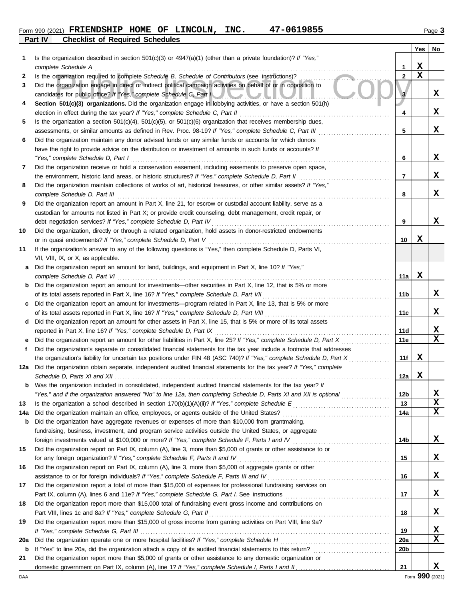## **Part IV Checklist of Required Schedules** Form 990 (2021) Page **3 FRIENDSHIP HOME OF LINCOLN, INC. 47-0619855**

|     |                                                                                                                                                                                                                                 |                 | Yes         | No.         |
|-----|---------------------------------------------------------------------------------------------------------------------------------------------------------------------------------------------------------------------------------|-----------------|-------------|-------------|
| 1   | Is the organization described in section $501(c)(3)$ or $4947(a)(1)$ (other than a private foundation)? If "Yes,"                                                                                                               |                 |             |             |
|     | complete Schedule A                                                                                                                                                                                                             | 1               | X           |             |
| 2   | Is the organization required to complete Schedule B, Schedule of Contributors (see instructions)?                                                                                                                               | $\overline{2}$  | $\mathbf x$ |             |
| 3   | Did the organization engage in direct or indirect political campaign activities on behalf of or in opposition to<br>candidates for public office? If "Yes," complete Schedule C, Part I                                         | 3               |             | x           |
| 4   | Section 501(c)(3) organizations. Did the organization engage in lobbying activities, or have a section 501(h)                                                                                                                   |                 |             |             |
|     | election in effect during the tax year? If "Yes," complete Schedule C, Part II                                                                                                                                                  | 4               |             | x           |
| 5   | Is the organization a section $501(c)(4)$ , $501(c)(5)$ , or $501(c)(6)$ organization that receives membership dues,                                                                                                            |                 |             |             |
|     | assessments, or similar amounts as defined in Rev. Proc. 98-19? If "Yes," complete Schedule C, Part III                                                                                                                         | 5               |             | x           |
| 6   | Did the organization maintain any donor advised funds or any similar funds or accounts for which donors                                                                                                                         |                 |             |             |
|     | have the right to provide advice on the distribution or investment of amounts in such funds or accounts? If                                                                                                                     |                 |             |             |
|     | "Yes," complete Schedule D, Part I                                                                                                                                                                                              | 6               |             | X           |
| 7   | Did the organization receive or hold a conservation easement, including easements to preserve open space,                                                                                                                       |                 |             |             |
|     | the environment, historic land areas, or historic structures? If "Yes," complete Schedule D, Part II                                                                                                                            | 7               |             | X           |
| 8   | Did the organization maintain collections of works of art, historical treasures, or other similar assets? If "Yes,"                                                                                                             |                 |             |             |
|     | complete Schedule D, Part III                                                                                                                                                                                                   | 8               |             | x           |
| 9   | Did the organization report an amount in Part X, line 21, for escrow or custodial account liability, serve as a<br>custodian for amounts not listed in Part X; or provide credit counseling, debt management, credit repair, or |                 |             |             |
|     | debt negotiation services? If "Yes," complete Schedule D, Part IV                                                                                                                                                               | 9               |             | x           |
| 10  | Did the organization, directly or through a related organization, hold assets in donor-restricted endowments                                                                                                                    |                 |             |             |
|     | or in quasi endowments? If "Yes," complete Schedule D, Part V                                                                                                                                                                   | 10              | х           |             |
| 11  | If the organization's answer to any of the following questions is "Yes," then complete Schedule D, Parts VI,                                                                                                                    |                 |             |             |
|     | VII, VIII, IX, or X, as applicable.                                                                                                                                                                                             |                 |             |             |
| а   | Did the organization report an amount for land, buildings, and equipment in Part X, line 10? If "Yes,"                                                                                                                          |                 |             |             |
|     | complete Schedule D, Part VI                                                                                                                                                                                                    | 11a             | X           |             |
| b   | Did the organization report an amount for investments—other securities in Part X, line 12, that is 5% or more                                                                                                                   |                 |             |             |
|     | of its total assets reported in Part X, line 16? If "Yes," complete Schedule D, Part VII                                                                                                                                        | 11b             |             | X           |
| с   | Did the organization report an amount for investments—program related in Part X, line 13, that is 5% or more                                                                                                                    |                 |             |             |
|     | of its total assets reported in Part X, line 16? If "Yes," complete Schedule D, Part VIII                                                                                                                                       | 11c             |             | x           |
| d   | Did the organization report an amount for other assets in Part X, line 15, that is 5% or more of its total assets                                                                                                               |                 |             |             |
|     | reported in Part X, line 16? If "Yes," complete Schedule D, Part IX                                                                                                                                                             | 11d             |             | X           |
|     | Did the organization report an amount for other liabilities in Part X, line 25? If "Yes," complete Schedule D, Part X                                                                                                           | 11e             |             | $\mathbf x$ |
| f   | Did the organization's separate or consolidated financial statements for the tax year include a footnote that addresses                                                                                                         |                 |             |             |
|     | the organization's liability for uncertain tax positions under FIN 48 (ASC 740)? If "Yes," complete Schedule D, Part X                                                                                                          | 11f             | X           |             |
| 12a | Did the organization obtain separate, independent audited financial statements for the tax year? If "Yes," complete                                                                                                             | 12a             | X           |             |
|     | Schedule D, Parts XI and XII<br>Was the organization included in consolidated, independent audited financial statements for the tax year? If                                                                                    |                 |             |             |
|     | "Yes," and if the organization answered "No" to line 12a, then completing Schedule D, Parts XI and XII is optional                                                                                                              | 12 <sub>b</sub> |             | X           |
| 13  |                                                                                                                                                                                                                                 | 13              |             | X           |
| 14a |                                                                                                                                                                                                                                 | 14a             |             | X           |
| b   | Did the organization have aggregate revenues or expenses of more than \$10,000 from grantmaking,                                                                                                                                |                 |             |             |
|     | fundraising, business, investment, and program service activities outside the United States, or aggregate                                                                                                                       |                 |             |             |
|     | foreign investments valued at \$100,000 or more? If "Yes," complete Schedule F, Parts I and IV [[[[[[[[[[[[[[[                                                                                                                  | 14b             |             | X           |
| 15  | Did the organization report on Part IX, column (A), line 3, more than \$5,000 of grants or other assistance to or                                                                                                               |                 |             |             |
|     | for any foreign organization? If "Yes," complete Schedule F, Parts II and IV [[[[[[[[[[[[[[[[[[[[[[[[[[[[[[[[                                                                                                                   | 15              |             | X           |
| 16  | Did the organization report on Part IX, column (A), line 3, more than \$5,000 of aggregate grants or other                                                                                                                      |                 |             |             |
|     | assistance to or for foreign individuals? If "Yes," complete Schedule F, Parts III and IV [[[[[[[[[[[[[[[[[[[                                                                                                                   | 16              |             | X           |
| 17  | Did the organization report a total of more than \$15,000 of expenses for professional fundraising services on                                                                                                                  |                 |             |             |
|     |                                                                                                                                                                                                                                 | 17              |             | X           |
| 18  | Did the organization report more than \$15,000 total of fundraising event gross income and contributions on                                                                                                                     |                 |             |             |
|     |                                                                                                                                                                                                                                 | 18              |             | X           |
| 19  | Did the organization report more than \$15,000 of gross income from gaming activities on Part VIII, line 9a?                                                                                                                    | 19              |             | X           |
| 20a |                                                                                                                                                                                                                                 | <b>20a</b>      |             | X           |
| b   |                                                                                                                                                                                                                                 | 20 <sub>b</sub> |             |             |
| 21  | Did the organization report more than \$5,000 of grants or other assistance to any domestic organization or                                                                                                                     |                 |             |             |
|     |                                                                                                                                                                                                                                 | 21              |             | x           |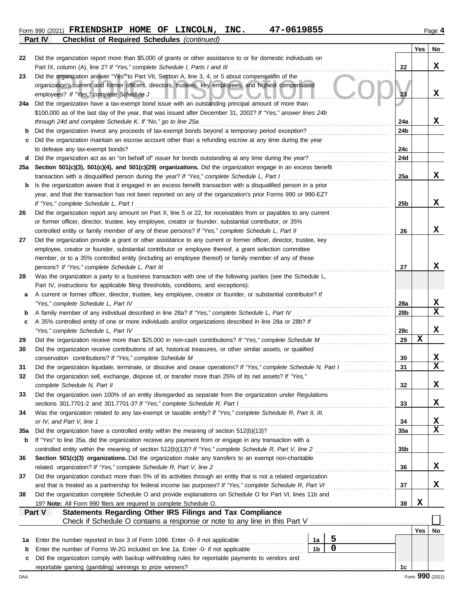## Form 990 (2021) Page **4 FRIENDSHIP HOME OF LINCOLN, INC. 47-0619855 Part IV Checklist of Required Schedules** *(continued)*

|     |                                                                                                                                                                                                               |                      |                |                 | Yes | No          |
|-----|---------------------------------------------------------------------------------------------------------------------------------------------------------------------------------------------------------------|----------------------|----------------|-----------------|-----|-------------|
| 22  | Did the organization report more than \$5,000 of grants or other assistance to or for domestic individuals on                                                                                                 |                      |                |                 |     |             |
|     | Part IX, column (A), line 2? If "Yes," complete Schedule I, Parts I and III                                                                                                                                   |                      |                | 22              |     | x           |
| 23  | Did the organization answer "Yes" to Part VII, Section A, line 3, 4, or 5 about compensation of the                                                                                                           |                      |                |                 |     |             |
|     | organization's current and former officers, directors, trustees, key employees, and highest compensated                                                                                                       |                      |                |                 |     |             |
|     | employees? If "Yes," complete Schedule J<br><u>I.I.O.V.O.</u>                                                                                                                                                 |                      |                | 23              |     | X           |
| 24a | Did the organization have a tax-exempt bond issue with an outstanding principal amount of more than                                                                                                           |                      |                |                 |     |             |
|     | \$100,000 as of the last day of the year, that was issued after December 31, 2002? If "Yes," answer lines 24b                                                                                                 |                      |                |                 |     |             |
|     | through 24d and complete Schedule K. If "No," go to line 25a                                                                                                                                                  |                      |                | 24a             |     | x           |
| b   | Did the organization invest any proceeds of tax-exempt bonds beyond a temporary period exception?                                                                                                             |                      |                | 24b             |     |             |
|     | Did the organization maintain an escrow account other than a refunding escrow at any time during the year                                                                                                     |                      |                |                 |     |             |
|     | to defease any tax-exempt bonds?                                                                                                                                                                              |                      |                | 24c             |     |             |
| d   | Did the organization act as an "on behalf of" issuer for bonds outstanding at any time during the year?                                                                                                       |                      |                | 24d             |     |             |
| 25a | Section 501(c)(3), 501(c)(4), and 501(c)(29) organizations. Did the organization engage in an excess benefit                                                                                                  |                      |                |                 |     |             |
|     | transaction with a disqualified person during the year? If "Yes," complete Schedule L, Part I                                                                                                                 |                      |                | 25a             |     | x           |
| b   | Is the organization aware that it engaged in an excess benefit transaction with a disqualified person in a prior                                                                                              |                      |                |                 |     |             |
|     | year, and that the transaction has not been reported on any of the organization's prior Forms 990 or 990-EZ?                                                                                                  |                      |                |                 |     | X           |
|     | If "Yes," complete Schedule L, Part I<br>Did the organization report any amount on Part X, line 5 or 22, for receivables from or payables to any current                                                      |                      |                | 25 <sub>b</sub> |     |             |
| 26  |                                                                                                                                                                                                               |                      |                |                 |     |             |
|     | or former officer, director, trustee, key employee, creator or founder, substantial contributor, or 35%<br>controlled entity or family member of any of these persons? If "Yes," complete Schedule L, Part II |                      |                | 26              |     | X           |
| 27  | Did the organization provide a grant or other assistance to any current or former officer, director, trustee, key                                                                                             |                      |                |                 |     |             |
|     | employee, creator or founder, substantial contributor or employee thereof, a grant selection committee                                                                                                        |                      |                |                 |     |             |
|     | member, or to a 35% controlled entity (including an employee thereof) or family member of any of these                                                                                                        |                      |                |                 |     |             |
|     | persons? If "Yes," complete Schedule L, Part III                                                                                                                                                              |                      |                | 27              |     | х           |
| 28  | Was the organization a party to a business transaction with one of the following parties (see the Schedule L,                                                                                                 |                      |                |                 |     |             |
|     | Part IV, instructions for applicable filing thresholds, conditions, and exceptions):                                                                                                                          |                      |                |                 |     |             |
| а   | A current or former officer, director, trustee, key employee, creator or founder, or substantial contributor? If                                                                                              |                      |                |                 |     |             |
|     | "Yes," complete Schedule L, Part IV                                                                                                                                                                           |                      |                | 28a             |     | X           |
| b   | A family member of any individual described in line 28a? If "Yes," complete Schedule L, Part IV                                                                                                               |                      |                | 28 <sub>b</sub> |     | X           |
| c   | A 35% controlled entity of one or more individuals and/or organizations described in line 28a or 28b? If                                                                                                      |                      |                |                 |     |             |
|     | "Yes," complete Schedule L, Part IV                                                                                                                                                                           |                      |                | 28c             |     | X           |
| 29  | Did the organization receive more than \$25,000 in non-cash contributions? If "Yes," complete Schedule M                                                                                                      |                      |                | 29              | X   |             |
| 30  | Did the organization receive contributions of art, historical treasures, or other similar assets, or qualified                                                                                                |                      |                |                 |     |             |
|     | conservation contributions? If "Yes," complete Schedule M                                                                                                                                                     |                      |                | 30              |     | X           |
| 31  | Did the organization liquidate, terminate, or dissolve and cease operations? If "Yes," complete Schedule N, Part I                                                                                            |                      |                | 31              |     | $\mathbf x$ |
| 32  | Did the organization sell, exchange, dispose of, or transfer more than 25% of its net assets? If "Yes,"                                                                                                       |                      |                |                 |     |             |
|     | complete Schedule N, Part II                                                                                                                                                                                  |                      |                | 32              |     | х           |
| 33  | Did the organization own 100% of an entity disregarded as separate from the organization under Regulations                                                                                                    |                      |                |                 |     |             |
|     | sections 301.7701-2 and 301.7701-3? If "Yes," complete Schedule R, Part I                                                                                                                                     |                      |                | 33              |     | X           |
| 34  | Was the organization related to any tax-exempt or taxable entity? If "Yes," complete Schedule R, Part II, III,                                                                                                |                      |                |                 |     |             |
|     | or IV, and Part V, line 1                                                                                                                                                                                     |                      |                | 34              |     | X           |
| 35a | Did the organization have a controlled entity within the meaning of section 512(b)(13)?                                                                                                                       |                      |                | 35a             |     | $\mathbf x$ |
| b   | If "Yes" to line 35a, did the organization receive any payment from or engage in any transaction with a                                                                                                       |                      |                |                 |     |             |
|     | controlled entity within the meaning of section 512(b)(13)? If "Yes," complete Schedule R, Part V, line 2                                                                                                     |                      |                | 35 <sub>b</sub> |     |             |
| 36  | Section 501(c)(3) organizations. Did the organization make any transfers to an exempt non-charitable                                                                                                          |                      |                |                 |     |             |
|     | related organization? If "Yes," complete Schedule R, Part V, line 2                                                                                                                                           |                      |                | 36              |     | X           |
| 37  | Did the organization conduct more than 5% of its activities through an entity that is not a related organization                                                                                              |                      |                |                 |     |             |
|     | and that is treated as a partnership for federal income tax purposes? If "Yes," complete Schedule R, Part VI                                                                                                  |                      |                | 37              |     | X           |
| 38  | Did the organization complete Schedule O and provide explanations on Schedule O for Part VI, lines 11b and                                                                                                    |                      |                |                 |     |             |
|     | 19? Note: All Form 990 filers are required to complete Schedule O.                                                                                                                                            |                      |                | 38              | X   |             |
|     | Statements Regarding Other IRS Filings and Tax Compliance<br>Part V                                                                                                                                           |                      |                |                 |     |             |
|     | Check if Schedule O contains a response or note to any line in this Part V                                                                                                                                    |                      |                |                 |     |             |
|     |                                                                                                                                                                                                               |                      | 5              |                 | Yes | No          |
| 1a  | Enter the number reported in box 3 of Form 1096. Enter -0- if not applicable                                                                                                                                  | 1a<br>1 <sub>b</sub> | $\overline{0}$ |                 |     |             |
| b   | Enter the number of Forms W-2G included on line 1a. Enter -0- if not applicable<br>Did the organization comply with backup withholding rules for reportable payments to vendors and                           |                      |                |                 |     |             |
| c   |                                                                                                                                                                                                               |                      |                | 1c              |     |             |
|     |                                                                                                                                                                                                               |                      |                |                 |     |             |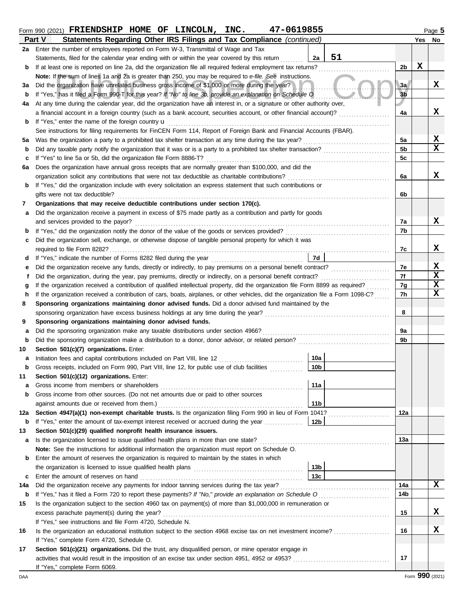## Form 990 (2021) Page **5 FRIENDSHIP HOME OF LINCOLN, INC. 47-0619855**

|     | Part V<br>Statements Regarding Other IRS Filings and Tax Compliance (continued)                                                         |                        | Yes | No          |  |  |
|-----|-----------------------------------------------------------------------------------------------------------------------------------------|------------------------|-----|-------------|--|--|
| 2a  | Enter the number of employees reported on Form W-3, Transmittal of Wage and Tax                                                         |                        |     |             |  |  |
|     | 51<br>Statements, filed for the calendar year ending with or within the year covered by this return<br>2a                               |                        |     |             |  |  |
| b   | If at least one is reported on line 2a, did the organization file all required federal employment tax returns?                          | 2 <sub>b</sub>         | X   |             |  |  |
|     | Note: If the sum of lines 1a and 2a is greater than 250, you may be required to e-file. See instructions.                               |                        |     |             |  |  |
| За  | Did the organization have unrelated business gross income of \$1,000 or more during the year?                                           | 3a                     |     | X           |  |  |
| b   | If "Yes," has it filed a Form 990-T for this year? If "No" to line 3b, provide an explanation on Schedule O                             | 3 <sub>b</sub>         |     |             |  |  |
| 4a  | At any time during the calendar year, did the organization have an interest in, or a signature or other authority over,                 |                        |     |             |  |  |
|     | a financial account in a foreign country (such as a bank account, securities account, or other financial account)?                      | 4a                     |     | x           |  |  |
| b   | If "Yes," enter the name of the foreign country <b>u</b>                                                                                |                        |     |             |  |  |
|     | See instructions for filing requirements for FinCEN Form 114, Report of Foreign Bank and Financial Accounts (FBAR).                     |                        |     |             |  |  |
| 5a  |                                                                                                                                         | 5a                     |     | х           |  |  |
| b   |                                                                                                                                         | 5 <sub>b</sub>         |     | X           |  |  |
| c   |                                                                                                                                         | 5 <sub>c</sub>         |     |             |  |  |
| 6а  | Does the organization have annual gross receipts that are normally greater than \$100,000, and did the                                  |                        |     |             |  |  |
|     |                                                                                                                                         | 6a                     |     | X           |  |  |
| b   | If "Yes," did the organization include with every solicitation an express statement that such contributions or                          |                        |     |             |  |  |
|     | gifts were not tax deductible?                                                                                                          | 6b                     |     |             |  |  |
| 7   | Organizations that may receive deductible contributions under section 170(c).                                                           |                        |     |             |  |  |
| а   | Did the organization receive a payment in excess of \$75 made partly as a contribution and partly for goods                             |                        |     |             |  |  |
|     | and services provided to the payor?                                                                                                     | 7a                     |     | x           |  |  |
| b   |                                                                                                                                         | 7b                     |     |             |  |  |
| c   | Did the organization sell, exchange, or otherwise dispose of tangible personal property for which it was                                |                        |     |             |  |  |
|     | 7d                                                                                                                                      | 7c                     |     | X           |  |  |
| d   | Did the organization receive any funds, directly or indirectly, to pay premiums on a personal benefit contract?                         | 7e                     |     | х           |  |  |
| е   |                                                                                                                                         | 7f                     |     | $\mathbf x$ |  |  |
| g   | If the organization received a contribution of qualified intellectual property, did the organization file Form 8899 as required?        | 7g                     |     | X           |  |  |
|     | If the organization received a contribution of cars, boats, airplanes, or other vehicles, did the organization file a Form 1098-C?<br>h |                        |     |             |  |  |
| 8   | Sponsoring organizations maintaining donor advised funds. Did a donor advised fund maintained by the                                    |                        |     |             |  |  |
|     |                                                                                                                                         | 8                      |     |             |  |  |
| 9   | Sponsoring organizations maintaining donor advised funds.                                                                               |                        |     |             |  |  |
| а   | Did the sponsoring organization make any taxable distributions under section 4966?                                                      | 9a                     |     |             |  |  |
| b   |                                                                                                                                         | 9b                     |     |             |  |  |
| 10  | Section 501(c)(7) organizations. Enter:                                                                                                 |                        |     |             |  |  |
| а   | 10a<br>Initiation fees and capital contributions included on Part VIII, line 12 [11] [11] [12] [11] [12] [11] [12] [1                   |                        |     |             |  |  |
| b   | 10 <sub>b</sub><br>Gross receipts, included on Form 990, Part VIII, line 12, for public use of club facilities                          |                        |     |             |  |  |
| 11  | Section 501(c)(12) organizations. Enter:                                                                                                |                        |     |             |  |  |
| а   | 11a<br>Gross income from members or shareholders                                                                                        |                        |     |             |  |  |
| b   | Gross income from other sources. (Do not net amounts due or paid to other sources                                                       |                        |     |             |  |  |
|     | 11 <sub>b</sub><br>against amounts due or received from them.)                                                                          |                        |     |             |  |  |
| 12a | Section 4947(a)(1) non-exempt charitable trusts. Is the organization filing Form 990 in lieu of Form 1041?                              | 12a                    |     |             |  |  |
| b   | If "Yes," enter the amount of tax-exempt interest received or accrued during the year<br>12b                                            |                        |     |             |  |  |
| 13  | Section 501(c)(29) qualified nonprofit health insurance issuers.                                                                        |                        |     |             |  |  |
| а   | Is the organization licensed to issue qualified health plans in more than one state?                                                    | 13а                    |     |             |  |  |
|     | Note: See the instructions for additional information the organization must report on Schedule O.                                       |                        |     |             |  |  |
| b   | Enter the amount of reserves the organization is required to maintain by the states in which                                            |                        |     |             |  |  |
|     | 13 <sub>b</sub>                                                                                                                         |                        |     |             |  |  |
| с   | 13c<br>Enter the amount of reserves on hand                                                                                             |                        |     | x           |  |  |
| 14a |                                                                                                                                         | 14a<br>14 <sub>b</sub> |     |             |  |  |
| b   |                                                                                                                                         |                        |     |             |  |  |
| 15  | Is the organization subject to the section 4960 tax on payment(s) of more than \$1,000,000 in remuneration or                           | 15                     |     | x           |  |  |
|     | excess parachute payment(s) during the year?<br>If "Yes," see instructions and file Form 4720, Schedule N.                              |                        |     |             |  |  |
| 16  | Is the organization an educational institution subject to the section 4968 excise tax on net investment income?                         | 16                     |     | X           |  |  |
|     | If "Yes," complete Form 4720, Schedule O.                                                                                               |                        |     |             |  |  |
| 17  | Section 501(c)(21) organizations. Did the trust, any disqualified person, or mine operator engage in                                    |                        |     |             |  |  |
|     |                                                                                                                                         | 17                     |     |             |  |  |
|     | If "Yes," complete Form 6069.                                                                                                           |                        |     |             |  |  |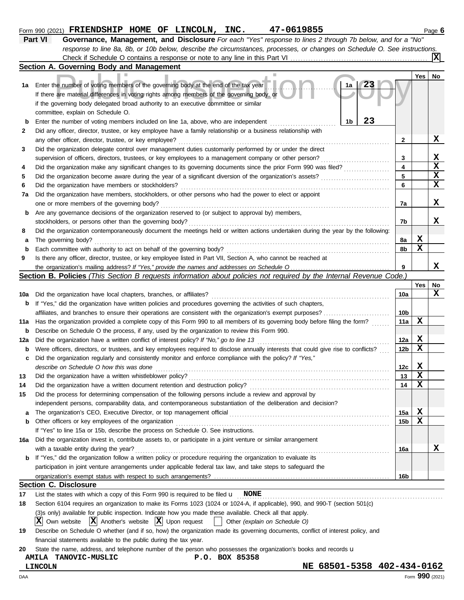#### The number of voting members of the governing body at the end of the tax year<br>are material differences in voting rights among members of the governing body, or<br>overning body delegated broad authority to an executive commit **1b 1a Yes No** Form 990 (2021) Page **6 FRIENDSHIP HOME OF LINCOLN, INC. 47-0619855 Part VI Governance, Management, and Disclosure** *For each "Yes" response to lines 2 through 7b below, and for a "No" response to line 8a, 8b, or 10b below, describe the circumstances, processes, or changes on Schedule O. See instructions.* **Section A. Governing Body and Management 1a** Enter the number of voting members of the governing body at the end of the tax year **b** Enter the number of voting members included on line 1a, above, who are independent **2** . . . . . . . . . . . . . . . . . . . . . . . . . . . . . . . . . . . . . . . . . . . . . . . . . . . . . . Did any officer, director, trustee, or key employee have a family relationship or a business relationship with Check if Schedule O contains a response or note to any line in this Part VI If there are material differences in voting rights among members of the governing body, or if the governing body delegated broad authority to an executive committee or similar committee, explain on Schedule O. **X 23 23**

|    | any other officer, director, trustee, or key employee?                                                                            |    |   | х |
|----|-----------------------------------------------------------------------------------------------------------------------------------|----|---|---|
| 3  | Did the organization delegate control over management duties customarily performed by or under the direct                         |    |   |   |
|    | supervision of officers, directors, trustees, or key employees to a management company or other person?                           |    |   | х |
| 4  | Did the organization make any significant changes to its governing documents since the prior Form 990 was filed?                  | 4  |   | х |
| 5  | Did the organization become aware during the year of a significant diversion of the organization's assets?                        | 5  |   |   |
| 6  | Did the organization have members or stockholders?                                                                                | 6  |   |   |
| 7a | Did the organization have members, stockholders, or other persons who had the power to elect or appoint                           |    |   |   |
|    | one or more members of the governing body?                                                                                        | 7a |   | x |
| b  | Are any governance decisions of the organization reserved to (or subject to approval by) members,                                 |    |   |   |
|    | stockholders, or persons other than the governing body?                                                                           | 7b |   | х |
| 8  | Did the organization contemporaneously document the meetings held or written actions undertaken during the year by the following: |    |   |   |
| a  | The governing body?                                                                                                               | 8а | х |   |
| b  | Each committee with authority to act on behalf of the governing body?                                                             | 8b | х |   |
| 9  | Is there any officer, director, trustee, or key employee listed in Part VII, Section A, who cannot be reached at                  |    |   |   |

the organization's mailing address? If "Yes," provide the names and addresses on Schedule O

|  |  |  |  | Section B. Policies (This Section B requests information about policies not required by the Internal Revenue Code.) |  |  |  |  |
|--|--|--|--|---------------------------------------------------------------------------------------------------------------------|--|--|--|--|
|--|--|--|--|---------------------------------------------------------------------------------------------------------------------|--|--|--|--|

|     |                                                                                                                                     |                 | Yes I | No |
|-----|-------------------------------------------------------------------------------------------------------------------------------------|-----------------|-------|----|
| 10a | Did the organization have local chapters, branches, or affiliates?                                                                  | 10a             |       | x  |
| b   | If "Yes," did the organization have written policies and procedures governing the activities of such chapters,                      |                 |       |    |
|     | affiliates, and branches to ensure their operations are consistent with the organization's exempt purposes?                         | 10b             |       |    |
| 11a | Has the organization provided a complete copy of this Form 990 to all members of its governing body before filing the form?         | 11a             | х     |    |
| b   | Describe on Schedule O the process, if any, used by the organization to review this Form 990.                                       |                 |       |    |
| 12a | Did the organization have a written conflict of interest policy? If "No," go to line 13                                             | 12a             | x     |    |
| b   | Were officers, directors, or trustees, and key employees required to disclose annually interests that could give rise to conflicts? | 12 <sub>b</sub> | X     |    |
| c   | Did the organization regularly and consistently monitor and enforce compliance with the policy? If "Yes,"                           |                 |       |    |
|     | describe on Schedule O how this was done                                                                                            | 12c             | х     |    |
| 13  | Did the organization have a written whistleblower policy?                                                                           | 13              | X     |    |
| 14  | Did the organization have a written document retention and destruction policy?                                                      | 14              | X     |    |
| 15  | Did the process for determining compensation of the following persons include a review and approval by                              |                 |       |    |
|     | independent persons, comparability data, and contemporaneous substantiation of the deliberation and decision?                       |                 |       |    |
| a   |                                                                                                                                     | 15a             | x     |    |
| b   | Other officers or key employees of the organization                                                                                 | 15b             | х     |    |
|     | If "Yes" to line 15a or 15b, describe the process on Schedule O. See instructions.                                                  |                 |       |    |
| 16а | Did the organization invest in, contribute assets to, or participate in a joint venture or similar arrangement                      |                 |       |    |
|     | with a taxable entity during the year?                                                                                              | 16а             |       | x  |
| b   | If "Yes," did the organization follow a written policy or procedure requiring the organization to evaluate its                      |                 |       |    |
|     | participation in joint venture arrangements under applicable federal tax law, and take steps to safeguard the                       |                 |       |    |
|     |                                                                                                                                     | 16b             |       |    |
|     | <b>Section C. Disclosure</b>                                                                                                        |                 |       |    |

**17** List the states with which a copy of this Form 990 is required to be filed u . . . . . . . . . . . . . . . . . . . . . . . . . . . . . . . . . . . . . . . . . . . . . . . . . . . . . . . . . . . . . . . . . . . . . . . . . . . . . . . . . **NONE**

|  | 18 Section 6104 requires an organization to make its Forms 1023 (1024 or 1024-A, if applicable), 990, and 990-T (section 501(c) |  |  |  |  |
|--|---------------------------------------------------------------------------------------------------------------------------------|--|--|--|--|
|--|---------------------------------------------------------------------------------------------------------------------------------|--|--|--|--|

(3)s only) available for public inspection. Indicate how you made these available. Check all that apply.

 $\overline{X}$  Own website  $\overline{X}$  Another's website  $\overline{X}$  Upon request  $\overline{X}$  Other *(explain on Schedule O)* 

| Describe on Schedule O whether (and if so, how) the organization made its governing documents, conflict of interest policy, and |
|---------------------------------------------------------------------------------------------------------------------------------|
| financial statements available to the public during the tax year.                                                               |

**20** State the name, address, and telephone number of the person who possesses the organization's books and records u

## **AMILA TANOVIC-MUSLIC P.O. BOX 85358**

**LINCOLN NE 68501-5358 402-434-0162**

**9**

**X**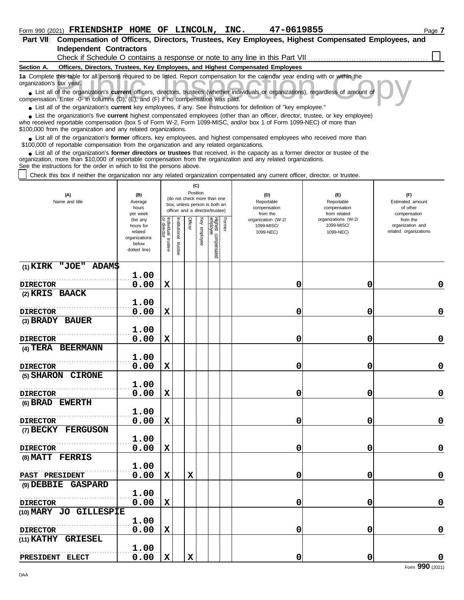| Part VII Compensation of Officers, Directors, Trustees, Key Employees, Highest Compensated Employees, and |  |  |  |
|-----------------------------------------------------------------------------------------------------------|--|--|--|
| Independent Contractors                                                                                   |  |  |  |

Check if Schedule O contains a response or note to any line in this Part VII

#### **Section A. Officers, Directors, Trustees, Key Employees, and Highest Compensated Employees**

**1a** Complete this table for all persons required to be listed. Report compensation for the calendar year ending with or within the organization's tax year.

this table for all persons required to be listed. Report compensation for the calendar year ending with or within the tax year.<br>
of the organization's **current** officers, directors, trustees (whether individuals or organiz ■ List all of the organization's **current** officers, directors, trustees (whether individuals or organizations), regardless of amount of compensation. Enter -0- in columns (D), (E), and (F) if no compensation was paid.

● List all of the organization's **current** key employees, if any. See instructions for definition of "key employee."

■ List the organization's five **current** highest compensated employees (other than an officer, director, trustee, or key employee)<br> **•** Propised reportable compensation (box 5 of Form M/2, Form 1000 MISC, and/or box 1 of

who received reportable compensation (box 5 of Form W-2, Form 1099-MISC, and/or box 1 of Form 1099-NEC) of more than \$100,000 from the organization and any related organizations.

■ List all of the organization's **former** officers, key employees, and highest compensated employees who received more than<br> **•** 00,000 of reportable compensation from the ergonization and any related ergonizations \$100,000 of reportable compensation from the organization and any related organizations.

■ List all of the organization's **former directors or trustees** that received, in the capacity as a former director or trustee of the<br>paization, more than \$10,000 of reportable compensation from the organization and any r organization, more than \$10,000 of reportable compensation from the organization and any related organizations. See the instructions for the order in which to list the persons above.

Check this box if neither the organization nor any related organization compensated any current officer, director, or trustee.

| (A)<br>Name and title                     | (B)<br>Average<br>hours<br>per week                                         |                                      |                         | Position    | (C)             | (do not check more than one<br>box, unless person is both an<br>officer and a director/trustee) |        | (D)<br>Reportable<br>compensation<br>from the | (E)<br>Reportable<br>compensation<br>from related | (F)<br>Estimated amount<br>of other<br>compensation   |
|-------------------------------------------|-----------------------------------------------------------------------------|--------------------------------------|-------------------------|-------------|-----------------|-------------------------------------------------------------------------------------------------|--------|-----------------------------------------------|---------------------------------------------------|-------------------------------------------------------|
|                                           | (list any<br>hours for<br>related<br>organizations<br>below<br>dotted line) | Individual<br>or director<br>trustee | nstitutional<br>trustee | Officer     | Key<br>employee | Highest compensated<br>employ <u>ee</u>                                                         | Former | organization (W-2/<br>1099-MISC/<br>1099-NEC) | organizations (W-2/<br>1099-MISC/<br>1099-NEC)    | from the<br>organization and<br>related organizations |
| $(1)$ KIRK "JOE" ADAM\$                   |                                                                             |                                      |                         |             |                 |                                                                                                 |        |                                               |                                                   |                                                       |
|                                           | 1.00<br>0.00                                                                |                                      |                         |             |                 |                                                                                                 |        |                                               | 0                                                 | $\mathbf 0$                                           |
| <b>DIRECTOR</b><br>(2) KRIS BAACK         |                                                                             | $\mathbf x$                          |                         |             |                 |                                                                                                 |        | 0                                             |                                                   |                                                       |
|                                           | 1.00                                                                        |                                      |                         |             |                 |                                                                                                 |        |                                               |                                                   |                                                       |
| <b>DIRECTOR</b>                           | 0.00                                                                        | $\mathbf x$                          |                         |             |                 |                                                                                                 |        | 0                                             | 0                                                 | $\mathbf 0$                                           |
| (3) BRADY BAUER                           |                                                                             |                                      |                         |             |                 |                                                                                                 |        |                                               |                                                   |                                                       |
|                                           | 1.00                                                                        |                                      |                         |             |                 |                                                                                                 |        |                                               |                                                   |                                                       |
| <b>DIRECTOR</b>                           | 0.00                                                                        | $\mathbf x$                          |                         |             |                 |                                                                                                 |        | 0                                             | 0                                                 | $\mathbf 0$                                           |
| (4) TERA BEERMANN                         |                                                                             |                                      |                         |             |                 |                                                                                                 |        |                                               |                                                   |                                                       |
|                                           | 1.00                                                                        |                                      |                         |             |                 |                                                                                                 |        |                                               |                                                   |                                                       |
| <b>DIRECTOR</b>                           | 0.00                                                                        | X                                    |                         |             |                 |                                                                                                 |        | 0                                             | 0                                                 | $\mathbf 0$                                           |
| (5) SHARON CIRONE                         | 1.00                                                                        |                                      |                         |             |                 |                                                                                                 |        |                                               |                                                   |                                                       |
| <b>DIRECTOR</b>                           | 0.00                                                                        | $\mathbf x$                          |                         |             |                 |                                                                                                 |        | 0                                             | 0                                                 | $\mathbf 0$                                           |
| (6) BRAD EWERTH                           |                                                                             |                                      |                         |             |                 |                                                                                                 |        |                                               |                                                   |                                                       |
|                                           | 1.00                                                                        |                                      |                         |             |                 |                                                                                                 |        |                                               |                                                   |                                                       |
| <b>DIRECTOR</b>                           | 0.00                                                                        | $\mathbf x$                          |                         |             |                 |                                                                                                 |        | 0                                             | 0                                                 | $\mathbf 0$                                           |
| (7) BECKY FERGUSON                        |                                                                             |                                      |                         |             |                 |                                                                                                 |        |                                               |                                                   |                                                       |
|                                           | 1.00                                                                        |                                      |                         |             |                 |                                                                                                 |        |                                               |                                                   |                                                       |
| <b>DIRECTOR</b>                           | 0.00                                                                        | $\mathbf x$                          |                         |             |                 |                                                                                                 |        | 0                                             | 0                                                 | $\mathbf 0$                                           |
| (8) MATT FERRIS                           |                                                                             |                                      |                         |             |                 |                                                                                                 |        |                                               |                                                   |                                                       |
|                                           | 1.00                                                                        |                                      |                         |             |                 |                                                                                                 |        |                                               |                                                   |                                                       |
| PAST PRESIDENT                            | 0.00                                                                        | $\mathbf x$                          |                         | $\mathbf x$ |                 |                                                                                                 |        | 0                                             | 0                                                 | $\mathbf 0$                                           |
| (9) DEBBIE GASPARD                        | 1.00                                                                        |                                      |                         |             |                 |                                                                                                 |        |                                               |                                                   |                                                       |
|                                           | 0.00                                                                        | $\mathbf x$                          |                         |             |                 |                                                                                                 |        | 0                                             | 0                                                 | 0                                                     |
| <b>DIRECTOR</b><br>(10) MARY JO GILLESPIE |                                                                             |                                      |                         |             |                 |                                                                                                 |        |                                               |                                                   |                                                       |
|                                           | 1.00                                                                        |                                      |                         |             |                 |                                                                                                 |        |                                               |                                                   |                                                       |
| <b>DIRECTOR</b>                           | 0.00                                                                        | X                                    |                         |             |                 |                                                                                                 |        | 0                                             | 0                                                 | $\mathbf 0$                                           |
| (11) KATHY<br><b>GRIESEL</b>              |                                                                             |                                      |                         |             |                 |                                                                                                 |        |                                               |                                                   |                                                       |
|                                           | 1.00                                                                        |                                      |                         |             |                 |                                                                                                 |        |                                               |                                                   |                                                       |
| PRESIDENT ELECT                           | 0.00                                                                        | $\mathbf x$                          |                         | $\mathbf x$ |                 |                                                                                                 |        | 0                                             | 0                                                 | $\mathbf 0$                                           |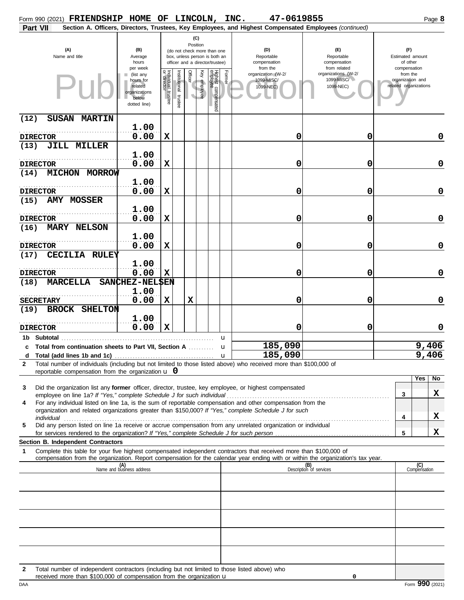|                         | Form 990 (2021) FRIENDSHIP HOME OF LINCOLN, INC.                     |                                                                             |                                      |                      |                            |                                                                                                 |        | 47-0619855                                                                                                                                                                                                                                             |                                                   |   | Page 8                                                |             |
|-------------------------|----------------------------------------------------------------------|-----------------------------------------------------------------------------|--------------------------------------|----------------------|----------------------------|-------------------------------------------------------------------------------------------------|--------|--------------------------------------------------------------------------------------------------------------------------------------------------------------------------------------------------------------------------------------------------------|---------------------------------------------------|---|-------------------------------------------------------|-------------|
| Part VII                |                                                                      |                                                                             |                                      |                      |                            |                                                                                                 |        | Section A. Officers, Directors, Trustees, Key Employees, and Highest Compensated Employees (continued)                                                                                                                                                 |                                                   |   |                                                       |             |
|                         | (A)<br>Name and title                                                | (B)<br>Average<br>hours<br>per week                                         |                                      |                      | (C)<br>Position            | (do not check more than one<br>box, unless person is both an<br>officer and a director/trustee) |        | (D)<br>Reportable<br>compensation<br>from the                                                                                                                                                                                                          | (F)<br>Reportable<br>compensation<br>from related |   | (F)<br>Estimated amount<br>of other<br>compensation   |             |
|                         |                                                                      | (list any<br>hours for<br>related<br>organizations<br>below<br>dotted line) | Individual<br>or director<br>trustee | nstitutional trustee | <b>Officer</b><br>employee | Κê<br>Highest compensated<br>employee                                                           | Former | organization (W-2/<br>1099-MISC/<br>1099-NEC)                                                                                                                                                                                                          | organizations (W-2/<br>1099-MISC/<br>1099-NEC)    |   | from the<br>organization and<br>related organizations |             |
| (12)<br><b>SUSAN</b>    | <b>MARTIN</b>                                                        | 1.00                                                                        |                                      |                      |                            |                                                                                                 |        |                                                                                                                                                                                                                                                        |                                                   |   |                                                       |             |
| <b>DIRECTOR</b>         |                                                                      | 0.00                                                                        | $\mathbf x$                          |                      |                            |                                                                                                 |        | 0                                                                                                                                                                                                                                                      | 0                                                 |   |                                                       | 0           |
| (13)                    | <b>JILL MILLER</b>                                                   |                                                                             |                                      |                      |                            |                                                                                                 |        |                                                                                                                                                                                                                                                        |                                                   |   |                                                       |             |
|                         |                                                                      | 1.00                                                                        |                                      |                      |                            |                                                                                                 |        |                                                                                                                                                                                                                                                        |                                                   |   |                                                       |             |
| <b>DIRECTOR</b>         | <b>MICHON MORROW</b>                                                 | 0.00                                                                        | $\mathbf x$                          |                      |                            |                                                                                                 |        | 0                                                                                                                                                                                                                                                      | 0                                                 |   |                                                       | $\mathbf 0$ |
| (14)                    |                                                                      | 1.00                                                                        |                                      |                      |                            |                                                                                                 |        |                                                                                                                                                                                                                                                        |                                                   |   |                                                       |             |
| <b>DIRECTOR</b><br>(15) | <b>AMY MOSSER</b>                                                    | 0.00                                                                        | $\mathbf x$                          |                      |                            |                                                                                                 |        | 0                                                                                                                                                                                                                                                      | 0                                                 |   |                                                       | $\mathbf 0$ |
|                         |                                                                      | 1.00                                                                        |                                      |                      |                            |                                                                                                 |        |                                                                                                                                                                                                                                                        |                                                   |   |                                                       |             |
| <b>DIRECTOR</b>         | <b>MARY NELSON</b>                                                   | 0.00                                                                        | $\mathbf x$                          |                      |                            |                                                                                                 |        | 0                                                                                                                                                                                                                                                      | 0                                                 |   |                                                       | $\mathbf 0$ |
| (16)                    |                                                                      | 1.00                                                                        |                                      |                      |                            |                                                                                                 |        |                                                                                                                                                                                                                                                        |                                                   |   |                                                       |             |
| <b>DIRECTOR</b>         |                                                                      | 0.00                                                                        | $\mathbf x$                          |                      |                            |                                                                                                 |        | 0                                                                                                                                                                                                                                                      | 0                                                 |   |                                                       | $\mathbf 0$ |
| (17)                    | CECILIA RULEY                                                        |                                                                             |                                      |                      |                            |                                                                                                 |        |                                                                                                                                                                                                                                                        |                                                   |   |                                                       |             |
|                         |                                                                      | 1.00                                                                        |                                      |                      |                            |                                                                                                 |        |                                                                                                                                                                                                                                                        |                                                   |   |                                                       |             |
| <b>DIRECTOR</b><br>(18) | <b>MARCELLA</b>                                                      | 0.00<br>SANCHEZ-NELSEN                                                      | $\mathbf x$                          |                      |                            |                                                                                                 |        | 0                                                                                                                                                                                                                                                      | 0                                                 |   |                                                       | $\mathbf 0$ |
|                         |                                                                      | 1.00                                                                        |                                      |                      |                            |                                                                                                 |        |                                                                                                                                                                                                                                                        |                                                   |   |                                                       |             |
| <b>SECRETARY</b>        |                                                                      | 0.00                                                                        | $\mathbf x$                          |                      | $\mathbf x$                |                                                                                                 |        | 0                                                                                                                                                                                                                                                      | 0                                                 |   |                                                       | $\mathbf 0$ |
| (19)                    | <b>BROCK SHELTON</b>                                                 | 1.00                                                                        |                                      |                      |                            |                                                                                                 |        |                                                                                                                                                                                                                                                        |                                                   |   |                                                       |             |
| <b>DIRECTOR</b>         |                                                                      | 0.00                                                                        | $\mathbf x$                          |                      |                            |                                                                                                 |        | 0                                                                                                                                                                                                                                                      | 0                                                 |   |                                                       | 0           |
| 1b Subtotal             | c Total from continuation sheets to Part VII, Section A              |                                                                             |                                      |                      |                            |                                                                                                 | u<br>u | 185,090                                                                                                                                                                                                                                                |                                                   |   | 9,406                                                 |             |
|                         |                                                                      |                                                                             |                                      |                      |                            |                                                                                                 |        | 185,090                                                                                                                                                                                                                                                |                                                   |   | 9,406                                                 |             |
| $\mathbf{2}$            | reportable compensation from the organization $\bf{u}$ 0             |                                                                             |                                      |                      |                            |                                                                                                 |        | Total number of individuals (including but not limited to those listed above) who received more than \$100,000 of                                                                                                                                      |                                                   |   |                                                       |             |
|                         |                                                                      |                                                                             |                                      |                      |                            |                                                                                                 |        |                                                                                                                                                                                                                                                        |                                                   |   | Yes<br>No                                             |             |
| 3                       |                                                                      |                                                                             |                                      |                      |                            |                                                                                                 |        | Did the organization list any former officer, director, trustee, key employee, or highest compensated                                                                                                                                                  |                                                   | 3 | X                                                     |             |
| 4                       |                                                                      |                                                                             |                                      |                      |                            |                                                                                                 |        | For any individual listed on line 1a, is the sum of reportable compensation and other compensation from the<br>organization and related organizations greater than \$150,000? If "Yes," complete Schedule J for such                                   |                                                   |   |                                                       |             |
| 5                       |                                                                      |                                                                             |                                      |                      |                            |                                                                                                 |        | Did any person listed on line 1a receive or accrue compensation from any unrelated organization or individual                                                                                                                                          |                                                   | 4 | X                                                     |             |
|                         |                                                                      |                                                                             |                                      |                      |                            |                                                                                                 |        |                                                                                                                                                                                                                                                        |                                                   | 5 | x                                                     |             |
|                         | Section B. Independent Contractors                                   |                                                                             |                                      |                      |                            |                                                                                                 |        |                                                                                                                                                                                                                                                        |                                                   |   |                                                       |             |
| 1                       |                                                                      |                                                                             |                                      |                      |                            |                                                                                                 |        | Complete this table for your five highest compensated independent contractors that received more than \$100,000 of<br>compensation from the organization. Report compensation for the calendar year ending with or within the organization's tax year. |                                                   |   |                                                       |             |
|                         |                                                                      | (A)<br>Name and business address                                            |                                      |                      |                            |                                                                                                 |        |                                                                                                                                                                                                                                                        | (B)<br>Description of services                    |   | (C)<br>Compensation                                   |             |
|                         |                                                                      |                                                                             |                                      |                      |                            |                                                                                                 |        |                                                                                                                                                                                                                                                        |                                                   |   |                                                       |             |
|                         |                                                                      |                                                                             |                                      |                      |                            |                                                                                                 |        |                                                                                                                                                                                                                                                        |                                                   |   |                                                       |             |
|                         |                                                                      |                                                                             |                                      |                      |                            |                                                                                                 |        |                                                                                                                                                                                                                                                        |                                                   |   |                                                       |             |
|                         |                                                                      |                                                                             |                                      |                      |                            |                                                                                                 |        |                                                                                                                                                                                                                                                        |                                                   |   |                                                       |             |
|                         |                                                                      |                                                                             |                                      |                      |                            |                                                                                                 |        |                                                                                                                                                                                                                                                        |                                                   |   |                                                       |             |
|                         |                                                                      |                                                                             |                                      |                      |                            |                                                                                                 |        |                                                                                                                                                                                                                                                        |                                                   |   |                                                       |             |
| 2                       | received more than \$100,000 of compensation from the organization u |                                                                             |                                      |                      |                            |                                                                                                 |        | Total number of independent contractors (including but not limited to those listed above) who                                                                                                                                                          | 0                                                 |   |                                                       |             |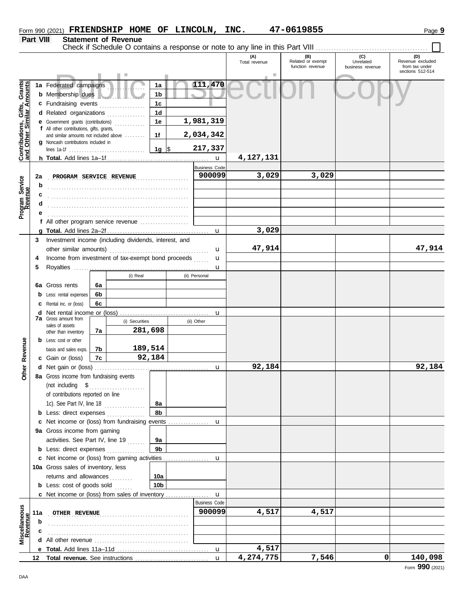|                                                           |                  |                                                                                                           |    |             |                 |  |                                      | (A)<br>Total revenue | (B)<br>Related or exempt<br>function revenue | (C)<br>Unrelated<br>business revenue | (D)<br>Revenue excluded<br>from tax under<br>sections 512-514 |
|-----------------------------------------------------------|------------------|-----------------------------------------------------------------------------------------------------------|----|-------------|-----------------|--|--------------------------------------|----------------------|----------------------------------------------|--------------------------------------|---------------------------------------------------------------|
|                                                           |                  |                                                                                                           |    |             |                 |  |                                      |                      |                                              |                                      |                                                               |
| Contributions, Gifts, Grants<br>and Other Similar Amounts |                  | 1a Federated campaigns<br><b>b</b> Membership dues                                                        |    |             | 1a<br>1b        |  | 111,470                              |                      |                                              |                                      |                                                               |
|                                                           |                  | c Fundraising events                                                                                      |    | .           | 1 <sub>c</sub>  |  |                                      |                      |                                              |                                      |                                                               |
|                                                           |                  | d Related organizations                                                                                   |    | .           | 1 <sub>d</sub>  |  |                                      |                      |                                              |                                      |                                                               |
|                                                           |                  | <b>e</b> Government grants (contributions)<br>f All other contributions, gifts, grants,                   |    |             | 1e              |  | 1,981,319                            |                      |                                              |                                      |                                                               |
|                                                           |                  | and similar amounts not included above<br>g Noncash contributions included in                             |    |             | 1f              |  | 2,034,342                            |                      |                                              |                                      |                                                               |
|                                                           |                  |                                                                                                           |    |             | 1g $ \$$        |  | 217,337                              | 4,127,131            |                                              |                                      |                                                               |
|                                                           |                  |                                                                                                           |    |             |                 |  | $\mathbf{u}$<br><b>Business Code</b> |                      |                                              |                                      |                                                               |
|                                                           | 2a               | PROGRAM SERVICE REVENUE                                                                                   |    |             |                 |  | 900099                               | 3,029                | 3,029                                        |                                      |                                                               |
| Program Service<br>Revenue                                | b                |                                                                                                           |    |             |                 |  |                                      |                      |                                              |                                      |                                                               |
|                                                           | c                |                                                                                                           |    |             |                 |  |                                      |                      |                                              |                                      |                                                               |
|                                                           | d                |                                                                                                           |    |             |                 |  |                                      |                      |                                              |                                      |                                                               |
|                                                           |                  |                                                                                                           |    |             |                 |  |                                      |                      |                                              |                                      |                                                               |
|                                                           |                  | f All other program service revenue                                                                       |    |             |                 |  |                                      |                      |                                              |                                      |                                                               |
|                                                           |                  |                                                                                                           |    |             |                 |  | $\mathbf{u}$                         | 3,029                |                                              |                                      |                                                               |
|                                                           | 3                | Investment income (including dividends, interest, and                                                     |    |             |                 |  |                                      |                      |                                              |                                      |                                                               |
|                                                           |                  | other similar amounts)                                                                                    |    |             |                 |  | u                                    | 47,914               |                                              |                                      | 47,914                                                        |
|                                                           |                  | Income from investment of tax-exempt bond proceeds                                                        |    |             |                 |  | u                                    |                      |                                              |                                      |                                                               |
|                                                           | 5                |                                                                                                           |    |             |                 |  | u                                    |                      |                                              |                                      |                                                               |
|                                                           |                  |                                                                                                           |    | (i) Real    |                 |  | (ii) Personal                        |                      |                                              |                                      |                                                               |
|                                                           |                  | 6a Gross rents                                                                                            | 6а |             |                 |  |                                      |                      |                                              |                                      |                                                               |
|                                                           |                  | <b>b</b> Less: rental expenses                                                                            | 6b |             |                 |  |                                      |                      |                                              |                                      |                                                               |
|                                                           |                  | <b>c</b> Rental inc. or (loss)<br><b>d</b> Net rental income or (loss)                                    | 6с |             |                 |  |                                      |                      |                                              |                                      |                                                               |
|                                                           |                  | <b>7a</b> Gross amount from<br>(i) Securities<br>sales of assets<br>281,698<br>7a<br>other than inventory |    |             |                 |  | u<br>(ii) Other                      |                      |                                              |                                      |                                                               |
|                                                           |                  |                                                                                                           |    |             |                 |  |                                      |                      |                                              |                                      |                                                               |
|                                                           |                  | <b>b</b> Less: cost or other                                                                              |    |             |                 |  |                                      |                      |                                              |                                      |                                                               |
|                                                           |                  | basis and sales exps.                                                                                     | 7b |             | 189,514         |  |                                      |                      |                                              |                                      |                                                               |
| Revenue                                                   |                  | c Gain or (loss)                                                                                          | 7c |             | 92,184          |  |                                      |                      |                                              |                                      |                                                               |
| Other                                                     |                  |                                                                                                           |    |             |                 |  | $\mathbf u$                          | 92,184               |                                              |                                      | 92,184                                                        |
|                                                           |                  | 8a Gross income from fundraising events                                                                   |    |             |                 |  |                                      |                      |                                              |                                      |                                                               |
|                                                           |                  |                                                                                                           |    |             |                 |  |                                      |                      |                                              |                                      |                                                               |
|                                                           |                  | of contributions reported on line                                                                         |    |             |                 |  |                                      |                      |                                              |                                      |                                                               |
|                                                           |                  | 1c). See Part IV, line 18                                                                                 |    | .           | 8а              |  |                                      |                      |                                              |                                      |                                                               |
|                                                           |                  | <b>b</b> Less: direct expenses                                                                            |    |             | 8b              |  |                                      |                      |                                              |                                      |                                                               |
|                                                           |                  | c Net income or (loss) from fundraising events<br>9a Gross income from gaming                             |    |             |                 |  | u                                    |                      |                                              |                                      |                                                               |
|                                                           |                  | activities. See Part IV, line 19                                                                          |    |             | 9а              |  |                                      |                      |                                              |                                      |                                                               |
|                                                           |                  | <b>b</b> Less: direct expenses                                                                            |    |             | 9 <sub>b</sub>  |  |                                      |                      |                                              |                                      |                                                               |
|                                                           |                  | c Net income or (loss) from gaming activities                                                             |    |             |                 |  | u                                    |                      |                                              |                                      |                                                               |
|                                                           |                  | 10a Gross sales of inventory, less                                                                        |    |             |                 |  |                                      |                      |                                              |                                      |                                                               |
|                                                           |                  | returns and allowances                                                                                    |    | a a a a a a | 10a             |  |                                      |                      |                                              |                                      |                                                               |
|                                                           |                  | <b>b</b> Less: cost of goods sold                                                                         |    |             | 10 <sub>b</sub> |  |                                      |                      |                                              |                                      |                                                               |
|                                                           |                  | <b>c</b> Net income or (loss) from sales of inventory                                                     |    |             |                 |  | $\mathbf{u}$                         |                      |                                              |                                      |                                                               |
|                                                           |                  |                                                                                                           |    |             |                 |  | <b>Business Code</b>                 |                      |                                              |                                      |                                                               |
|                                                           | 11a              | OTHER REVENUE                                                                                             |    |             |                 |  | 900099                               | 4,517                | 4,517                                        |                                      |                                                               |
| Miscellaneous<br>Revenue                                  | b                |                                                                                                           |    |             |                 |  |                                      |                      |                                              |                                      |                                                               |
|                                                           |                  |                                                                                                           |    |             |                 |  |                                      |                      |                                              |                                      |                                                               |
|                                                           |                  |                                                                                                           |    |             |                 |  |                                      | 4,517                |                                              |                                      |                                                               |
|                                                           | 12 <sup>12</sup> |                                                                                                           |    |             |                 |  | $\mathbf{u}$                         | 4,274,775            | 7,546                                        | $\Omega$                             | 140,098                                                       |

Form 990 (2021) Page **9 FRIENDSHIP HOME OF LINCOLN, INC. 47-0619855**

**Part VIII Statement of Revenue**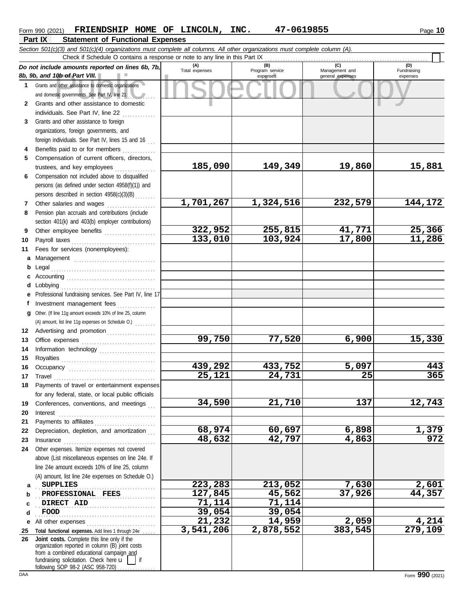|   | <b>Part IX</b><br><b>Statement of Functional Expenses</b>                                                                                          |                       |                                    |                                           |                                |
|---|----------------------------------------------------------------------------------------------------------------------------------------------------|-----------------------|------------------------------------|-------------------------------------------|--------------------------------|
|   | Section 501(c)(3) and 501(c)(4) organizations must complete all columns. All other organizations must complete column (A).                         |                       |                                    |                                           |                                |
|   | Check if Schedule O contains a response or note to any line in this Part IX                                                                        |                       |                                    |                                           |                                |
|   | Do not include amounts reported on lines 6b, 7b,<br>8b, 9b, and 10b of Part VIII.                                                                  | (A)<br>Total expenses | (B)<br>Program service<br>expenses | (C)<br>Management and<br>general expenses | (D)<br>Fundraising<br>expenses |
|   | Grants and other assistance to domestic organizations<br>and domestic governments. See Part IV, line 21                                            |                       |                                    |                                           |                                |
|   | Grants and other assistance to domestic<br>individuals. See Part IV, line 22                                                                       |                       |                                    |                                           |                                |
| 3 | Grants and other assistance to foreign<br>organizations, foreign governments, and<br>foreign individuals. See Part IV, lines 15 and 16             |                       |                                    |                                           |                                |
| 4 | Benefits paid to or for members                                                                                                                    |                       |                                    |                                           |                                |
| 5 | Compensation of current officers, directors,<br>trustees, and key employees                                                                        | 185,090               | 149,349                            | 19,860                                    | 15,                            |
| 6 | Compensation not included above to disqualified<br>persons (as defined under section 4958(f)(1)) and<br>persons described in section 4958(c)(3)(B) |                       |                                    |                                           |                                |
|   | Other salaries and wages                                                                                                                           | 1,701,267             | 1,324,516                          | 232,579                                   | 144,                           |
| 8 | Pension plan accruals and contributions (include<br>section 401(k) and 403(b) employer contributions)                                              |                       |                                    |                                           |                                |

**185,090 149,349 19,860 15,881**

#### DAA Form **990** (2021) **9 10 11 a** Management ................................. **b** Legal . . . . . . . . . . . . . . . . . . . . . . . . . . . . . . . . . . . . . . . . . **c** Accounting . . . . . . . . . . . . . . . . . . . . . . . . . . . . . . . . . . . **d** Lobbying . . . . . . . . . . . . . . . . . . . . . . . . . . . . . . . . . . . . . **e** Professional fundraising services. See Part IV, line 17 **f g** Other. (If line 11g amount exceeds 10% of line 25, column **12** Advertising and promotion . . . . . . . . . . . . . . . . . . **13 14 15 16 17 18 19 20 21 22** Depreciation, depletion, and amortization . . . **23 24 a b c d e** All other expenses . . . . . . . . . . . . . . . . . . . . . . . . . . . **25 Total functional expenses.** Add lines 1 through 24e . . . . . **26** section 401(k) and 403(b) employer contributions) Other employee benefits . . . . . . . . . . . . . . . . . . . . Payroll taxes . . . . . . . . . . . . . . . . . . . . . . . . . . . . . . . . . Fees for services (nonemployees): Investment management fees ................ Office expenses . . . . . . . . . . . . . . . . . . . . . . . . . . . . . Information technology ...................... Royalties . . . . . . . . . . . . . . . . . . . . . . . . . . . . . . . . . . . . . Occupancy . . . . . . . . . . . . . . . . . . . . . . . . . . . . . . . . . . Travel . . . . . . . . . . . . . . . . . . . . . . . . . . . . . . . . . . . . . . . . Payments of travel or entertainment expenses for any federal, state, or local public officials Conferences, conventions, and meetings Interest . . . . . . . . . . . . . . . . . . . . . . . . . . . . . . . . . . . . . . Payments to affiliates . . . . . . . . . . . . . . . . . . . . . . . . Insurance . . . . . . . . . . . . . . . . . . . . . . . . . . . . . . . . . . . . Other expenses. Itemize expenses not covered above (List miscellaneous expenses on line 24e. If line 24e amount exceeds 10% of line 25, column (A) amount, list line 24e expenses on Schedule O.) fundraising solicitation. Check here  $\mathbf{u}$  | if organization reported in column (B) joint costs from a combined educational campaign and following SOP 98-2 (ASC 958-720) . . . . . . . . . . . . . . . . . . . . . . . . . . . . . . . . . . . . . . . . . . . . . . . **SUPPLIES 223,283 213,052 7,630 2,601** . . . . . . . . . . . . . . . . . . . . . . . . . . . . . . . . . . . . . . . . . . . . . . . **PROFESSIONAL FEES 127,845 45,562 37,926 44,357 DIRECT AID 71,114 71,114** . . . . . . . . . . . . . . . . . . . . . . . . . . . . . . . . . . . . . . . . . . . . . . . **FOOD 39,054 39,054 Joint costs.** Complete this line only if the (A) amount, list line 11g expenses on Schedule O.) . . . . . . . . **1,701,267 1,324,516 232,579 144,172 322,952 255,815 41,771 25,366 133,010 103,924 99,750 77,520 6,900 15,330 439,292 433,752 5,097 443 25,121 24,731 25 365 34,590 21,710 137 12,743 68,974 60,697 6,898 1,379 48,632 42,797 4,863 972 21,232 14,959 2,059 4,214 3,541,206 2,878,552 383,545 279,109**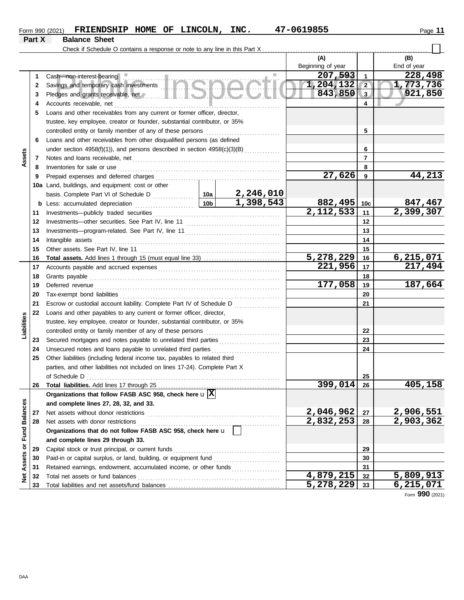| Form 990 (2021) | <b>FRIENDSHIP</b> |  | HOME OF LINCOLN, | INC. | 7-0619855<br><b>A.</b> | Page |
|-----------------|-------------------|--|------------------|------|------------------------|------|
|                 |                   |  |                  |      |                        |      |

 $\Box$ 

## **Part X Balance Sheet**

Check if Schedule O contains a response or note to any line in this Part X . . . . . . . . . . . . . . . . . . . . . . . . . . . . . . . . . . . . . . . . . . . . . . . . . . . . . . . . . . . . . . . . .

|                         |    |                                                                                                                                                                                                                                |         | (A)               |                | (B)                    |
|-------------------------|----|--------------------------------------------------------------------------------------------------------------------------------------------------------------------------------------------------------------------------------|---------|-------------------|----------------|------------------------|
|                         |    |                                                                                                                                                                                                                                |         | Beginning of year |                | End of year            |
|                         | 1  | Cash-non-interest-bearing                                                                                                                                                                                                      |         | 207,593           | $\mathbf{1}$   | 228,498                |
|                         | 2  |                                                                                                                                                                                                                                |         | 1,204,132         | $\sqrt{2}$     | 1,773,736              |
|                         | 3  | Pledges and grants receivable, net with a state of the state of the state of the state of the state of the state of the state of the state of the state of the state of the state of the state of the state of the state of th |         | 843,850           | $\vert$ 3      | 921,850                |
|                         | 4  | Accounts receivable, net                                                                                                                                                                                                       |         |                   | 4              |                        |
|                         | 5  | Loans and other receivables from any current or former officer, director,                                                                                                                                                      |         |                   |                |                        |
|                         |    | trustee, key employee, creator or founder, substantial contributor, or 35%                                                                                                                                                     |         |                   |                |                        |
|                         |    | controlled entity or family member of any of these persons                                                                                                                                                                     |         |                   | 5              |                        |
|                         | 6  | Loans and other receivables from other disqualified persons (as defined                                                                                                                                                        |         |                   |                |                        |
|                         |    | under section 4958(f)(1)), and persons described in section 4958(c)(3)(B)                                                                                                                                                      |         |                   | 6              |                        |
| Assets                  | 7  | Notes and loans receivable, net manufactured and contact and loans receivable, net                                                                                                                                             |         |                   | $\overline{7}$ |                        |
|                         | 8  | Inventories for sale or use                                                                                                                                                                                                    |         |                   | 8              |                        |
|                         | 9  | Prepaid expenses and deferred charges                                                                                                                                                                                          |         | 27,626            | 9              | 44,213                 |
|                         |    | 10a Land, buildings, and equipment: cost or other                                                                                                                                                                              |         |                   |                |                        |
|                         |    |                                                                                                                                                                                                                                |         |                   |                |                        |
|                         | b  | Less: accumulated depreciation                                                                                                                                                                                                 |         | 882,495           | 10c            |                        |
|                         | 11 | Investments-publicly traded securities                                                                                                                                                                                         |         | 2,112,533         | 11             | 847,467<br>2,399,307   |
|                         | 12 | Investments-other securities. See Part IV, line 11                                                                                                                                                                             |         |                   | 12             |                        |
|                         | 13 |                                                                                                                                                                                                                                |         |                   | 13             |                        |
|                         | 14 | Intangible assets                                                                                                                                                                                                              |         |                   | 14             |                        |
|                         | 15 | Other assets. See Part IV, line 11                                                                                                                                                                                             |         |                   | 15             |                        |
|                         | 16 |                                                                                                                                                                                                                                |         | 5,278,229         | 16             | 6, 215, 071            |
|                         | 17 |                                                                                                                                                                                                                                |         | 221,956           | 17             | 217,494                |
|                         | 18 | Grants payable                                                                                                                                                                                                                 |         |                   | 18             |                        |
|                         | 19 | Deferred revenue                                                                                                                                                                                                               | 177,058 | 19                | 187,664        |                        |
|                         | 20 | Tax-exempt bond liabilities                                                                                                                                                                                                    |         |                   | 20             |                        |
|                         | 21 | Escrow or custodial account liability. Complete Part IV of Schedule D                                                                                                                                                          | .       |                   | 21             |                        |
|                         | 22 | Loans and other payables to any current or former officer, director,                                                                                                                                                           |         |                   |                |                        |
| Liabilities             |    | trustee, key employee, creator or founder, substantial contributor, or 35%                                                                                                                                                     |         |                   |                |                        |
|                         |    | controlled entity or family member of any of these persons                                                                                                                                                                     |         |                   | 22             |                        |
|                         | 23 | Secured mortgages and notes payable to unrelated third parties [[[[[[[[[[[[[[[[[[[[[[[[[[[[[]]]]]]]]                                                                                                                           |         |                   | 23             |                        |
|                         | 24 | Unsecured notes and loans payable to unrelated third parties                                                                                                                                                                   | .       |                   | 24             |                        |
|                         | 25 | Other liabilities (including federal income tax, payables to related third                                                                                                                                                     |         |                   |                |                        |
|                         |    | parties, and other liabilities not included on lines 17-24). Complete Part X                                                                                                                                                   |         |                   |                |                        |
|                         |    | of Schedule D                                                                                                                                                                                                                  |         |                   | 25             |                        |
|                         | 26 |                                                                                                                                                                                                                                |         | 399,014           | 26             | 405,158                |
|                         |    | Organizations that follow FASB ASC 958, check here $\mathbf{u}$ $\overline{\mathbf{X}}$                                                                                                                                        |         |                   |                |                        |
|                         |    | and complete lines 27, 28, 32, and 33.                                                                                                                                                                                         |         |                   |                |                        |
|                         | 27 | Net assets without donor restrictions                                                                                                                                                                                          |         | 2,046,962         | 27             | 2,906,551<br>2,903,362 |
|                         | 28 | Net assets with donor restrictions                                                                                                                                                                                             |         | 2,832,253         | 28             |                        |
|                         |    | Organizations that do not follow FASB ASC 958, check here u                                                                                                                                                                    |         |                   |                |                        |
|                         |    | and complete lines 29 through 33.                                                                                                                                                                                              |         |                   |                |                        |
|                         | 29 | Capital stock or trust principal, or current funds                                                                                                                                                                             |         |                   | 29             |                        |
| Assets or Fund Balances | 30 |                                                                                                                                                                                                                                |         |                   | 30             |                        |
|                         | 31 | Retained earnings, endowment, accumulated income, or other funds                                                                                                                                                               |         |                   | 31             |                        |
| ğ                       | 32 | Total net assets or fund balances                                                                                                                                                                                              |         | 4,879,215         | 32             | 5,809,913              |
|                         | 33 |                                                                                                                                                                                                                                |         | 5,278,229         | 33             | <u>6,215,071</u>       |

Form **990** (2021)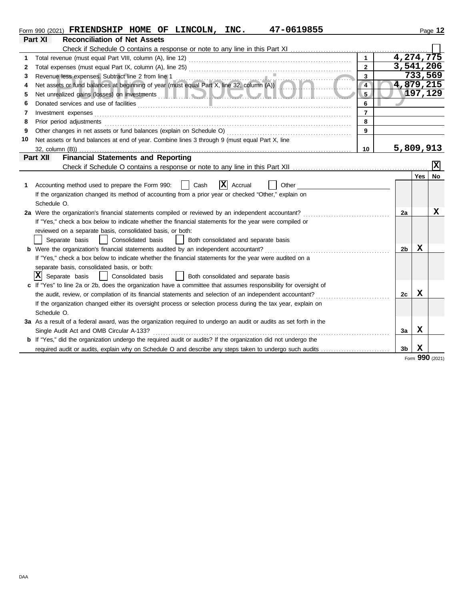|    | 47-0619855<br>Form 990 (2021) FRIENDSHIP HOME OF LINCOLN, INC.                                                                                                                                                                      |                         |                | Page 12                 |
|----|-------------------------------------------------------------------------------------------------------------------------------------------------------------------------------------------------------------------------------------|-------------------------|----------------|-------------------------|
|    | <b>Reconciliation of Net Assets</b><br>Part XI                                                                                                                                                                                      |                         |                |                         |
|    |                                                                                                                                                                                                                                     |                         |                |                         |
|    |                                                                                                                                                                                                                                     | $\mathbf{1}$            |                | 4,274,775               |
| 2  |                                                                                                                                                                                                                                     | $\mathbf{2}$            |                | 3,541,206               |
| 3  | Revenue less expenses. Subtract line 2 from line 1                                                                                                                                                                                  | 3                       |                | 733,569                 |
| 4  | Revenue less expenses. Subtract line 2 from line 1<br>Net assets or fund balances at beginning of year (must equal Part X, line 32, column (A))                                                                                     | $\overline{\mathbf{4}}$ |                | 4,879,215               |
| 5  |                                                                                                                                                                                                                                     | $5\phantom{.0}$         |                | 197,129                 |
| 6  | Donated services and use of facilities <b>constructs</b> and the service of the service of the service of the service of the service of the service of the service of the service of the service of the service of the service of t | 6                       |                |                         |
| 7  | Investment expenses                                                                                                                                                                                                                 | $\overline{7}$          |                |                         |
| 8  | Prior period adjustments                                                                                                                                                                                                            | 8                       |                |                         |
| 9  | Other changes in net assets or fund balances (explain on Schedule O)                                                                                                                                                                | 9                       |                |                         |
| 10 | Net assets or fund balances at end of year. Combine lines 3 through 9 (must equal Part X, line                                                                                                                                      |                         |                |                         |
|    | $32$ , column $(B)$ )                                                                                                                                                                                                               | 10                      |                | 5,809,913               |
|    | <b>Financial Statements and Reporting</b><br>Part XII                                                                                                                                                                               |                         |                |                         |
|    |                                                                                                                                                                                                                                     |                         |                | $\overline{\mathbf{x}}$ |
|    |                                                                                                                                                                                                                                     |                         |                | <b>Yes</b><br>No        |
| 1. | <b>x</b><br>Accounting method used to prepare the Form 990:<br>Cash<br>Accrual<br>Other                                                                                                                                             |                         |                |                         |
|    | If the organization changed its method of accounting from a prior year or checked "Other," explain on                                                                                                                               |                         |                |                         |
|    | Schedule O.                                                                                                                                                                                                                         |                         |                |                         |
|    | 2a Were the organization's financial statements compiled or reviewed by an independent accountant?                                                                                                                                  |                         | 2a             | x                       |
|    | If "Yes," check a box below to indicate whether the financial statements for the year were compiled or                                                                                                                              |                         |                |                         |
|    | reviewed on a separate basis, consolidated basis, or both:                                                                                                                                                                          |                         |                |                         |
|    | Separate basis<br>Consolidated basis<br>Both consolidated and separate basis<br>$\mathbf{1}$                                                                                                                                        |                         |                |                         |
|    | <b>b</b> Were the organization's financial statements audited by an independent accountant?                                                                                                                                         |                         | 2b             | х                       |
|    | If "Yes," check a box below to indicate whether the financial statements for the year were audited on a                                                                                                                             |                         |                |                         |
|    | separate basis, consolidated basis, or both:                                                                                                                                                                                        |                         |                |                         |
|    | $ \mathbf{X} $ Separate basis<br>Consolidated basis<br>  Both consolidated and separate basis                                                                                                                                       |                         |                |                         |
|    | If "Yes" to line 2a or 2b, does the organization have a committee that assumes responsibility for oversight of                                                                                                                      |                         |                |                         |
|    | the audit, review, or compilation of its financial statements and selection of an independent accountant?                                                                                                                           |                         | 2c             | $\mathbf x$             |
|    | If the organization changed either its oversight process or selection process during the tax year, explain on                                                                                                                       |                         |                |                         |
|    | Schedule O.                                                                                                                                                                                                                         |                         |                |                         |
|    | 3a As a result of a federal award, was the organization required to undergo an audit or audits as set forth in the                                                                                                                  |                         |                |                         |
|    | Single Audit Act and OMB Circular A-133?                                                                                                                                                                                            |                         | 3a             | х                       |
|    | <b>b</b> If "Yes," did the organization undergo the required audit or audits? If the organization did not undergo the                                                                                                               |                         |                |                         |
|    | required audit or audits, explain why on Schedule O and describe any steps taken to undergo such audits                                                                                                                             |                         | 3 <sub>b</sub> | X                       |

Form **990** (2021)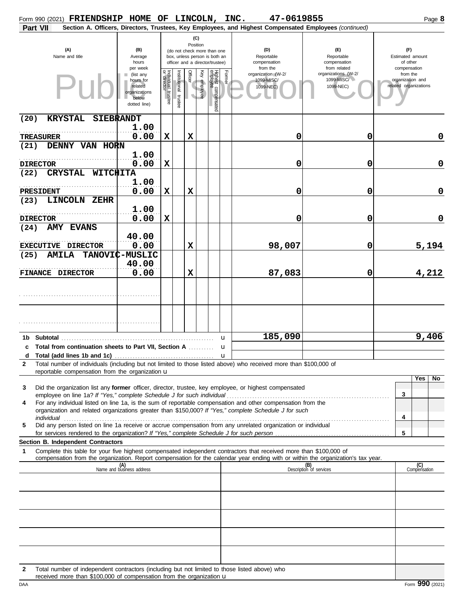| Form 990 (2021) FRIENDSHIP HOME OF LINCOLN, INC.                          |                 |                                                                                                  |                                      |                       |             |                 |                                                                    |        | 47-0619855                                                                                                                                                                                                                  |                                                                                                                                                                                                                                |                                                                                   | Page 8              |
|---------------------------------------------------------------------------|-----------------|--------------------------------------------------------------------------------------------------|--------------------------------------|-----------------------|-------------|-----------------|--------------------------------------------------------------------|--------|-----------------------------------------------------------------------------------------------------------------------------------------------------------------------------------------------------------------------------|--------------------------------------------------------------------------------------------------------------------------------------------------------------------------------------------------------------------------------|-----------------------------------------------------------------------------------|---------------------|
| Part VII                                                                  |                 |                                                                                                  |                                      |                       |             |                 |                                                                    |        | Section A. Officers, Directors, Trustees, Key Employees, and Highest Compensated Employees (continued)                                                                                                                      |                                                                                                                                                                                                                                |                                                                                   |                     |
| (A)<br>Name and title                                                     |                 | (B)<br>Average                                                                                   |                                      |                       |             | (C)<br>Position | (do not check more than one<br>box, unless person is both an       |        | (D)<br>Reportable                                                                                                                                                                                                           | $(\mathsf{F})$<br>Reportable                                                                                                                                                                                                   | (F)<br>Estimated amount                                                           |                     |
|                                                                           |                 | hours<br>per week<br>(list any<br>hours for<br>related<br>organizations<br>below<br>dotted line) | Individual<br>or director<br>trustee | Institutional trustee | Officer     | Ķey<br>employee | officer and a director/trustee)<br>Highest compensated<br>employee | Former | compensation<br>from the<br>organization (W-2/<br>1099-MISC/<br>1099-NEC)                                                                                                                                                   | compensation<br>from related<br>organizations (W-2/<br>1099-MISC/<br>1099-NEC)                                                                                                                                                 | of other<br>compensation<br>from the<br>organization and<br>related organizations |                     |
| <b>KRYSTAL</b><br>(20)                                                    | SIEBRANDT       |                                                                                                  |                                      |                       |             |                 |                                                                    |        |                                                                                                                                                                                                                             |                                                                                                                                                                                                                                |                                                                                   |                     |
|                                                                           |                 | 1.00                                                                                             |                                      |                       |             |                 |                                                                    |        |                                                                                                                                                                                                                             |                                                                                                                                                                                                                                |                                                                                   |                     |
| <b>TREASURER</b><br>DENNY VAN HORN<br>(21)                                |                 | 0.00                                                                                             | $\mathbf x$                          |                       | $\mathbf x$ |                 |                                                                    |        | 0                                                                                                                                                                                                                           | 0                                                                                                                                                                                                                              |                                                                                   | 0                   |
|                                                                           |                 | 1.00                                                                                             |                                      |                       |             |                 |                                                                    |        |                                                                                                                                                                                                                             |                                                                                                                                                                                                                                |                                                                                   |                     |
| <b>DIRECTOR</b>                                                           |                 | 0.00                                                                                             | $\mathbf x$                          |                       |             |                 |                                                                    |        | 0                                                                                                                                                                                                                           | 0                                                                                                                                                                                                                              |                                                                                   | $\mathbf 0$         |
| <b>CRYSTAL</b><br>(22)                                                    | <b>WITCHITA</b> |                                                                                                  |                                      |                       |             |                 |                                                                    |        |                                                                                                                                                                                                                             |                                                                                                                                                                                                                                |                                                                                   |                     |
|                                                                           |                 | 1.00                                                                                             |                                      |                       |             |                 |                                                                    |        |                                                                                                                                                                                                                             |                                                                                                                                                                                                                                |                                                                                   | $\mathbf 0$         |
| PRESIDENT<br><b>LINCOLN</b><br>(23)                                       | ZEHR            | 0.00                                                                                             | $\mathbf x$                          |                       | $\mathbf x$ |                 |                                                                    |        | 0                                                                                                                                                                                                                           | 0                                                                                                                                                                                                                              |                                                                                   |                     |
|                                                                           |                 | 1.00                                                                                             |                                      |                       |             |                 |                                                                    |        |                                                                                                                                                                                                                             |                                                                                                                                                                                                                                |                                                                                   |                     |
| <b>DIRECTOR</b>                                                           |                 | 0.00                                                                                             | $\mathbf x$                          |                       |             |                 |                                                                    |        | 0                                                                                                                                                                                                                           | 0                                                                                                                                                                                                                              |                                                                                   | $\mathbf 0$         |
| <b>AMY EVANS</b><br>(24)                                                  |                 |                                                                                                  |                                      |                       |             |                 |                                                                    |        |                                                                                                                                                                                                                             |                                                                                                                                                                                                                                |                                                                                   |                     |
| EXECUTIVE DIRECTOR                                                        |                 | 40.00<br>0.00                                                                                    |                                      |                       | $\mathbf x$ |                 |                                                                    |        | 98,007                                                                                                                                                                                                                      | 0                                                                                                                                                                                                                              |                                                                                   | 5,194               |
| (25)<br><b>AMILA</b>                                                      |                 | TANOVIC-MUSLIC                                                                                   |                                      |                       |             |                 |                                                                    |        |                                                                                                                                                                                                                             |                                                                                                                                                                                                                                |                                                                                   |                     |
|                                                                           |                 | 40.00                                                                                            |                                      |                       |             |                 |                                                                    |        |                                                                                                                                                                                                                             |                                                                                                                                                                                                                                |                                                                                   |                     |
| <b>FINANCE DIRECTOR</b>                                                   |                 | 0.00                                                                                             |                                      |                       | $\mathbf x$ |                 |                                                                    |        | 87,083                                                                                                                                                                                                                      | 0                                                                                                                                                                                                                              |                                                                                   | 4,212               |
|                                                                           |                 |                                                                                                  |                                      |                       |             |                 |                                                                    |        |                                                                                                                                                                                                                             |                                                                                                                                                                                                                                |                                                                                   |                     |
|                                                                           |                 |                                                                                                  |                                      |                       |             |                 |                                                                    | u      | 185,090                                                                                                                                                                                                                     |                                                                                                                                                                                                                                |                                                                                   | 9,406               |
| Total from continuation sheets to Part VII, Section A<br>c                |                 |                                                                                                  |                                      |                       |             |                 |                                                                    | u      |                                                                                                                                                                                                                             |                                                                                                                                                                                                                                |                                                                                   |                     |
| $\mathbf{2}$                                                              |                 |                                                                                                  |                                      |                       |             |                 |                                                                    |        | Total number of individuals (including but not limited to those listed above) who received more than \$100,000 of                                                                                                           |                                                                                                                                                                                                                                |                                                                                   |                     |
| reportable compensation from the organization u                           |                 |                                                                                                  |                                      |                       |             |                 |                                                                    |        |                                                                                                                                                                                                                             |                                                                                                                                                                                                                                |                                                                                   |                     |
| 3<br>4                                                                    |                 |                                                                                                  |                                      |                       |             |                 |                                                                    |        | Did the organization list any <b>former</b> officer, director, trustee, key employee, or highest compensated<br>For any individual listed on line 1a, is the sum of reportable compensation and other compensation from the |                                                                                                                                                                                                                                | 3                                                                                 | Yes<br>No           |
|                                                                           |                 |                                                                                                  |                                      |                       |             |                 |                                                                    |        | organization and related organizations greater than \$150,000? If "Yes," complete Schedule J for such                                                                                                                       | individual discussed and the contract of the contract of the contract of the contract of the contract of the contract of the contract of the contract of the contract of the contract of the contract of the contract of the c | 4                                                                                 |                     |
| 5                                                                         |                 |                                                                                                  |                                      |                       |             |                 |                                                                    |        | Did any person listed on line 1a receive or accrue compensation from any unrelated organization or individual                                                                                                               |                                                                                                                                                                                                                                | 5                                                                                 |                     |
| Section B. Independent Contractors                                        |                 |                                                                                                  |                                      |                       |             |                 |                                                                    |        |                                                                                                                                                                                                                             |                                                                                                                                                                                                                                |                                                                                   |                     |
| 1                                                                         |                 |                                                                                                  |                                      |                       |             |                 |                                                                    |        | Complete this table for your five highest compensated independent contractors that received more than \$100,000 of                                                                                                          |                                                                                                                                                                                                                                |                                                                                   |                     |
|                                                                           |                 | (A)<br>Name and business address                                                                 |                                      |                       |             |                 |                                                                    |        |                                                                                                                                                                                                                             | compensation from the organization. Report compensation for the calendar year ending with or within the organization's tax year.<br>(B)<br>Description of services                                                             |                                                                                   | (C)<br>Compensation |
|                                                                           |                 |                                                                                                  |                                      |                       |             |                 |                                                                    |        |                                                                                                                                                                                                                             |                                                                                                                                                                                                                                |                                                                                   |                     |
|                                                                           |                 |                                                                                                  |                                      |                       |             |                 |                                                                    |        |                                                                                                                                                                                                                             |                                                                                                                                                                                                                                |                                                                                   |                     |
|                                                                           |                 |                                                                                                  |                                      |                       |             |                 |                                                                    |        |                                                                                                                                                                                                                             |                                                                                                                                                                                                                                |                                                                                   |                     |
|                                                                           |                 |                                                                                                  |                                      |                       |             |                 |                                                                    |        |                                                                                                                                                                                                                             |                                                                                                                                                                                                                                |                                                                                   |                     |
|                                                                           |                 |                                                                                                  |                                      |                       |             |                 |                                                                    |        |                                                                                                                                                                                                                             |                                                                                                                                                                                                                                |                                                                                   |                     |
|                                                                           |                 |                                                                                                  |                                      |                       |             |                 |                                                                    |        |                                                                                                                                                                                                                             |                                                                                                                                                                                                                                |                                                                                   |                     |
|                                                                           |                 |                                                                                                  |                                      |                       |             |                 |                                                                    |        |                                                                                                                                                                                                                             |                                                                                                                                                                                                                                |                                                                                   |                     |
| 2<br>received more than \$100,000 of compensation from the organization u |                 |                                                                                                  |                                      |                       |             |                 |                                                                    |        | Total number of independent contractors (including but not limited to those listed above) who                                                                                                                               |                                                                                                                                                                                                                                |                                                                                   |                     |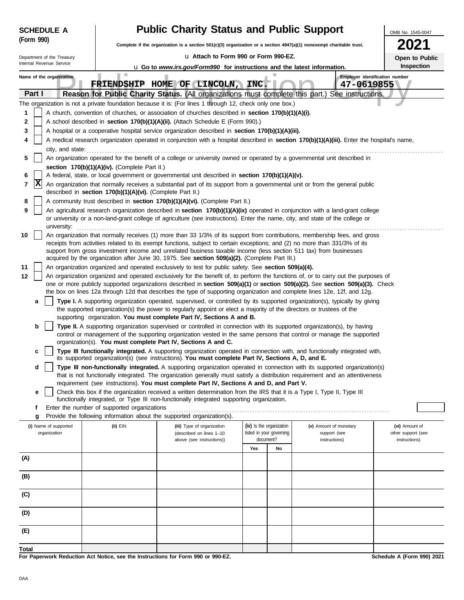| <b>SCHEDULE A</b>                     |                                                                                                                                                                                                                                  | <b>Public Charity Status and Public Support</b>                                                                                                                                                                                                                       |     |                                                      |                                        |                                                                   | OMB No. 1545-0047                    |  |  |
|---------------------------------------|----------------------------------------------------------------------------------------------------------------------------------------------------------------------------------------------------------------------------------|-----------------------------------------------------------------------------------------------------------------------------------------------------------------------------------------------------------------------------------------------------------------------|-----|------------------------------------------------------|----------------------------------------|-------------------------------------------------------------------|--------------------------------------|--|--|
| (Form 990)                            |                                                                                                                                                                                                                                  | Complete if the organization is a section $501(c)(3)$ organization or a section $4947(a)(1)$ nonexempt charitable trust.                                                                                                                                              |     |                                                      |                                        |                                                                   |                                      |  |  |
| Department of the Treasury            |                                                                                                                                                                                                                                  | La Attach to Form 990 or Form 990-EZ.                                                                                                                                                                                                                                 |     |                                                      |                                        |                                                                   | Open to Public                       |  |  |
| Internal Revenue Service              |                                                                                                                                                                                                                                  | u Go to www.irs.gov/Form990 for instructions and the latest information.                                                                                                                                                                                              |     |                                                      |                                        |                                                                   | Inspection                           |  |  |
| Name of the organization<br>Part I    | ш                                                                                                                                                                                                                                | FRIENDSHIP HOME OF LINCOLN, INC.<br>Reason for Public Charity Status. (All organizations must complete this part.)                                                                                                                                                    |     |                                                      |                                        | Employer identification number<br>47-0619855<br>See instructions. |                                      |  |  |
|                                       |                                                                                                                                                                                                                                  | The organization is not a private foundation because it is: (For lines 1 through 12, check only one box.)                                                                                                                                                             |     |                                                      |                                        |                                                                   |                                      |  |  |
| 1                                     |                                                                                                                                                                                                                                  | A church, convention of churches, or association of churches described in section 170(b)(1)(A)(i).                                                                                                                                                                    |     |                                                      |                                        |                                                                   |                                      |  |  |
| 2                                     |                                                                                                                                                                                                                                  | A school described in section 170(b)(1)(A)(ii). (Attach Schedule E (Form 990).)                                                                                                                                                                                       |     |                                                      |                                        |                                                                   |                                      |  |  |
| 3                                     |                                                                                                                                                                                                                                  | A hospital or a cooperative hospital service organization described in section 170(b)(1)(A)(iii).                                                                                                                                                                     |     |                                                      |                                        |                                                                   |                                      |  |  |
| 4                                     |                                                                                                                                                                                                                                  | A medical research organization operated in conjunction with a hospital described in section 170(b)(1)(A)(iii). Enter the hospital's name,                                                                                                                            |     |                                                      |                                        |                                                                   |                                      |  |  |
| city, and state:<br>5                 |                                                                                                                                                                                                                                  | An organization operated for the benefit of a college or university owned or operated by a governmental unit described in                                                                                                                                             |     |                                                      |                                        |                                                                   |                                      |  |  |
|                                       | section 170(b)(1)(A)(iv). (Complete Part II.)                                                                                                                                                                                    |                                                                                                                                                                                                                                                                       |     |                                                      |                                        |                                                                   |                                      |  |  |
| 6<br>x<br>7                           | A federal, state, or local government or governmental unit described in section 170(b)(1)(A)(v).<br>An organization that normally receives a substantial part of its support from a governmental unit or from the general public |                                                                                                                                                                                                                                                                       |     |                                                      |                                        |                                                                   |                                      |  |  |
| 8                                     | described in section 170(b)(1)(A)(vi). (Complete Part II.)<br>A community trust described in section 170(b)(1)(A)(vi). (Complete Part II.)                                                                                       |                                                                                                                                                                                                                                                                       |     |                                                      |                                        |                                                                   |                                      |  |  |
| 9                                     |                                                                                                                                                                                                                                  | An agricultural research organization described in section 170(b)(1)(A)(ix) operated in conjunction with a land-grant college<br>or university or a non-land-grant college of agriculture (see instructions). Enter the name, city, and state of the college or       |     |                                                      |                                        |                                                                   |                                      |  |  |
| university:<br>10                     |                                                                                                                                                                                                                                  | An organization that normally receives (1) more than 33 1/3% of its support from contributions, membership fees, and gross                                                                                                                                            |     |                                                      |                                        |                                                                   |                                      |  |  |
|                                       |                                                                                                                                                                                                                                  | receipts from activities related to its exempt functions, subject to certain exceptions; and (2) no more than 331/3% of its<br>support from gross investment income and unrelated business taxable income (less section 511 tax) from businesses                      |     |                                                      |                                        |                                                                   |                                      |  |  |
|                                       |                                                                                                                                                                                                                                  | acquired by the organization after June 30, 1975. See section 509(a)(2). (Complete Part III.)                                                                                                                                                                         |     |                                                      |                                        |                                                                   |                                      |  |  |
| 11                                    |                                                                                                                                                                                                                                  | An organization organized and operated exclusively to test for public safety. See section 509(a)(4).                                                                                                                                                                  |     |                                                      |                                        |                                                                   |                                      |  |  |
| 12                                    |                                                                                                                                                                                                                                  | An organization organized and operated exclusively for the benefit of, to perform the functions of, or to carry out the purposes of<br>one or more publicly supported organizations described in section 509(a)(1) or section 509(a)(2). See section 509(a)(3). Check |     |                                                      |                                        |                                                                   |                                      |  |  |
|                                       |                                                                                                                                                                                                                                  | the box on lines 12a through 12d that describes the type of supporting organization and complete lines 12e, 12f, and 12g.                                                                                                                                             |     |                                                      |                                        |                                                                   |                                      |  |  |
| a                                     |                                                                                                                                                                                                                                  | Type I. A supporting organization operated, supervised, or controlled by its supported organization(s), typically by giving<br>the supported organization(s) the power to regularly appoint or elect a majority of the directors or trustees of the                   |     |                                                      |                                        |                                                                   |                                      |  |  |
| b                                     |                                                                                                                                                                                                                                  | supporting organization. You must complete Part IV, Sections A and B.<br><b>Type II.</b> A supporting organization supervised or controlled in connection with its supported organization(s), by having                                                               |     |                                                      |                                        |                                                                   |                                      |  |  |
|                                       |                                                                                                                                                                                                                                  | control or management of the supporting organization vested in the same persons that control or manage the supported<br>organization(s). You must complete Part IV, Sections A and C.                                                                                 |     |                                                      |                                        |                                                                   |                                      |  |  |
| c                                     |                                                                                                                                                                                                                                  | Type III functionally integrated. A supporting organization operated in connection with, and functionally integrated with,<br>its supported organization(s) (see instructions). You must complete Part IV, Sections A, D, and E.                                      |     |                                                      |                                        |                                                                   |                                      |  |  |
| d                                     |                                                                                                                                                                                                                                  | Type III non-functionally integrated. A supporting organization operated in connection with its supported organization(s)                                                                                                                                             |     |                                                      |                                        |                                                                   |                                      |  |  |
|                                       |                                                                                                                                                                                                                                  | that is not functionally integrated. The organization generally must satisfy a distribution requirement and an attentiveness                                                                                                                                          |     |                                                      |                                        |                                                                   |                                      |  |  |
| е                                     |                                                                                                                                                                                                                                  | requirement (see instructions). You must complete Part IV, Sections A and D, and Part V.<br>Check this box if the organization received a written determination from the IRS that it is a Type I, Type II, Type III                                                   |     |                                                      |                                        |                                                                   |                                      |  |  |
| f                                     | Enter the number of supported organizations                                                                                                                                                                                      | functionally integrated, or Type III non-functionally integrated supporting organization.                                                                                                                                                                             |     |                                                      |                                        |                                                                   |                                      |  |  |
| g                                     |                                                                                                                                                                                                                                  | Provide the following information about the supported organization(s).                                                                                                                                                                                                |     |                                                      |                                        |                                                                   |                                      |  |  |
| (i) Name of supported<br>organization | $(ii)$ EIN                                                                                                                                                                                                                       | (iii) Type of organization<br>(described on lines 1-10                                                                                                                                                                                                                |     | (iv) Is the organization<br>listed in your governing | (v) Amount of monetary<br>support (see |                                                                   | (vi) Amount of<br>other support (see |  |  |
|                                       |                                                                                                                                                                                                                                  | above (see instructions))                                                                                                                                                                                                                                             |     | document?                                            | instructions)                          |                                                                   | instructions)                        |  |  |
| (A)                                   |                                                                                                                                                                                                                                  |                                                                                                                                                                                                                                                                       | Yes | No                                                   |                                        |                                                                   |                                      |  |  |
|                                       |                                                                                                                                                                                                                                  |                                                                                                                                                                                                                                                                       |     |                                                      |                                        |                                                                   |                                      |  |  |
| (B)                                   |                                                                                                                                                                                                                                  |                                                                                                                                                                                                                                                                       |     |                                                      |                                        |                                                                   |                                      |  |  |
| (C)                                   |                                                                                                                                                                                                                                  |                                                                                                                                                                                                                                                                       |     |                                                      |                                        |                                                                   |                                      |  |  |
| (D)                                   |                                                                                                                                                                                                                                  |                                                                                                                                                                                                                                                                       |     |                                                      |                                        |                                                                   |                                      |  |  |
| (E)                                   |                                                                                                                                                                                                                                  |                                                                                                                                                                                                                                                                       |     |                                                      |                                        |                                                                   |                                      |  |  |
| Total                                 |                                                                                                                                                                                                                                  |                                                                                                                                                                                                                                                                       |     |                                                      |                                        |                                                                   |                                      |  |  |
|                                       |                                                                                                                                                                                                                                  | For Paperwork Reduction Act Notice, see the Instructions for Form 990 or 990-EZ.                                                                                                                                                                                      |     |                                                      |                                        |                                                                   | Schedule A (Form 990) 2021           |  |  |

**For Paperwork Reduction Act Notice, see the Instructions for Form 990 or 990-EZ.**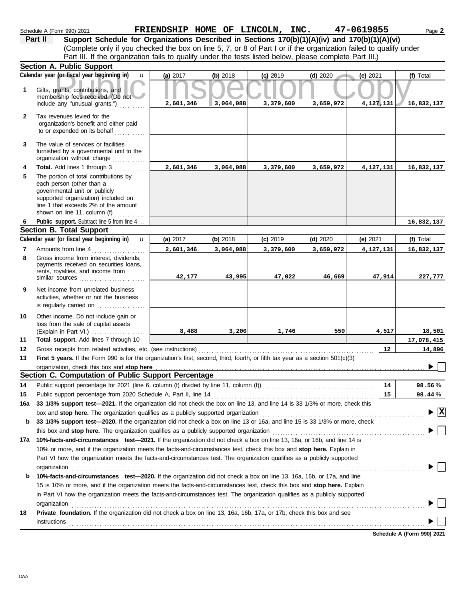|              | Schedule A (Form 990) 2021                                                                                                      | FRIENDSHIP HOME OF LINCOLN, INC. |           |            |            | 47-0619855        | Page 2                                        |
|--------------|---------------------------------------------------------------------------------------------------------------------------------|----------------------------------|-----------|------------|------------|-------------------|-----------------------------------------------|
|              | Support Schedule for Organizations Described in Sections 170(b)(1)(A)(iv) and 170(b)(1)(A)(vi)<br>Part II                       |                                  |           |            |            |                   |                                               |
|              | (Complete only if you checked the box on line 5, 7, or 8 of Part I or if the organization failed to qualify under               |                                  |           |            |            |                   |                                               |
|              | Part III. If the organization fails to qualify under the tests listed below, please complete Part III.)                         |                                  |           |            |            |                   |                                               |
|              | Section A. Public Support                                                                                                       |                                  |           |            |            |                   |                                               |
|              | Calendar year (or fiscal year beginning in)                                                                                     | $\mathbf{u}$<br>(a) 2017         | (b) 2018  | $(c)$ 2019 | $(d)$ 2020 | (e) $2021$        | (f) Total                                     |
| 1            | Gifts, grants, contributions, and                                                                                               |                                  |           |            |            |                   |                                               |
|              | membership fees received. (Do not                                                                                               |                                  |           |            |            |                   |                                               |
|              | include any "unusual grants.")                                                                                                  | 2,601,346                        | 3,064,088 | 3,379,600  | 3,659,972  | 4,127,131         | 16,832,137                                    |
| $\mathbf{2}$ | Tax revenues levied for the                                                                                                     |                                  |           |            |            |                   |                                               |
|              | organization's benefit and either paid                                                                                          |                                  |           |            |            |                   |                                               |
|              | to or expended on its behalf                                                                                                    |                                  |           |            |            |                   |                                               |
| 3            | The value of services or facilities                                                                                             |                                  |           |            |            |                   |                                               |
|              | furnished by a governmental unit to the                                                                                         |                                  |           |            |            |                   |                                               |
|              | organization without charge                                                                                                     |                                  |           |            |            |                   |                                               |
| 4            | Total. Add lines 1 through 3                                                                                                    | 2,601,346                        | 3,064,088 | 3,379,600  | 3,659,972  | 4,127,131         | 16,832,137                                    |
| 5            | The portion of total contributions by                                                                                           |                                  |           |            |            |                   |                                               |
|              | each person (other than a<br>governmental unit or publicly                                                                      |                                  |           |            |            |                   |                                               |
|              | supported organization) included on                                                                                             |                                  |           |            |            |                   |                                               |
|              | line 1 that exceeds 2% of the amount                                                                                            |                                  |           |            |            |                   |                                               |
|              | shown on line 11, column (f)                                                                                                    |                                  |           |            |            |                   |                                               |
| 6            | Public support. Subtract line 5 from line 4                                                                                     |                                  |           |            |            |                   | 16,832,137                                    |
|              | <b>Section B. Total Support</b>                                                                                                 |                                  |           |            |            |                   |                                               |
|              | Calendar year (or fiscal year beginning in)                                                                                     | $\mathbf{u}$<br>(a) 2017         | (b) 2018  | $(c)$ 2019 | $(d)$ 2020 | (e) $2021$        | (f) Total                                     |
| 7<br>8       | Amounts from line 4<br>Gross income from interest, dividends,                                                                   | 2,601,346                        | 3,064,088 | 3,379,600  | 3,659,972  | 4,127,131         | 16,832,137                                    |
|              | payments received on securities loans,                                                                                          |                                  |           |            |            |                   |                                               |
|              | rents, royalties, and income from                                                                                               |                                  |           |            |            |                   |                                               |
|              | similar sources                                                                                                                 | 42,177                           | 43,995    | 47,022     | 46,669     | 47,914            | 227,777                                       |
| 9            | Net income from unrelated business                                                                                              |                                  |           |            |            |                   |                                               |
|              | activities, whether or not the business                                                                                         |                                  |           |            |            |                   |                                               |
|              | is regularly carried on $\ldots$                                                                                                |                                  |           |            |            |                   |                                               |
| 10           | Other income. Do not include gain or                                                                                            |                                  |           |            |            |                   |                                               |
|              | loss from the sale of capital assets<br>(Explain in Part VI.)                                                                   | 8,488                            | 3,200     | 1,746      | 550        | 4,517             | 18,501                                        |
| 11           | Total support. Add lines 7 through 10                                                                                           |                                  |           |            |            |                   | 17,078,415                                    |
| 12           | Gross receipts from related activities, etc. (see instructions)                                                                 |                                  |           |            |            | $12 \overline{ }$ | 14,896                                        |
| 13           | First 5 years. If the Form 990 is for the organization's first, second, third, fourth, or fifth tax year as a section 501(c)(3) |                                  |           |            |            |                   |                                               |
|              |                                                                                                                                 |                                  |           |            |            |                   | N.L.                                          |
|              | Section C. Computation of Public Support Percentage                                                                             |                                  |           |            |            |                   |                                               |
| 14           | Public support percentage for 2021 (line 6, column (f) divided by line 11, column (f)) [[[[[[[[[[[[[[[[[[[[[[                   |                                  |           |            |            | 14                | 98.56%                                        |
| 15           | Public support percentage from 2020 Schedule A, Part II, line 14                                                                |                                  |           |            |            | 15                | 98.44%                                        |
| 16a          | 33 1/3% support test-2021. If the organization did not check the box on line 13, and line 14 is 33 1/3% or more, check this     |                                  |           |            |            |                   |                                               |
|              | box and stop here. The organization qualifies as a publicly supported organization                                              |                                  |           |            |            |                   | $\blacktriangleright$ $\overline{\mathbf{X}}$ |
| b            | 33 1/3% support test-2020. If the organization did not check a box on line 13 or 16a, and line 15 is 33 1/3% or more, check     |                                  |           |            |            |                   |                                               |
|              | this box and stop here. The organization qualifies as a publicly supported organization                                         |                                  |           |            |            |                   |                                               |
|              | 17a 10%-facts-and-circumstances test-2021. If the organization did not check a box on line 13, 16a, or 16b, and line 14 is      |                                  |           |            |            |                   |                                               |
|              | 10% or more, and if the organization meets the facts-and-circumstances test, check this box and stop here. Explain in           |                                  |           |            |            |                   |                                               |
|              | Part VI how the organization meets the facts-and-circumstances test. The organization qualifies as a publicly supported         |                                  |           |            |            |                   |                                               |
|              | organization                                                                                                                    |                                  |           |            |            |                   |                                               |
| b            | 10%-facts-and-circumstances test-2020. If the organization did not check a box on line 13, 16a, 16b, or 17a, and line           |                                  |           |            |            |                   |                                               |
|              | 15 is 10% or more, and if the organization meets the facts-and-circumstances test, check this box and stop here. Explain        |                                  |           |            |            |                   |                                               |
|              | in Part VI how the organization meets the facts-and-circumstances test. The organization qualifies as a publicly supported      |                                  |           |            |            |                   |                                               |
|              | organization                                                                                                                    |                                  |           |            |            |                   |                                               |
| 18           | Private foundation. If the organization did not check a box on line 13, 16a, 16b, 17a, or 17b, check this box and see           |                                  |           |            |            |                   |                                               |
|              | instructions                                                                                                                    |                                  |           |            |            |                   |                                               |
|              |                                                                                                                                 |                                  |           |            |            |                   |                                               |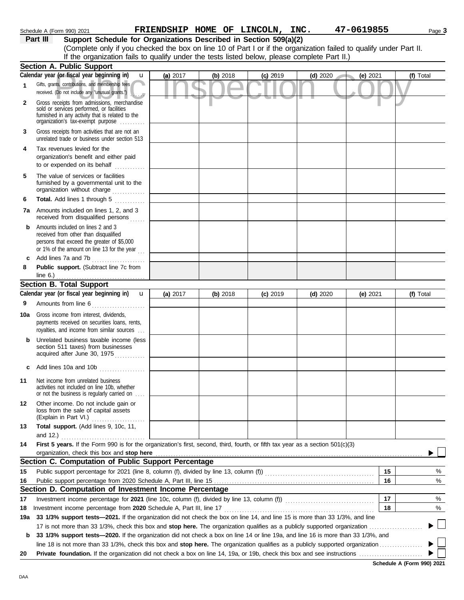|              | (Complete only if you checked the box on line 10 of Part I or if the organization failed to qualify under Part II.<br>If the organization fails to qualify under the tests listed below, please complete Part II.) |          |            |            |            |          |           |
|--------------|--------------------------------------------------------------------------------------------------------------------------------------------------------------------------------------------------------------------|----------|------------|------------|------------|----------|-----------|
|              | Section A. Public Support                                                                                                                                                                                          |          |            |            |            |          |           |
|              | Calendar year (or fiscal year beginning in)<br>$\mathbf{u}$                                                                                                                                                        | (a) 2017 | (b) $2018$ | $(c)$ 2019 | $(d)$ 2020 | (e) 2021 | (f) Total |
| 1            | Gifts, grants, contributions, and membership fees<br>received. (Do not include any "unusual grants.")                                                                                                              |          |            |            |            |          |           |
| $\mathbf{2}$ | Gross receipts from admissions, merchandise<br>sold or services performed, or facilities<br>furnished in any activity that is related to the<br>organization's fax-exempt purpose                                  |          |            |            |            |          |           |
| 3            | Gross receipts from activities that are not an<br>unrelated trade or business under section 513                                                                                                                    |          |            |            |            |          |           |
| 4            | Tax revenues levied for the<br>organization's benefit and either paid<br>to or expended on its behalf                                                                                                              |          |            |            |            |          |           |
| 5            | The value of services or facilities<br>furnished by a governmental unit to the<br>organization without charge                                                                                                      |          |            |            |            |          |           |
| 6            | Total. Add lines 1 through 5<br><u>.</u><br>Tanàna amin'ny                                                                                                                                                         |          |            |            |            |          |           |
|              | <b>7a</b> Amounts included on lines 1, 2, and 3<br>received from disqualified persons                                                                                                                              |          |            |            |            |          |           |
| b            | Amounts included on lines 2 and 3<br>received from other than disqualified<br>persons that exceed the greater of \$5,000<br>or 1% of the amount on line 13 for the year $\ldots$                                   |          |            |            |            |          |           |
| c            | Add lines 7a and 7b<br>.                                                                                                                                                                                           |          |            |            |            |          |           |
| 8            | Public support. (Subtract line 7c from<br>line $6.$ )                                                                                                                                                              |          |            |            |            |          |           |
|              | <b>Section B. Total Support</b>                                                                                                                                                                                    |          |            |            |            |          |           |
|              | Calendar year (or fiscal year beginning in)<br>$\mathbf{u}$                                                                                                                                                        | (a) 2017 | (b) 2018   | $(c)$ 2019 | $(d)$ 2020 | (e) 2021 | (f) Total |
| 9            | Amounts from line 6<br><u> 1986 - Johann Stoff, Amerikaansk kanton (</u>                                                                                                                                           |          |            |            |            |          |           |
| 10a          | Gross income from interest, dividends,<br>payments received on securities loans, rents,<br>royalties, and income from similar sources                                                                              |          |            |            |            |          |           |
| b            | Unrelated business taxable income (less<br>section 511 taxes) from businesses<br>acquired after June 30, 1975                                                                                                      |          |            |            |            |          |           |
| c            | Add lines 10a and 10b                                                                                                                                                                                              |          |            |            |            |          |           |
| 11           | Net income from unrelated business<br>activities not included on line 10b, whether<br>or not the business is regularly carried on                                                                                  |          |            |            |            |          |           |
| 12           | Other income. Do not include gain or<br>loss from the sale of capital assets<br>(Explain in Part VI.)<br>.                                                                                                         |          |            |            |            |          |           |
| 13           | Total support. (Add lines 9, 10c, 11,                                                                                                                                                                              |          |            |            |            |          |           |
|              | and 12.) $\ldots$                                                                                                                                                                                                  |          |            |            |            |          |           |
| 14           | First 5 years. If the Form 990 is for the organization's first, second, third, fourth, or fifth tax year as a section 501(c)(3)<br>organization, check this box and stop here                                      |          |            |            |            |          |           |
|              | Section C. Computation of Public Support Percentage                                                                                                                                                                |          |            |            |            |          |           |
| 15           |                                                                                                                                                                                                                    |          |            |            |            | 15       | %         |
| 16           |                                                                                                                                                                                                                    |          |            |            |            | 16       | %         |
|              | Section D. Computation of Investment Income Percentage                                                                                                                                                             |          |            |            |            |          |           |
| 17           |                                                                                                                                                                                                                    |          |            |            |            | 17       | %         |
| 18           | Investment income percentage from 2020 Schedule A, Part III, line 17                                                                                                                                               |          |            |            |            | 18       | %         |
| 19a          | 33 1/3% support tests—2021. If the organization did not check the box on line 14, and line 15 is more than 33 1/3%, and line                                                                                       |          |            |            |            |          |           |
|              | 17 is not more than 33 1/3%, check this box and stop here. The organization qualifies as a publicly supported organization                                                                                         |          |            |            |            |          |           |
| b            | 33 1/3% support tests—2020. If the organization did not check a box on line 14 or line 19a, and line 16 is more than 33 1/3%, and                                                                                  |          |            |            |            |          |           |
| 20           |                                                                                                                                                                                                                    |          |            |            |            |          |           |

Schedule A (Form 990) 2021 **FRIENDSHIP HOME OF LINCOLN, INC. 47-0619855** Page 3

**Part III** Support Schedule for Organizations Described in Section 509(a)(2)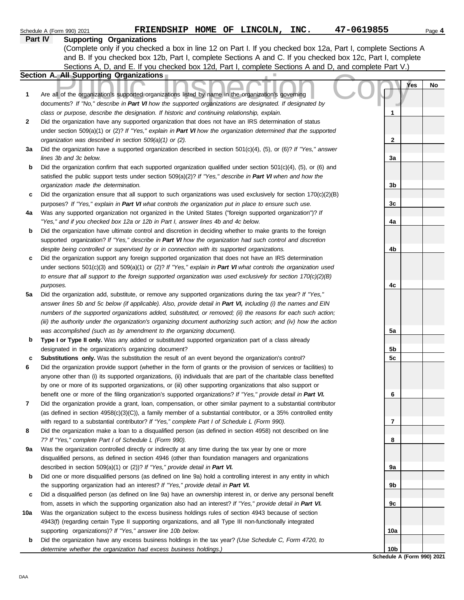|              | 47-0619855<br>FRIENDSHIP HOME OF LINCOLN, INC.<br>Schedule A (Form 990) 2021                                             |                 | Page 4 |
|--------------|--------------------------------------------------------------------------------------------------------------------------|-----------------|--------|
|              | <b>Supporting Organizations</b><br><b>Part IV</b>                                                                        |                 |        |
|              | (Complete only if you checked a box in line 12 on Part I. If you checked box 12a, Part I, complete Sections A            |                 |        |
|              | and B. If you checked box 12b, Part I, complete Sections A and C. If you checked box 12c, Part I, complete               |                 |        |
|              | Sections A, D, and E. If you checked box 12d, Part I, complete Sections A and D, and complete Part V.)                   |                 |        |
|              | <b>Section A. All Supporting Organizations</b>                                                                           |                 |        |
|              |                                                                                                                          | Yes             | No     |
| 1            | Are all of the organization's supported organizations listed by name in the organization's governing                     |                 |        |
|              | documents? If "No," describe in Part VI how the supported organizations are designated. If designated by                 |                 |        |
|              | class or purpose, describe the designation. If historic and continuing relationship, explain.                            | 1               |        |
| $\mathbf{2}$ | Did the organization have any supported organization that does not have an IRS determination of status                   |                 |        |
|              | under section 509(a)(1) or (2)? If "Yes," explain in Part VI how the organization determined that the supported          |                 |        |
|              | organization was described in section 509(a)(1) or (2).                                                                  | $\mathbf{2}$    |        |
| За           | Did the organization have a supported organization described in section $501(c)(4)$ , (5), or (6)? If "Yes," answer      |                 |        |
|              | lines 3b and 3c below.                                                                                                   | 3a              |        |
| b            | Did the organization confirm that each supported organization qualified under section $501(c)(4)$ , $(5)$ , or $(6)$ and |                 |        |
|              | satisfied the public support tests under section 509(a)(2)? If "Yes," describe in Part VI when and how the               |                 |        |
|              | organization made the determination.                                                                                     | 3b              |        |
| c            | Did the organization ensure that all support to such organizations was used exclusively for section $170(c)(2)(B)$       |                 |        |
|              | purposes? If "Yes," explain in Part VI what controls the organization put in place to ensure such use.                   | 3c              |        |
| 4a           | Was any supported organization not organized in the United States ("foreign supported organization")? If                 |                 |        |
|              | "Yes," and if you checked box 12a or 12b in Part I, answer lines 4b and 4c below.                                        | 4a              |        |
| b            | Did the organization have ultimate control and discretion in deciding whether to make grants to the foreign              |                 |        |
|              | supported organization? If "Yes," describe in Part VI how the organization had such control and discretion               |                 |        |
|              | despite being controlled or supervised by or in connection with its supported organizations.                             | 4b              |        |
| c            | Did the organization support any foreign supported organization that does not have an IRS determination                  |                 |        |
|              | under sections $501(c)(3)$ and $509(a)(1)$ or (2)? If "Yes," explain in Part VI what controls the organization used      |                 |        |
|              | to ensure that all support to the foreign supported organization was used exclusively for section $170(c)(2)(B)$         |                 |        |
|              | purposes.                                                                                                                | 4c              |        |
| 5a           | Did the organization add, substitute, or remove any supported organizations during the tax year? If "Yes,"               |                 |        |
|              | answer lines 5b and 5c below (if applicable). Also, provide detail in Part VI, including (i) the names and EIN           |                 |        |
|              | numbers of the supported organizations added, substituted, or removed; (ii) the reasons for each such action;            |                 |        |
|              | (iii) the authority under the organization's organizing document authorizing such action; and (iv) how the action        |                 |        |
|              | was accomplished (such as by amendment to the organizing document).                                                      | 5a              |        |
| b            | Type I or Type II only. Was any added or substituted supported organization part of a class already                      |                 |        |
|              | designated in the organization's organizing document?                                                                    | 5b              |        |
| с            | Substitutions only. Was the substitution the result of an event beyond the organization's control?                       | 5c              |        |
| 6            | Did the organization provide support (whether in the form of grants or the provision of services or facilities) to       |                 |        |
|              | anyone other than (i) its supported organizations, (ii) individuals that are part of the charitable class benefited      |                 |        |
|              | by one or more of its supported organizations, or (iii) other supporting organizations that also support or              |                 |        |
|              | benefit one or more of the filing organization's supported organizations? If "Yes," provide detail in Part VI.           | 6               |        |
| 7            | Did the organization provide a grant, loan, compensation, or other similar payment to a substantial contributor          |                 |        |
|              | (as defined in section 4958(c)(3)(C)), a family member of a substantial contributor, or a 35% controlled entity          |                 |        |
|              | with regard to a substantial contributor? If "Yes," complete Part I of Schedule L (Form 990).                            | 7               |        |
| 8            | Did the organization make a loan to a disqualified person (as defined in section 4958) not described on line             |                 |        |
|              | 7? If "Yes," complete Part I of Schedule L (Form 990).                                                                   | 8               |        |
| 9a           | Was the organization controlled directly or indirectly at any time during the tax year by one or more                    |                 |        |
|              | disqualified persons, as defined in section 4946 (other than foundation managers and organizations                       |                 |        |
|              | described in section 509(a)(1) or (2))? If "Yes," provide detail in Part VI.                                             | 9a              |        |
| b            | Did one or more disqualified persons (as defined on line 9a) hold a controlling interest in any entity in which          |                 |        |
|              | the supporting organization had an interest? If "Yes," provide detail in Part VI.                                        | 9b              |        |
| c            | Did a disqualified person (as defined on line 9a) have an ownership interest in, or derive any personal benefit          |                 |        |
|              | from, assets in which the supporting organization also had an interest? If "Yes," provide detail in Part VI.             | 9c              |        |
| 10a          | Was the organization subject to the excess business holdings rules of section 4943 because of section                    |                 |        |
|              | 4943(f) (regarding certain Type II supporting organizations, and all Type III non-functionally integrated                |                 |        |
|              | supporting organizations)? If "Yes," answer line 10b below.                                                              | 10a             |        |
| b            | Did the organization have any excess business holdings in the tax year? (Use Schedule C, Form 4720, to                   |                 |        |
|              | determine whether the organization had excess business holdings.)                                                        | 10 <sub>b</sub> |        |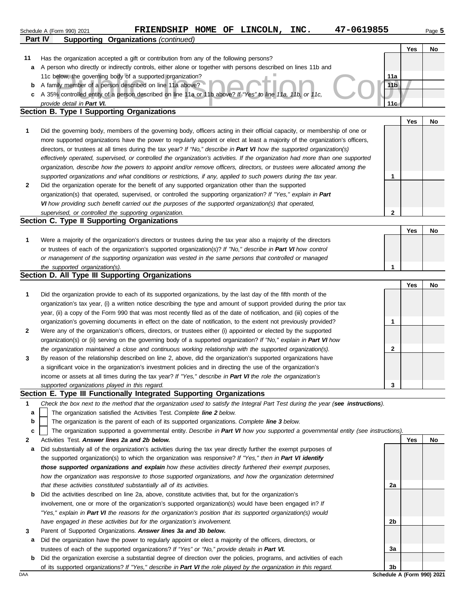|    | 47-0619855<br>FRIENDSHIP HOME OF LINCOLN,<br>INC.<br>Schedule A (Form 990) 2021                                                                                                                                                        |                 |            | Page 5 |
|----|----------------------------------------------------------------------------------------------------------------------------------------------------------------------------------------------------------------------------------------|-----------------|------------|--------|
|    | <b>Supporting Organizations (continued)</b><br><b>Part IV</b>                                                                                                                                                                          |                 |            |        |
|    |                                                                                                                                                                                                                                        |                 | Yes        | No     |
| 11 | Has the organization accepted a gift or contribution from any of the following persons?                                                                                                                                                |                 |            |        |
| a  | A person who directly or indirectly controls, either alone or together with persons described on lines 11b and<br>11c below, the governing body of a supported organization?                                                           | 11a             |            |        |
| b  | A family member of a person described on line 11a above?                                                                                                                                                                               | 11 <sub>b</sub> |            |        |
| c  | A 35% controlled entity of a person described on line 11a or 11b above? If "Yes" to line 11a, 11b, or 11c,                                                                                                                             |                 |            |        |
|    | provide detail in Part VI.                                                                                                                                                                                                             | 11c             |            |        |
|    | <b>Section B. Type I Supporting Organizations</b>                                                                                                                                                                                      |                 |            |        |
|    |                                                                                                                                                                                                                                        |                 | Yes        | No     |
| 1  | Did the governing body, members of the governing body, officers acting in their official capacity, or membership of one or                                                                                                             |                 |            |        |
|    | more supported organizations have the power to regularly appoint or elect at least a majority of the organization's officers,                                                                                                          |                 |            |        |
|    | directors, or trustees at all times during the tax year? If "No," describe in Part VI how the supported organization(s)                                                                                                                |                 |            |        |
|    | effectively operated, supervised, or controlled the organization's activities. If the organization had more than one supported                                                                                                         |                 |            |        |
|    | organization, describe how the powers to appoint and/or remove officers, directors, or trustees were allocated among the                                                                                                               |                 |            |        |
|    | supported organizations and what conditions or restrictions, if any, applied to such powers during the tax year.                                                                                                                       | 1               |            |        |
| 2  | Did the organization operate for the benefit of any supported organization other than the supported                                                                                                                                    |                 |            |        |
|    | organization(s) that operated, supervised, or controlled the supporting organization? If "Yes," explain in Part                                                                                                                        |                 |            |        |
|    | VI how providing such benefit carried out the purposes of the supported organization(s) that operated,<br>supervised, or controlled the supporting organization.                                                                       | $\mathbf{2}$    |            |        |
|    | Section C. Type II Supporting Organizations                                                                                                                                                                                            |                 |            |        |
|    |                                                                                                                                                                                                                                        |                 | <b>Yes</b> | No     |
| 1  | Were a majority of the organization's directors or trustees during the tax year also a majority of the directors                                                                                                                       |                 |            |        |
|    | or trustees of each of the organization's supported organization(s)? If "No," describe in Part VI how control                                                                                                                          |                 |            |        |
|    | or management of the supporting organization was vested in the same persons that controlled or managed                                                                                                                                 |                 |            |        |
|    | the supported organization(s).                                                                                                                                                                                                         | 1               |            |        |
|    | Section D. All Type III Supporting Organizations                                                                                                                                                                                       |                 |            |        |
|    |                                                                                                                                                                                                                                        |                 | Yes        | No     |
| 1  | Did the organization provide to each of its supported organizations, by the last day of the fifth month of the                                                                                                                         |                 |            |        |
|    | organization's tax year, (i) a written notice describing the type and amount of support provided during the prior tax                                                                                                                  |                 |            |        |
|    | year, (ii) a copy of the Form 990 that was most recently filed as of the date of notification, and (iii) copies of the                                                                                                                 |                 |            |        |
|    | organization's governing documents in effect on the date of notification, to the extent not previously provided?                                                                                                                       | 1               |            |        |
| 2  | Were any of the organization's officers, directors, or trustees either (i) appointed or elected by the supported<br>organization(s) or (ii) serving on the governing body of a supported organization? If "No," explain in Part VI how |                 |            |        |
|    | the organization maintained a close and continuous working relationship with the supported organization(s).                                                                                                                            | 2               |            |        |
| 3  | By reason of the relationship described on line 2, above, did the organization's supported organizations have                                                                                                                          |                 |            |        |
|    | a significant voice in the organization's investment policies and in directing the use of the organization's                                                                                                                           |                 |            |        |
|    | income or assets at all times during the tax year? If "Yes," describe in Part VI the role the organization's                                                                                                                           |                 |            |        |
|    | supported organizations played in this regard.                                                                                                                                                                                         | 3               |            |        |
|    | Section E. Type III Functionally Integrated Supporting Organizations                                                                                                                                                                   |                 |            |        |
| 1  | Check the box next to the method that the organization used to satisfy the Integral Part Test during the year (see instructions).                                                                                                      |                 |            |        |
| a  | The organization satisfied the Activities Test. Complete line 2 below.                                                                                                                                                                 |                 |            |        |
| b  | The organization is the parent of each of its supported organizations. Complete line 3 below.                                                                                                                                          |                 |            |        |
| c  | The organization supported a governmental entity. Describe in Part VI how you supported a governmental entity (see instructions).                                                                                                      |                 |            |        |
| 2  | Activities Test. Answer lines 2a and 2b below.                                                                                                                                                                                         |                 | Yes        | No     |
| a  | Did substantially all of the organization's activities during the tax year directly further the exempt purposes of                                                                                                                     |                 |            |        |
|    | the supported organization(s) to which the organization was responsive? If "Yes," then in Part VI identify<br>those supported organizations and explain how these activities directly furthered their exempt purposes,                 |                 |            |        |
|    | how the organization was responsive to those supported organizations, and how the organization determined                                                                                                                              |                 |            |        |
|    | that these activities constituted substantially all of its activities.                                                                                                                                                                 | 2a              |            |        |
| b  | Did the activities described on line 2a, above, constitute activities that, but for the organization's                                                                                                                                 |                 |            |        |
|    | involvement, one or more of the organization's supported organization(s) would have been engaged in? If                                                                                                                                |                 |            |        |
|    | "Yes," explain in Part VI the reasons for the organization's position that its supported organization(s) would                                                                                                                         |                 |            |        |
|    | have engaged in these activities but for the organization's involvement.                                                                                                                                                               | 2b              |            |        |
| 3  | Parent of Supported Organizations. Answer lines 3a and 3b below.                                                                                                                                                                       |                 |            |        |
| а  | Did the organization have the power to regularly appoint or elect a majority of the officers, directors, or                                                                                                                            |                 |            |        |
|    | trustees of each of the supported organizations? If "Yes" or "No," provide details in Part VI.                                                                                                                                         | За              |            |        |
| b  | Did the organization exercise a substantial degree of direction over the policies, programs, and activities of each                                                                                                                    |                 |            |        |
|    | of its supported organizations? If "Yes," describe in Part VI the role played by the organization in this regard.                                                                                                                      | 3 <sub>b</sub>  |            |        |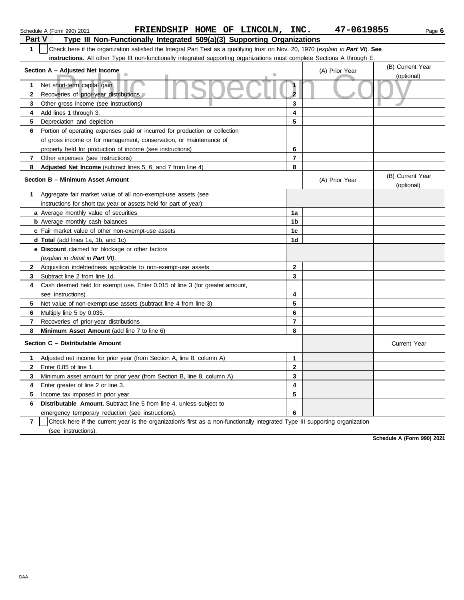|                | FRIENDSHIP HOME OF LINCOLN, INC.<br>Schedule A (Form 990) 2021                                                                   |                      | 47-0619855     | Page 6                         |
|----------------|----------------------------------------------------------------------------------------------------------------------------------|----------------------|----------------|--------------------------------|
| Part V         | Type III Non-Functionally Integrated 509(a)(3) Supporting Organizations                                                          |                      |                |                                |
| $\mathbf{1}$   | Check here if the organization satisfied the Integral Part Test as a qualifying trust on Nov. 20, 1970 (explain in Part VI). See |                      |                |                                |
|                | instructions. All other Type III non-functionally integrated supporting organizations must complete Sections A through E.        |                      |                |                                |
|                | Section A - Adjusted Net Income                                                                                                  |                      | (A) Prior Year | (B) Current Year               |
|                |                                                                                                                                  |                      |                | (optional)                     |
| 1              | Net short-term capital gain                                                                                                      | $\ddot{\phantom{1}}$ |                |                                |
| 2              | Recoveries of prior-year distributions                                                                                           | $\overline{2}$       |                |                                |
| 3              | Other gross income (see instructions)                                                                                            | 3                    |                |                                |
| 4              | Add lines 1 through 3.                                                                                                           | 4                    |                |                                |
| 5              | Depreciation and depletion                                                                                                       | 5                    |                |                                |
| 6              | Portion of operating expenses paid or incurred for production or collection                                                      |                      |                |                                |
|                | of gross income or for management, conservation, or maintenance of                                                               |                      |                |                                |
|                | property held for production of income (see instructions)                                                                        | 6                    |                |                                |
| 7              | Other expenses (see instructions)                                                                                                | $\overline{7}$       |                |                                |
| 8              | Adjusted Net Income (subtract lines 5, 6, and 7 from line 4)                                                                     | 8                    |                |                                |
|                | Section B - Minimum Asset Amount                                                                                                 |                      | (A) Prior Year | (B) Current Year<br>(optional) |
| 1.             | Aggregate fair market value of all non-exempt-use assets (see                                                                    |                      |                |                                |
|                | instructions for short tax year or assets held for part of year):                                                                |                      |                |                                |
|                | a Average monthly value of securities                                                                                            | 1a                   |                |                                |
|                | <b>b</b> Average monthly cash balances                                                                                           | 1b                   |                |                                |
|                | c Fair market value of other non-exempt-use assets                                                                               | 1 <sub>c</sub>       |                |                                |
|                | d Total (add lines 1a, 1b, and 1c)                                                                                               | 1d                   |                |                                |
|                | e Discount claimed for blockage or other factors                                                                                 |                      |                |                                |
|                | (explain in detail in Part VI):                                                                                                  |                      |                |                                |
| $\mathbf{2}$   | Acquisition indebtedness applicable to non-exempt-use assets                                                                     | $\mathbf{2}$         |                |                                |
| 3              | Subtract line 2 from line 1d.                                                                                                    | 3                    |                |                                |
| 4              | Cash deemed held for exempt use. Enter 0.015 of line 3 (for greater amount,                                                      |                      |                |                                |
|                | see instructions).                                                                                                               | 4                    |                |                                |
| 5              | Net value of non-exempt-use assets (subtract line 4 from line 3)                                                                 | 5                    |                |                                |
| 6              | Multiply line 5 by 0.035.                                                                                                        | 6                    |                |                                |
| 7              | Recoveries of prior-year distributions                                                                                           | $\overline{7}$       |                |                                |
| 8              | Minimum Asset Amount (add line 7 to line 6)                                                                                      | 8                    |                |                                |
|                | Section C - Distributable Amount                                                                                                 |                      |                | <b>Current Year</b>            |
| 1.             | Adjusted net income for prior year (from Section A, line 8, column A)                                                            | 1                    |                |                                |
| 2              | Enter 0.85 of line 1.                                                                                                            | $\mathbf 2$          |                |                                |
| 3              | Minimum asset amount for prior year (from Section B, line 8, column A)                                                           | 3                    |                |                                |
| 4              | Enter greater of line 2 or line 3.                                                                                               | 4                    |                |                                |
| 5              | Income tax imposed in prior year                                                                                                 | 5                    |                |                                |
| 6              | Distributable Amount. Subtract line 5 from line 4, unless subject to                                                             |                      |                |                                |
|                | emergency temporary reduction (see instructions).                                                                                | 6                    |                |                                |
| $\overline{7}$ | Check here if the current year is the organization's first as a non-functionally integrated Type III supporting organization     |                      |                |                                |

**Schedule A (Form 990) 2021**

(see instructions).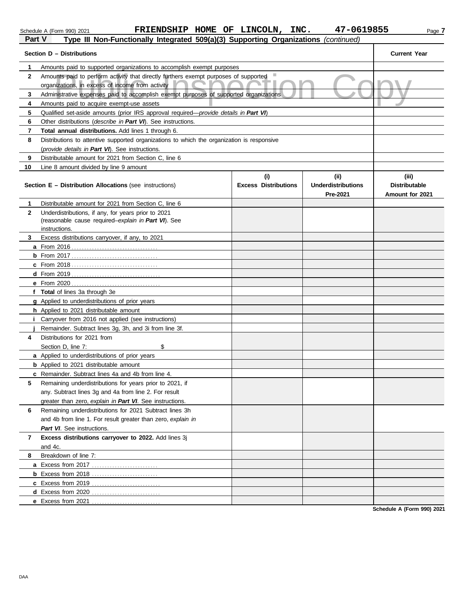#### Schedule A (Form 990) 2021 **FRIENDSHIP HOME OF LINCOLN, INC. 47-0619855** Page **7 Part V Type III Non-Functionally Integrated 509(a)(3) Supporting Organizations** *(continued)*

| Part v       | Type in Non-Functionally integrated 509(a)(3) Supporting Organizations ( <i>Continued</i> ) |                             |                           |                      |
|--------------|---------------------------------------------------------------------------------------------|-----------------------------|---------------------------|----------------------|
|              | Section D - Distributions                                                                   |                             |                           | <b>Current Year</b>  |
| 1            | Amounts paid to supported organizations to accomplish exempt purposes                       |                             |                           |                      |
| $\mathbf{2}$ | Amounts paid to perform activity that directly furthers exempt purposes of supported ■      |                             |                           |                      |
|              | organizations, in excess of income from activity                                            |                             |                           |                      |
| 3            | Administrative expenses paid to accomplish exempt purposes of supported organizations       |                             |                           |                      |
| 4            | Amounts paid to acquire exempt-use assets                                                   |                             |                           |                      |
| 5            | Qualified set-aside amounts (prior IRS approval required—provide details in Part VI)        |                             |                           |                      |
| 6            | Other distributions ( <i>describe in Part VI</i> ). See instructions.                       |                             |                           |                      |
| 7            | Total annual distributions. Add lines 1 through 6.                                          |                             |                           |                      |
| 8            | Distributions to attentive supported organizations to which the organization is responsive  |                             |                           |                      |
|              | (provide details in Part VI). See instructions.                                             |                             |                           |                      |
| 9            | Distributable amount for 2021 from Section C, line 6                                        |                             |                           |                      |
| 10           | Line 8 amount divided by line 9 amount                                                      |                             |                           |                      |
|              |                                                                                             | (i)                         | (i)                       | (iii)                |
|              | <b>Section E - Distribution Allocations (see instructions)</b>                              | <b>Excess Distributions</b> | <b>Underdistributions</b> | <b>Distributable</b> |
|              |                                                                                             |                             | Pre-2021                  | Amount for 2021      |
| 1            | Distributable amount for 2021 from Section C, line 6                                        |                             |                           |                      |
| $\mathbf{2}$ | Underdistributions, if any, for years prior to 2021                                         |                             |                           |                      |
|              | (reasonable cause required-explain in Part VI). See<br>instructions.                        |                             |                           |                      |
| 3            | Excess distributions carryover, if any, to 2021                                             |                             |                           |                      |
|              |                                                                                             |                             |                           |                      |
|              |                                                                                             |                             |                           |                      |
|              |                                                                                             |                             |                           |                      |
|              |                                                                                             |                             |                           |                      |
|              |                                                                                             |                             |                           |                      |
|              | f Total of lines 3a through 3e                                                              |                             |                           |                      |
|              | g Applied to underdistributions of prior years                                              |                             |                           |                      |
|              | h Applied to 2021 distributable amount                                                      |                             |                           |                      |
| Ť.           | Carryover from 2016 not applied (see instructions)                                          |                             |                           |                      |
|              | Remainder. Subtract lines 3g, 3h, and 3i from line 3f.                                      |                             |                           |                      |
| 4            | Distributions for 2021 from                                                                 |                             |                           |                      |
|              | \$<br>Section D, line 7:                                                                    |                             |                           |                      |
|              | a Applied to underdistributions of prior years                                              |                             |                           |                      |
|              | <b>b</b> Applied to 2021 distributable amount                                               |                             |                           |                      |
|              | c Remainder. Subtract lines 4a and 4b from line 4.                                          |                             |                           |                      |
| 5            | Remaining underdistributions for years prior to 2021, if                                    |                             |                           |                      |
|              | any. Subtract lines 3g and 4a from line 2. For result                                       |                             |                           |                      |
|              | greater than zero, explain in Part VI. See instructions.                                    |                             |                           |                      |
| 6            | Remaining underdistributions for 2021 Subtract lines 3h                                     |                             |                           |                      |
|              | and 4b from line 1. For result greater than zero, explain in                                |                             |                           |                      |
|              | Part VI. See instructions.                                                                  |                             |                           |                      |
| 7            | Excess distributions carryover to 2022. Add lines 3j                                        |                             |                           |                      |
|              | and 4c.                                                                                     |                             |                           |                      |
| 8            | Breakdown of line 7:                                                                        |                             |                           |                      |
|              |                                                                                             |                             |                           |                      |
|              | <b>b</b> Excess from 2018                                                                   |                             |                           |                      |
|              |                                                                                             |                             |                           |                      |
|              | d Excess from 2020                                                                          |                             |                           |                      |
|              | e Excess from 2021                                                                          |                             |                           |                      |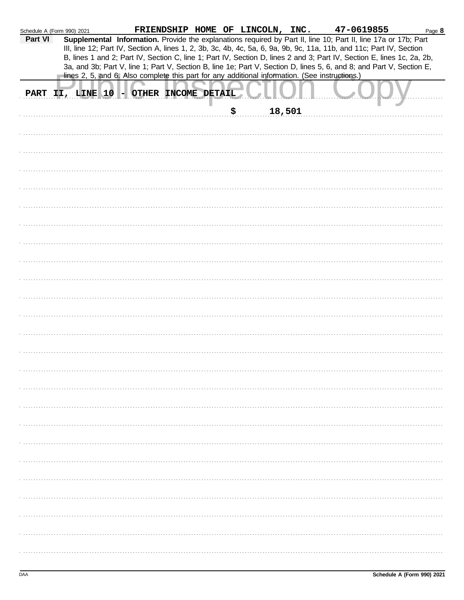| Schedule A (Form 990) 2021 |  |                                        |  |    | FRIENDSHIP HOME OF LINCOLN, INC. | 47-0619855                                                                                                                                                                                                                              | Page 8 |
|----------------------------|--|----------------------------------------|--|----|----------------------------------|-----------------------------------------------------------------------------------------------------------------------------------------------------------------------------------------------------------------------------------------|--------|
| Part VI                    |  |                                        |  |    |                                  | Supplemental Information. Provide the explanations required by Part II, line 10; Part II, line 17a or 17b; Part<br>III, line 12; Part IV, Section A, lines 1, 2, 3b, 3c, 4b, 4c, 5a, 6, 9a, 9b, 9c, 11a, 11b, and 11c; Part IV, Section |        |
|                            |  |                                        |  |    |                                  | B, lines 1 and 2; Part IV, Section C, line 1; Part IV, Section D, lines 2 and 3; Part IV, Section E, lines 1c, 2a, 2b,                                                                                                                  |        |
|                            |  |                                        |  |    |                                  | 3a, and 3b; Part V, line 1; Part V, Section B, line 1e; Part V, Section D, lines 5, 6, and 8; and Part V, Section E,<br>lines 2, 5, and 6. Also complete this part for any additional information. (See instructions.)                  |        |
|                            |  |                                        |  |    |                                  |                                                                                                                                                                                                                                         |        |
|                            |  | PART II, LINE 10 - OTHER INCOME DETAIL |  |    |                                  |                                                                                                                                                                                                                                         |        |
|                            |  |                                        |  | \$ | 18,501                           |                                                                                                                                                                                                                                         |        |
|                            |  |                                        |  |    |                                  |                                                                                                                                                                                                                                         |        |
|                            |  |                                        |  |    |                                  |                                                                                                                                                                                                                                         |        |
|                            |  |                                        |  |    |                                  |                                                                                                                                                                                                                                         |        |
|                            |  |                                        |  |    |                                  |                                                                                                                                                                                                                                         |        |
|                            |  |                                        |  |    |                                  |                                                                                                                                                                                                                                         |        |
|                            |  |                                        |  |    |                                  |                                                                                                                                                                                                                                         |        |
|                            |  |                                        |  |    |                                  |                                                                                                                                                                                                                                         |        |
|                            |  |                                        |  |    |                                  |                                                                                                                                                                                                                                         |        |
|                            |  |                                        |  |    |                                  |                                                                                                                                                                                                                                         |        |
|                            |  |                                        |  |    |                                  |                                                                                                                                                                                                                                         |        |
|                            |  |                                        |  |    |                                  |                                                                                                                                                                                                                                         |        |
|                            |  |                                        |  |    |                                  |                                                                                                                                                                                                                                         |        |
|                            |  |                                        |  |    |                                  |                                                                                                                                                                                                                                         |        |
|                            |  |                                        |  |    |                                  |                                                                                                                                                                                                                                         |        |
|                            |  |                                        |  |    |                                  |                                                                                                                                                                                                                                         |        |
|                            |  |                                        |  |    |                                  |                                                                                                                                                                                                                                         |        |
|                            |  |                                        |  |    |                                  |                                                                                                                                                                                                                                         |        |
|                            |  |                                        |  |    |                                  |                                                                                                                                                                                                                                         |        |
|                            |  |                                        |  |    |                                  |                                                                                                                                                                                                                                         |        |
|                            |  |                                        |  |    |                                  |                                                                                                                                                                                                                                         |        |
|                            |  |                                        |  |    |                                  |                                                                                                                                                                                                                                         |        |
|                            |  |                                        |  |    |                                  |                                                                                                                                                                                                                                         |        |
|                            |  |                                        |  |    |                                  |                                                                                                                                                                                                                                         |        |
|                            |  |                                        |  |    |                                  |                                                                                                                                                                                                                                         |        |
|                            |  |                                        |  |    |                                  |                                                                                                                                                                                                                                         |        |
|                            |  |                                        |  |    |                                  |                                                                                                                                                                                                                                         |        |
|                            |  |                                        |  |    |                                  |                                                                                                                                                                                                                                         |        |
|                            |  |                                        |  |    |                                  |                                                                                                                                                                                                                                         |        |
|                            |  |                                        |  |    |                                  |                                                                                                                                                                                                                                         |        |
|                            |  |                                        |  |    |                                  |                                                                                                                                                                                                                                         |        |
|                            |  |                                        |  |    |                                  |                                                                                                                                                                                                                                         |        |
|                            |  |                                        |  |    |                                  |                                                                                                                                                                                                                                         |        |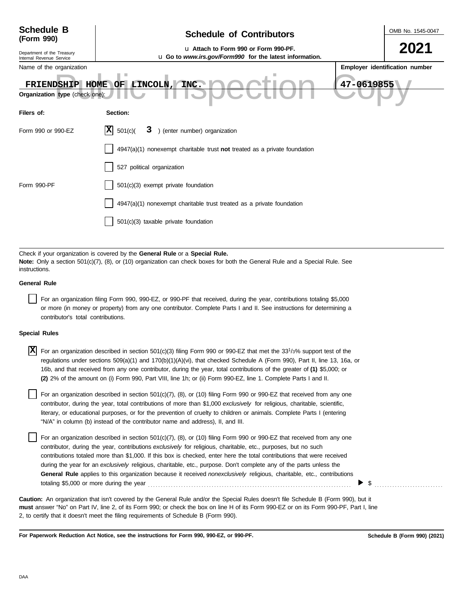| <b>Schedule B</b><br>(Form 990)                                                                         | OMB No. 1545-0047                                                                                |  |                                |  |  |  |
|---------------------------------------------------------------------------------------------------------|--------------------------------------------------------------------------------------------------|--|--------------------------------|--|--|--|
| Department of the Treasury<br>Internal Revenue Service                                                  | La Attach to Form 990 or Form 990-PF.<br>u Go to www.irs.gov/Form990 for the latest information. |  | 2021                           |  |  |  |
| Name of the organization                                                                                |                                                                                                  |  | Employer identification number |  |  |  |
| 47-0619855<br>INC.<br>HOME<br>OF LINCOLN,<br><b>FRIENDSHIP</b><br><b>Organization type</b> (check one): |                                                                                                  |  |                                |  |  |  |
| Filers of:                                                                                              | Section:                                                                                         |  |                                |  |  |  |
| Form 990 or 990-EZ                                                                                      | X <br>) (enter number) organization<br>501(c)<br>3                                               |  |                                |  |  |  |
|                                                                                                         | $4947(a)(1)$ nonexempt charitable trust not treated as a private foundation                      |  |                                |  |  |  |
|                                                                                                         | 527 political organization                                                                       |  |                                |  |  |  |
| Form 990-PF                                                                                             | 501(c)(3) exempt private foundation                                                              |  |                                |  |  |  |
|                                                                                                         | 4947(a)(1) nonexempt charitable trust treated as a private foundation                            |  |                                |  |  |  |
|                                                                                                         | 501(c)(3) taxable private foundation                                                             |  |                                |  |  |  |
|                                                                                                         |                                                                                                  |  |                                |  |  |  |

Check if your organization is covered by the **General Rule** or a **Special Rule. Note:** Only a section 501(c)(7), (8), or (10) organization can check boxes for both the General Rule and a Special Rule. See instructions.

#### **General Rule**

For an organization filing Form 990, 990-EZ, or 990-PF that received, during the year, contributions totaling \$5,000 or more (in money or property) from any one contributor. Complete Parts I and II. See instructions for determining a contributor's total contributions.

#### **Special Rules**

X For an organization described in section 501(c)(3) filing Form 990 or 990-EZ that met the 33<sup>1</sup>/3% support test of the regulations under sections 509(a)(1) and 170(b)(1)(A)(vi), that checked Schedule A (Form 990), Part II, line 13, 16a, or 16b, and that received from any one contributor, during the year, total contributions of the greater of **(1)** \$5,000; or **(2)** 2% of the amount on (i) Form 990, Part VIII, line 1h; or (ii) Form 990-EZ, line 1. Complete Parts I and II.

literary, or educational purposes, or for the prevention of cruelty to children or animals. Complete Parts I (entering For an organization described in section  $501(c)(7)$ ,  $(8)$ , or  $(10)$  filing Form 990 or 990-EZ that received from any one contributor, during the year, total contributions of more than \$1,000 *exclusively* for religious, charitable, scientific, "N/A" in column (b) instead of the contributor name and address), II, and III.

For an organization described in section 501(c)(7), (8), or (10) filing Form 990 or 990-EZ that received from any one contributor, during the year, contributions *exclusively* for religious, charitable, etc., purposes, but no such contributions totaled more than \$1,000. If this box is checked, enter here the total contributions that were received during the year for an *exclusively* religious, charitable, etc., purpose. Don't complete any of the parts unless the **General Rule** applies to this organization because it received *nonexclusively* religious, charitable, etc., contributions totaling \$5,000 or more during the year . . . . . . . . . . . . . . . . . . . . . . . . . . . . . . . . . . . . . . . . . . . . . . . . . . . . . . . . . . . . . . . . . . . . . . . . . . . . . . . .

**must** answer "No" on Part IV, line 2, of its Form 990; or check the box on line H of its Form 990-EZ or on its Form 990-PF, Part I, line 2, to certify that it doesn't meet the filing requirements of Schedule B (Form 990). **Caution:** An organization that isn't covered by the General Rule and/or the Special Rules doesn't file Schedule B (Form 990), but it

**For Paperwork Reduction Act Notice, see the instructions for Form 990, 990-EZ, or 990-PF.**

 $\triangleright$   $\$$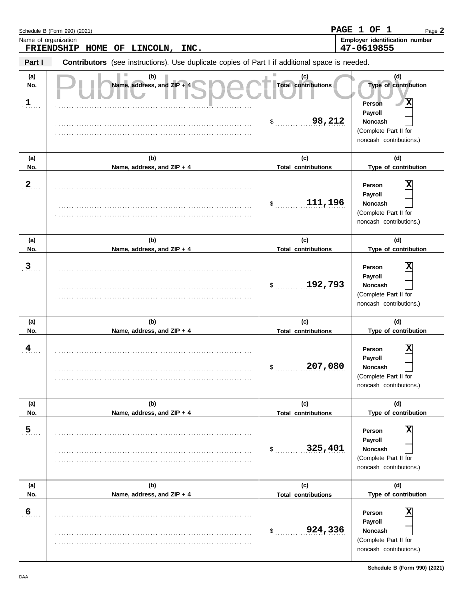|                              | Schedule B (Form 990) (2021)                                                                          |                                                   | PAGE 1 OF 1<br>Page 2                                                                                                          |
|------------------------------|-------------------------------------------------------------------------------------------------------|---------------------------------------------------|--------------------------------------------------------------------------------------------------------------------------------|
|                              | Name of organization<br>FRIENDSHIP<br>HOME OF LINCOLN, INC.                                           |                                                   | Employer identification number<br>47-0619855                                                                                   |
| Part I                       | <b>Contributors</b> (see instructions). Use duplicate copies of Part I if additional space is needed. |                                                   |                                                                                                                                |
| (a)<br>No.<br>$\mathbf{1}$ . | (b)<br>Name, address, and ZIP + 4                                                                     | (c)<br><b>Total contributions</b><br>98,212<br>\$ | (d)<br>Type of contribution<br>$\mathbf x$<br>Person<br>Payroll<br>Noncash<br>(Complete Part II for<br>noncash contributions.) |
| (a)                          | (b)                                                                                                   | (c)                                               | (d)                                                                                                                            |
| No.<br>$\mathbf{2}$          | Name, address, and ZIP + 4                                                                            | <b>Total contributions</b><br>111,196<br>\$       | Type of contribution<br>Person<br>Payroll<br>Noncash<br>(Complete Part II for<br>noncash contributions.)                       |
| (a)<br>No.                   | (b)<br>Name, address, and ZIP + 4                                                                     | (c)<br><b>Total contributions</b>                 | (d)<br>Type of contribution                                                                                                    |
| 3 <sub>1</sub>               |                                                                                                       | 192,793<br>\$                                     | Person<br>Payroll<br>Noncash<br>(Complete Part II for<br>noncash contributions.)                                               |
| (a)                          | (b)                                                                                                   | (c)                                               | (d)                                                                                                                            |
| No.<br>4                     | Name, address, and ZIP + 4                                                                            | <b>Total contributions</b><br>207,080<br>Φ        | Type of contribution<br>X<br>Person<br>Payroll<br><b>Noncash</b><br>(Complete Part II for<br>noncash contributions.)           |
| (a)<br>No.                   | (b)<br>Name, address, and ZIP + 4                                                                     | (c)<br><b>Total contributions</b>                 | (d)<br>Type of contribution                                                                                                    |
| 5 <sub>1</sub>               |                                                                                                       | 325,401<br>\$                                     | х<br>Person<br>Payroll<br><b>Noncash</b><br>(Complete Part II for<br>noncash contributions.)                                   |
| (a)<br>No.                   | (b)<br>Name, address, and ZIP + 4                                                                     | (c)                                               | (d)<br>Type of contribution                                                                                                    |
| $6 \overline{6}$             |                                                                                                       | <b>Total contributions</b><br>924,336<br>\$       | X<br>Person<br>Payroll<br>Noncash<br>(Complete Part II for<br>noncash contributions.)                                          |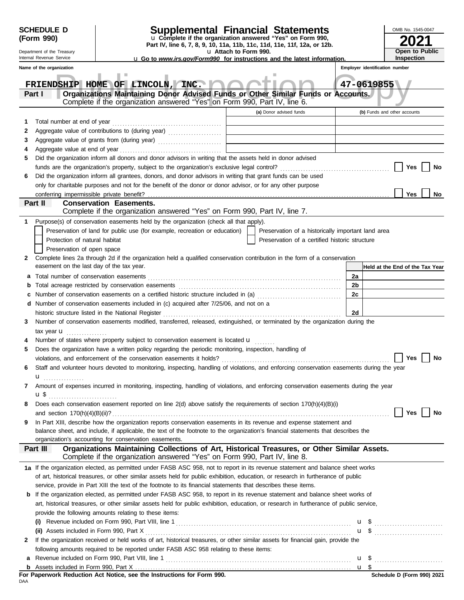|   | <b>SCHEDULE D</b><br>(Form 990)                                                                                              | <b>Supplemental Financial Statements</b><br>u Complete if the organization answered "Yes" on Form 990,                                                                     |    |            | OMB No. 1545-0047               |
|---|------------------------------------------------------------------------------------------------------------------------------|----------------------------------------------------------------------------------------------------------------------------------------------------------------------------|----|------------|---------------------------------|
|   | Department of the Treasury                                                                                                   | Part IV, line 6, 7, 8, 9, 10, 11a, 11b, 11c, 11d, 11e, 11f, 12a, or 12b.<br>u Attach to Form 990.                                                                          |    |            | Open to Public                  |
|   | Internal Revenue Service                                                                                                     | <b>u</b> Go to www.irs.gov/Form990 for instructions and the latest information.                                                                                            |    |            | Inspection                      |
|   | Name of the organization                                                                                                     |                                                                                                                                                                            |    |            | Employer identification number  |
|   |                                                                                                                              |                                                                                                                                                                            |    |            |                                 |
|   |                                                                                                                              | FRIENDSHIP HOME OF LINCOLN, INC.                                                                                                                                           |    | 47-0619855 |                                 |
|   | Part I                                                                                                                       | Organizations Maintaining Donor Advised Funds or Other Similar Funds or Accounts.<br>Complete if the organization answered "Yes" on Form 990, Part IV, line 6.             |    |            |                                 |
|   |                                                                                                                              | (a) Donor advised funds                                                                                                                                                    |    |            | (b) Funds and other accounts    |
| 1 |                                                                                                                              |                                                                                                                                                                            |    |            |                                 |
| 2 |                                                                                                                              | Aggregate value of contributions to (during year) [10] Aggregate value of contributions to (during year)                                                                   |    |            |                                 |
| 3 |                                                                                                                              |                                                                                                                                                                            |    |            |                                 |
| 4 |                                                                                                                              |                                                                                                                                                                            |    |            |                                 |
| 5 |                                                                                                                              | Did the organization inform all donors and donor advisors in writing that the assets held in donor advised                                                                 |    |            |                                 |
|   |                                                                                                                              |                                                                                                                                                                            |    |            | Yes<br>No                       |
| 6 |                                                                                                                              | Did the organization inform all grantees, donors, and donor advisors in writing that grant funds can be used                                                               |    |            |                                 |
|   |                                                                                                                              | only for charitable purposes and not for the benefit of the donor or donor advisor, or for any other purpose                                                               |    |            |                                 |
|   | conferring impermissible private benefit?                                                                                    |                                                                                                                                                                            |    |            | Yes<br>No                       |
|   | Part II                                                                                                                      | <b>Conservation Easements.</b><br>Complete if the organization answered "Yes" on Form 990, Part IV, line 7.                                                                |    |            |                                 |
| 1 |                                                                                                                              | Purpose(s) of conservation easements held by the organization (check all that apply).                                                                                      |    |            |                                 |
|   |                                                                                                                              | Preservation of land for public use (for example, recreation or education)<br>Preservation of a historically important land area                                           |    |            |                                 |
|   | Protection of natural habitat                                                                                                | Preservation of a certified historic structure                                                                                                                             |    |            |                                 |
|   | Preservation of open space                                                                                                   |                                                                                                                                                                            |    |            |                                 |
| 2 |                                                                                                                              | Complete lines 2a through 2d if the organization held a qualified conservation contribution in the form of a conservation                                                  |    |            |                                 |
|   | easement on the last day of the tax year.                                                                                    |                                                                                                                                                                            |    |            | Held at the End of the Tax Year |
| а |                                                                                                                              |                                                                                                                                                                            | 2a |            |                                 |
| b |                                                                                                                              |                                                                                                                                                                            | 2b |            |                                 |
| c |                                                                                                                              | Number of conservation easements on a certified historic structure included in (a) [11] Number of conservation easements on a certified historic structure included in (a) | 2c |            |                                 |
| d |                                                                                                                              | Number of conservation easements included in (c) acquired after 7/25/06, and not on a                                                                                      |    |            |                                 |
|   |                                                                                                                              | historic structure listed in the National Register                                                                                                                         | 2d |            |                                 |
| 3 | Number of conservation easements modified, transferred, released, extinguished, or terminated by the organization during the |                                                                                                                                                                            |    |            |                                 |
|   | tax year <b>u</b><br>.                                                                                                       |                                                                                                                                                                            |    |            |                                 |
|   |                                                                                                                              | Number of states where property subject to conservation easement is located u                                                                                              |    |            |                                 |
| 5 |                                                                                                                              | Does the organization have a written policy regarding the periodic monitoring, inspection, handling of                                                                     |    |            |                                 |
|   |                                                                                                                              | violations, and enforcement of the conservation easements it holds?                                                                                                        |    |            | No<br>Yes                       |
| 6 |                                                                                                                              | Staff and volunteer hours devoted to monitoring, inspecting, handling of violations, and enforcing conservation easements during the year                                  |    |            |                                 |
|   | u <sub></sub>                                                                                                                |                                                                                                                                                                            |    |            |                                 |
| 7 |                                                                                                                              | Amount of expenses incurred in monitoring, inspecting, handling of violations, and enforcing conservation easements during the year                                        |    |            |                                 |
|   |                                                                                                                              |                                                                                                                                                                            |    |            |                                 |
| 8 |                                                                                                                              | Does each conservation easement reported on line 2(d) above satisfy the requirements of section 170(h)(4)(B)(i)                                                            |    |            | Yes<br>No                       |
| 9 |                                                                                                                              | In Part XIII, describe how the organization reports conservation easements in its revenue and expense statement and                                                        |    |            |                                 |
|   |                                                                                                                              | balance sheet, and include, if applicable, the text of the footnote to the organization's financial statements that describes the                                          |    |            |                                 |
|   |                                                                                                                              | organization's accounting for conservation easements.                                                                                                                      |    |            |                                 |
|   | Part III                                                                                                                     | Organizations Maintaining Collections of Art, Historical Treasures, or Other Similar Assets.<br>Complete if the organization answered "Yes" on Form 990, Part IV, line 8.  |    |            |                                 |
|   |                                                                                                                              | 1a If the organization elected, as permitted under FASB ASC 958, not to report in its revenue statement and balance sheet works                                            |    |            |                                 |
|   |                                                                                                                              | of art, historical treasures, or other similar assets held for public exhibition, education, or research in furtherance of public                                          |    |            |                                 |
|   |                                                                                                                              | service, provide in Part XIII the text of the footnote to its financial statements that describes these items.                                                             |    |            |                                 |
| b |                                                                                                                              | If the organization elected, as permitted under FASB ASC 958, to report in its revenue statement and balance sheet works of                                                |    |            |                                 |
|   |                                                                                                                              | art, historical treasures, or other similar assets held for public exhibition, education, or research in furtherance of public service,                                    |    |            |                                 |
|   |                                                                                                                              | provide the following amounts relating to these items:                                                                                                                     |    |            |                                 |
|   | (i)                                                                                                                          |                                                                                                                                                                            |    |            |                                 |
|   |                                                                                                                              |                                                                                                                                                                            |    |            | $\mathbf{u}$ \$                 |
| 2 |                                                                                                                              | If the organization received or held works of art, historical treasures, or other similar assets for financial gain, provide the                                           |    |            |                                 |
|   |                                                                                                                              | following amounts required to be reported under FASB ASC 958 relating to these items:                                                                                      |    |            |                                 |
|   |                                                                                                                              |                                                                                                                                                                            |    |            |                                 |
|   |                                                                                                                              |                                                                                                                                                                            |    |            |                                 |

| For Paperwork Reduction Act Notice, see the Instructions for Form 990. |  |  |  |  |  |
|------------------------------------------------------------------------|--|--|--|--|--|
| DAA                                                                    |  |  |  |  |  |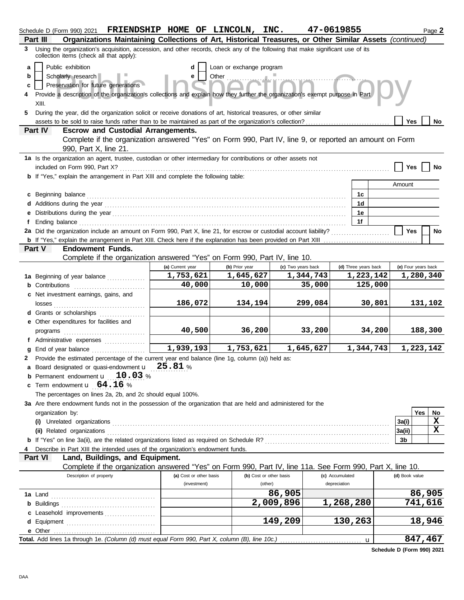| Part III | Schedule D (Form 990) 2021<br>Organizations Maintaining Collections of Art, Historical Treasures, or Other Similar Assets (continued)                                       | FRIENDSHIP HOME OF LINCOLN, INC. |                                   |                     |           | 47-0619855           |              |                     |                   | Page 2 |
|----------|-----------------------------------------------------------------------------------------------------------------------------------------------------------------------------|----------------------------------|-----------------------------------|---------------------|-----------|----------------------|--------------|---------------------|-------------------|--------|
| 3        | Using the organization's acquisition, accession, and other records, check any of the following that make significant use of its                                             |                                  |                                   |                     |           |                      |              |                     |                   |        |
|          | collection items (check all that apply):<br>Public exhibition                                                                                                               |                                  |                                   |                     |           |                      |              |                     |                   |        |
| a<br>b   | Scholarly research                                                                                                                                                          | d<br>е                           | Loan or exchange program<br>Other |                     |           |                      |              |                     |                   |        |
| c        | Preservation for future generations                                                                                                                                         |                                  |                                   |                     |           |                      |              |                     |                   |        |
| 4        | Provide a description of the organization's collections and explain how they further the organization's exempt purpose in Part                                              |                                  |                                   |                     |           |                      |              |                     |                   |        |
|          | XIII.                                                                                                                                                                       |                                  |                                   |                     |           |                      |              |                     |                   |        |
| 5.       | During the year, did the organization solicit or receive donations of art, historical treasures, or other similar                                                           |                                  |                                   |                     |           |                      |              |                     |                   |        |
|          |                                                                                                                                                                             |                                  |                                   |                     |           |                      |              | Yes                 |                   | No     |
| Part IV  | <b>Escrow and Custodial Arrangements.</b>                                                                                                                                   |                                  |                                   |                     |           |                      |              |                     |                   |        |
|          | Complete if the organization answered "Yes" on Form 990, Part IV, line 9, or reported an amount on Form                                                                     |                                  |                                   |                     |           |                      |              |                     |                   |        |
|          | 990, Part X, line 21.                                                                                                                                                       |                                  |                                   |                     |           |                      |              |                     |                   |        |
|          | 1a Is the organization an agent, trustee, custodian or other intermediary for contributions or other assets not                                                             |                                  |                                   |                     |           |                      |              |                     |                   |        |
|          | included on Form 990, Part X?<br>b If "Yes," explain the arrangement in Part XIII and complete the following table:                                                         |                                  |                                   |                     |           |                      |              | Yes                 |                   | No     |
|          |                                                                                                                                                                             |                                  |                                   |                     |           |                      |              | Amount              |                   |        |
| C        | Beginning balance                                                                                                                                                           |                                  |                                   |                     |           | 1c                   |              |                     |                   |        |
|          |                                                                                                                                                                             |                                  |                                   |                     |           | 1 <sub>d</sub>       |              |                     |                   |        |
|          |                                                                                                                                                                             |                                  |                                   |                     |           | 1е                   |              |                     |                   |        |
| f        |                                                                                                                                                                             |                                  |                                   |                     |           | 1f                   |              |                     |                   |        |
|          | 2a Did the organization include an amount on Form 990, Part X, line 21, for escrow or custodial account liability?                                                          |                                  |                                   |                     |           |                      |              | Yes                 |                   | No     |
|          |                                                                                                                                                                             |                                  |                                   |                     |           |                      |              |                     |                   |        |
| Part V   | <b>Endowment Funds.</b>                                                                                                                                                     |                                  |                                   |                     |           |                      |              |                     |                   |        |
|          | Complete if the organization answered "Yes" on Form 990, Part IV, line 10.                                                                                                  |                                  |                                   |                     |           |                      |              |                     |                   |        |
|          |                                                                                                                                                                             | (a) Current year<br>1,753,621    | (b) Prior year                    | (c) Two years back  | 1,344,743 | (d) Three years back |              | (e) Four years back |                   |        |
|          | 1a Beginning of year balance                                                                                                                                                | 40,000                           | 1,645,627<br>10,000               |                     | 35,000    | 1,223,142            | 125,000      |                     | 1,280,340         |        |
|          | <b>b</b> Contributions <b>contributions</b><br>c Net investment earnings, gains, and                                                                                        |                                  |                                   |                     |           |                      |              |                     |                   |        |
|          |                                                                                                                                                                             | 186,072                          | 134,194                           |                     | 299,084   |                      | 30,801       |                     | 131,102           |        |
|          | <b>d</b> Grants or scholarships<br><u> 1999 - Johann Stoff, amerikansk f</u>                                                                                                |                                  |                                   |                     |           |                      |              |                     |                   |        |
|          | e Other expenditures for facilities and                                                                                                                                     |                                  |                                   |                     |           |                      |              |                     |                   |        |
|          |                                                                                                                                                                             | 40,500                           | 36,200                            |                     | 33,200    |                      | 34,200       |                     | 188,300           |        |
|          | f Administrative expenses                                                                                                                                                   |                                  |                                   |                     |           |                      |              |                     |                   |        |
| a        |                                                                                                                                                                             | 1,939,193                        | 1,753,621                         |                     | 1,645,627 | 1,344,743            |              |                     | 1,223,142         |        |
|          | 2 Provide the estimated percentage of the current year end balance (line 1g, column (a)) held as:                                                                           |                                  |                                   |                     |           |                      |              |                     |                   |        |
|          | a Board designated or quasi-endowment $\mathbf{u}$ 25.81 %                                                                                                                  |                                  |                                   |                     |           |                      |              |                     |                   |        |
| b        | Permanent endowment <b>u</b> 10.03 %                                                                                                                                        |                                  |                                   |                     |           |                      |              |                     |                   |        |
| c        | Term endowment $\mathbf{u}$ 64.16 %                                                                                                                                         |                                  |                                   |                     |           |                      |              |                     |                   |        |
|          | The percentages on lines 2a, 2b, and 2c should equal 100%.<br>3a Are there endowment funds not in the possession of the organization that are held and administered for the |                                  |                                   |                     |           |                      |              |                     |                   |        |
|          | organization by:                                                                                                                                                            |                                  |                                   |                     |           |                      |              |                     | Yes               | No     |
|          |                                                                                                                                                                             |                                  |                                   |                     |           |                      |              | 3a(i)               |                   | X      |
|          |                                                                                                                                                                             |                                  |                                   |                     |           |                      |              | 3a(ii)              |                   | x      |
|          |                                                                                                                                                                             |                                  |                                   |                     |           |                      |              | 3b                  |                   |        |
|          | Describe in Part XIII the intended uses of the organization's endowment funds.                                                                                              |                                  |                                   |                     |           |                      |              |                     |                   |        |
| Part VI  | Land, Buildings, and Equipment.                                                                                                                                             |                                  |                                   |                     |           |                      |              |                     |                   |        |
|          | Complete if the organization answered "Yes" on Form 990, Part IV, line 11a. See Form 990, Part X, line 10.                                                                  |                                  |                                   |                     |           |                      |              |                     |                   |        |
|          | Description of property                                                                                                                                                     | (a) Cost or other basis          | (b) Cost or other basis           |                     |           | (c) Accumulated      |              | (d) Book value      |                   |        |
|          |                                                                                                                                                                             | (investment)                     | (other)                           |                     |           | depreciation         |              |                     |                   |        |
|          |                                                                                                                                                                             |                                  |                                   | 86,905<br>2,009,896 |           | 1,268,280            |              |                     | 86,905<br>741,616 |        |
| c        |                                                                                                                                                                             |                                  |                                   |                     |           |                      |              |                     |                   |        |
|          | Leasehold improvements                                                                                                                                                      |                                  |                                   | 149,209             |           | 130,263              |              |                     | 18,946            |        |
|          | e Other                                                                                                                                                                     |                                  |                                   |                     |           |                      |              |                     |                   |        |
|          |                                                                                                                                                                             |                                  |                                   |                     |           |                      | $\mathbf{u}$ |                     | 847,467           |        |

**Schedule D (Form 990) 2021**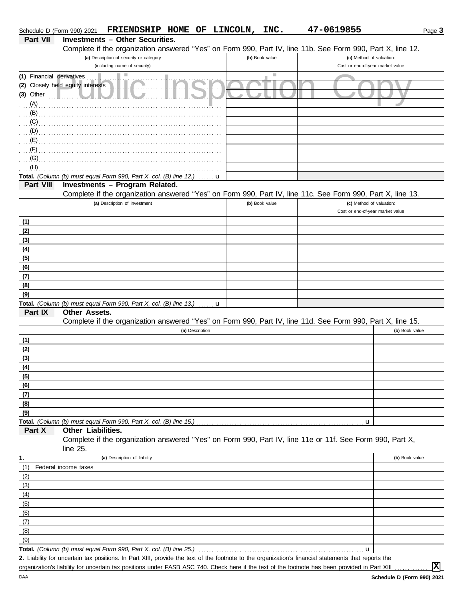| Schedule D (Form 990) 2021 |                                   | FRIENDSHIP HOME OF LINCOLN,                                             |                 |   | INC.                        | 47-0619855                                                                                                                                           | Page 3         |
|----------------------------|-----------------------------------|-------------------------------------------------------------------------|-----------------|---|-----------------------------|------------------------------------------------------------------------------------------------------------------------------------------------------|----------------|
| Part VII                   |                                   | <b>Investments - Other Securities.</b>                                  |                 |   |                             |                                                                                                                                                      |                |
|                            |                                   |                                                                         |                 |   |                             | Complete if the organization answered "Yes" on Form 990, Part IV, line 11b. See Form 990, Part X, line 12.                                           |                |
|                            |                                   | (a) Description of security or category<br>(including name of security) |                 |   | (b) Book value              | (c) Method of valuation:<br>Cost or end-of-year market value                                                                                         |                |
| (1) Financial derivatives  |                                   | Ш                                                                       |                 |   | $\mathcal{L}_{\mathcal{A}}$ |                                                                                                                                                      |                |
|                            | (2) Closely held equity interests |                                                                         |                 |   |                             |                                                                                                                                                      |                |
| $(3)$ Other                |                                   |                                                                         |                 |   |                             |                                                                                                                                                      |                |
| (A)                        |                                   |                                                                         |                 |   |                             |                                                                                                                                                      |                |
| (B)                        |                                   |                                                                         |                 |   |                             |                                                                                                                                                      |                |
| (C)                        |                                   |                                                                         |                 |   |                             |                                                                                                                                                      |                |
| (D)                        |                                   |                                                                         |                 |   |                             |                                                                                                                                                      |                |
| (E)                        |                                   |                                                                         |                 |   |                             |                                                                                                                                                      |                |
| (F)                        |                                   |                                                                         |                 |   |                             |                                                                                                                                                      |                |
| (G)                        |                                   |                                                                         |                 |   |                             |                                                                                                                                                      |                |
| (H)                        |                                   |                                                                         |                 |   |                             |                                                                                                                                                      |                |
|                            |                                   | Total. (Column (b) must equal Form 990, Part X, col. (B) line 12.)      |                 | u |                             |                                                                                                                                                      |                |
| Part VIII                  |                                   | Investments - Program Related.                                          |                 |   |                             |                                                                                                                                                      |                |
|                            |                                   |                                                                         |                 |   |                             | Complete if the organization answered "Yes" on Form 990, Part IV, line 11c. See Form 990, Part X, line 13.                                           |                |
|                            |                                   | (a) Description of investment                                           |                 |   | (b) Book value              | (c) Method of valuation:<br>Cost or end-of-year market value                                                                                         |                |
|                            |                                   |                                                                         |                 |   |                             |                                                                                                                                                      |                |
| (1)<br>(2)                 |                                   |                                                                         |                 |   |                             |                                                                                                                                                      |                |
| (3)                        |                                   |                                                                         |                 |   |                             |                                                                                                                                                      |                |
| (4)                        |                                   |                                                                         |                 |   |                             |                                                                                                                                                      |                |
| (5)                        |                                   |                                                                         |                 |   |                             |                                                                                                                                                      |                |
| (6)                        |                                   |                                                                         |                 |   |                             |                                                                                                                                                      |                |
| (7)                        |                                   |                                                                         |                 |   |                             |                                                                                                                                                      |                |
| (8)                        |                                   |                                                                         |                 |   |                             |                                                                                                                                                      |                |
| (9)                        |                                   |                                                                         |                 |   |                             |                                                                                                                                                      |                |
|                            |                                   | Total. (Column (b) must equal Form 990, Part X, col. (B) line 13.)      |                 | u |                             |                                                                                                                                                      |                |
| Part IX                    | <b>Other Assets.</b>              |                                                                         |                 |   |                             |                                                                                                                                                      |                |
|                            |                                   |                                                                         |                 |   |                             | Complete if the organization answered "Yes" on Form 990, Part IV, line 11d. See Form 990, Part X, line 15.                                           |                |
|                            |                                   |                                                                         | (a) Description |   |                             |                                                                                                                                                      | (b) Book value |
| (1)                        |                                   |                                                                         |                 |   |                             |                                                                                                                                                      |                |
| (2)                        |                                   |                                                                         |                 |   |                             |                                                                                                                                                      |                |
| (3)                        |                                   |                                                                         |                 |   |                             |                                                                                                                                                      |                |
| (4)<br>(5)                 |                                   |                                                                         |                 |   |                             |                                                                                                                                                      |                |
| (6)                        |                                   |                                                                         |                 |   |                             |                                                                                                                                                      |                |
| (7)                        |                                   |                                                                         |                 |   |                             |                                                                                                                                                      |                |
| (8)                        |                                   |                                                                         |                 |   |                             |                                                                                                                                                      |                |
| (9)                        |                                   |                                                                         |                 |   |                             |                                                                                                                                                      |                |
|                            |                                   | Total. (Column (b) must equal Form 990, Part X, col. (B) line 15.)      |                 |   |                             | u                                                                                                                                                    |                |
| Part X                     | Other Liabilities.                |                                                                         |                 |   |                             |                                                                                                                                                      |                |
|                            |                                   |                                                                         |                 |   |                             | Complete if the organization answered "Yes" on Form 990, Part IV, line 11e or 11f. See Form 990, Part X,                                             |                |
|                            | line 25.                          |                                                                         |                 |   |                             |                                                                                                                                                      |                |
| 1.                         |                                   | (a) Description of liability                                            |                 |   |                             |                                                                                                                                                      | (b) Book value |
| (1)                        | Federal income taxes              |                                                                         |                 |   |                             |                                                                                                                                                      |                |
| (2)                        |                                   |                                                                         |                 |   |                             |                                                                                                                                                      |                |
| (3)                        |                                   |                                                                         |                 |   |                             |                                                                                                                                                      |                |
| (4)                        |                                   |                                                                         |                 |   |                             |                                                                                                                                                      |                |
| (5)                        |                                   |                                                                         |                 |   |                             |                                                                                                                                                      |                |
| (6)<br>(7)                 |                                   |                                                                         |                 |   |                             |                                                                                                                                                      |                |
| (8)                        |                                   |                                                                         |                 |   |                             |                                                                                                                                                      |                |
| (9)                        |                                   |                                                                         |                 |   |                             |                                                                                                                                                      |                |
|                            |                                   | Total. (Column (b) must equal Form 990, Part X, col. (B) line 25.)      |                 |   |                             | u                                                                                                                                                    |                |
|                            |                                   |                                                                         |                 |   |                             | 2. Liability for uncertain tax positions. In Part XIII, provide the text of the footnote to the organization's financial statements that reports the |                |
|                            |                                   |                                                                         |                 |   |                             | organization's liability for uncertain tax positions under FASB ASC 740. Check here if the text of the footnote has been provided in Part XIII       | $ \mathbf{x} $ |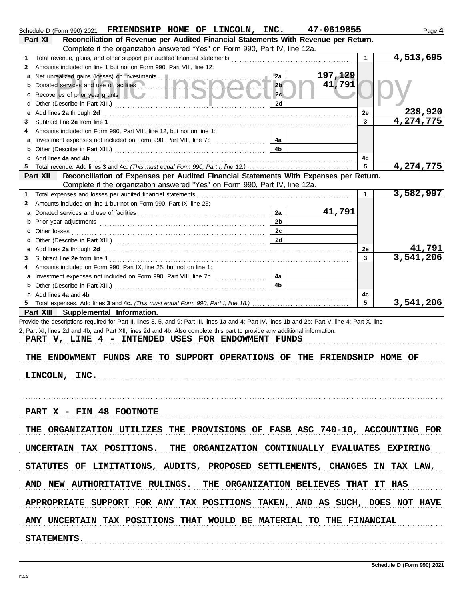| Schedule D (Form 990) 2021 FRIENDSHIP HOME OF LINCOLN, INC. 47-0619855                                                                                                                                                             |                |          |              | Page 4    |
|------------------------------------------------------------------------------------------------------------------------------------------------------------------------------------------------------------------------------------|----------------|----------|--------------|-----------|
| Reconciliation of Revenue per Audited Financial Statements With Revenue per Return.<br>Part XI                                                                                                                                     |                |          |              |           |
| Complete if the organization answered "Yes" on Form 990, Part IV, line 12a.                                                                                                                                                        |                |          |              |           |
| 1.                                                                                                                                                                                                                                 |                |          | $\mathbf{1}$ | 4,513,695 |
| Amounts included on line 1 but not on Form 990, Part VIII, line 12:<br>2                                                                                                                                                           |                |          |              |           |
| а                                                                                                                                                                                                                                  | 2a             | 197, 129 |              |           |
| b                                                                                                                                                                                                                                  | 2 <sub>b</sub> | 41,791   |              |           |
| Recoveries of prior year grants <b>the contract of the contract of prior</b>                                                                                                                                                       | 2c             |          |              |           |
| d                                                                                                                                                                                                                                  | 2d             |          |              |           |
| Add lines 2a through 2d [11] Add [11] Add [11] Add lines 2a through 2d [11] Add lines 2a through 2d [11] Add [11] Add [11] Add [11] Add [11] Add [11] Add [11] Add [11] Add [11] Add [11] Add [11] Add [11] Add [11] Add [11]<br>е |                |          | 2e           | 238,920   |
| 3                                                                                                                                                                                                                                  |                |          | $\mathbf{3}$ | 4,274,775 |
| Amounts included on Form 990, Part VIII, line 12, but not on line 1:                                                                                                                                                               |                |          |              |           |
| Investment expenses not included on Form 990, Part VIII, line 7b<br>а                                                                                                                                                              | 4a             |          |              |           |
| b                                                                                                                                                                                                                                  | 4 <sub>b</sub> |          |              |           |
| Add lines 4a and 4b<br>c                                                                                                                                                                                                           |                |          | 4с           |           |
|                                                                                                                                                                                                                                    |                |          | 5            | 4,274,775 |
| Reconciliation of Expenses per Audited Financial Statements With Expenses per Return.<br>Part XII                                                                                                                                  |                |          |              |           |
| Complete if the organization answered "Yes" on Form 990, Part IV, line 12a.                                                                                                                                                        |                |          |              |           |
| Total expenses and losses per audited financial statements<br>1.                                                                                                                                                                   |                |          | $\mathbf{1}$ | 3,582,997 |
| Amounts included on line 1 but not on Form 990, Part IX, line 25:<br>2                                                                                                                                                             |                |          |              |           |
| а                                                                                                                                                                                                                                  | 2a             | 41,791   |              |           |
| b                                                                                                                                                                                                                                  | 2 <sub>b</sub> |          |              |           |
| с                                                                                                                                                                                                                                  | 2c             |          |              |           |
|                                                                                                                                                                                                                                    | 2d             |          |              |           |
| е                                                                                                                                                                                                                                  |                |          | 2e           | 41,791    |
| 3                                                                                                                                                                                                                                  |                |          | $\mathbf{3}$ | 3,541,206 |
| Amounts included on Form 990, Part IX, line 25, but not on line 1:                                                                                                                                                                 |                |          |              |           |
| а                                                                                                                                                                                                                                  | 4a             |          |              |           |
| b                                                                                                                                                                                                                                  | 4 <sub>b</sub> |          |              |           |
| Add lines 4a and 4b                                                                                                                                                                                                                |                |          | 4c           |           |
|                                                                                                                                                                                                                                    |                |          | 5            | 3,541,206 |
| Part XIII Supplemental Information.                                                                                                                                                                                                |                |          |              |           |
| Provide the descriptions required for Part II, lines 3, 5, and 9; Part III, lines 1a and 4; Part IV, lines 1b and 2b; Part V, line 4; Part X, line                                                                                 |                |          |              |           |
| 2; Part XI, lines 2d and 4b; and Part XII, lines 2d and 4b. Also complete this part to provide any additional information.                                                                                                         |                |          |              |           |
| PART V, LINE 4 - INTENDED USES FOR ENDOWMENT FUNDS                                                                                                                                                                                 |                |          |              |           |
|                                                                                                                                                                                                                                    |                |          |              |           |
| THE ENDOWMENT FUNDS ARE TO SUPPORT OPERATIONS OF THE FRIENDSHIP HOME OF                                                                                                                                                            |                |          |              |           |
|                                                                                                                                                                                                                                    |                |          |              |           |
| LINCOLN, INC.                                                                                                                                                                                                                      |                |          |              |           |
|                                                                                                                                                                                                                                    |                |          |              |           |
|                                                                                                                                                                                                                                    |                |          |              |           |
|                                                                                                                                                                                                                                    |                |          |              |           |
| PART X - FIN 48 FOOTNOTE                                                                                                                                                                                                           |                |          |              |           |
|                                                                                                                                                                                                                                    |                |          |              |           |
| THE ORGANIZATION UTILIZES THE PROVISIONS OF FASB ASC 740-10, ACCOUNTING FOR                                                                                                                                                        |                |          |              |           |
|                                                                                                                                                                                                                                    |                |          |              |           |
| UNCERTAIN TAX POSITIONS. THE ORGANIZATION CONTINUALLY EVALUATES EXPIRING                                                                                                                                                           |                |          |              |           |
|                                                                                                                                                                                                                                    |                |          |              |           |
| STATUTES OF LIMITATIONS, AUDITS, PROPOSED SETTLEMENTS, CHANGES IN TAX LAW,                                                                                                                                                         |                |          |              |           |
|                                                                                                                                                                                                                                    |                |          |              |           |
| AND NEW AUTHORITATIVE RULINGS. THE ORGANIZATION BELIEVES THAT IT HAS                                                                                                                                                               |                |          |              |           |
| APPROPRIATE SUPPORT FOR ANY TAX POSITIONS TAKEN, AND AS SUCH, DOES NOT HAVE                                                                                                                                                        |                |          |              |           |
|                                                                                                                                                                                                                                    |                |          |              |           |
| ANY UNCERTAIN TAX POSITIONS THAT WOULD BE MATERIAL TO THE FINANCIAL                                                                                                                                                                |                |          |              |           |
|                                                                                                                                                                                                                                    |                |          |              |           |
| STATEMENTS.                                                                                                                                                                                                                        |                |          |              |           |
|                                                                                                                                                                                                                                    |                |          |              |           |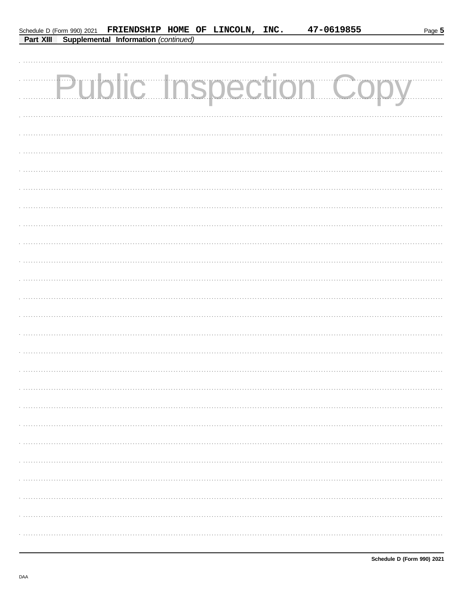|  | Schedule D (Form 990) 2021 FRIENDSHIP HOME OF LINCOLN, INC. |  | 47-0619855                    | Page 5 |
|--|-------------------------------------------------------------|--|-------------------------------|--------|
|  | Part XIII Supplemental Information (continued)              |  |                               |        |
|  |                                                             |  |                               |        |
|  |                                                             |  |                               |        |
|  |                                                             |  |                               |        |
|  |                                                             |  | <b>Public Inspection Copy</b> |        |
|  |                                                             |  |                               |        |
|  |                                                             |  |                               |        |
|  |                                                             |  |                               |        |
|  |                                                             |  |                               |        |
|  |                                                             |  |                               |        |
|  |                                                             |  |                               |        |
|  |                                                             |  |                               |        |
|  |                                                             |  |                               |        |
|  |                                                             |  |                               |        |
|  |                                                             |  |                               |        |
|  |                                                             |  |                               |        |
|  |                                                             |  |                               |        |
|  |                                                             |  |                               |        |
|  |                                                             |  |                               |        |
|  |                                                             |  |                               |        |
|  |                                                             |  |                               |        |
|  |                                                             |  |                               |        |
|  |                                                             |  |                               |        |
|  |                                                             |  |                               |        |
|  |                                                             |  |                               |        |
|  |                                                             |  |                               |        |
|  |                                                             |  |                               |        |
|  |                                                             |  |                               |        |
|  |                                                             |  |                               |        |
|  |                                                             |  |                               |        |
|  |                                                             |  |                               |        |
|  |                                                             |  |                               |        |
|  |                                                             |  |                               |        |
|  |                                                             |  |                               |        |
|  |                                                             |  |                               |        |
|  |                                                             |  |                               |        |
|  |                                                             |  |                               |        |
|  |                                                             |  |                               |        |
|  |                                                             |  |                               |        |
|  |                                                             |  |                               |        |
|  |                                                             |  |                               |        |
|  |                                                             |  |                               |        |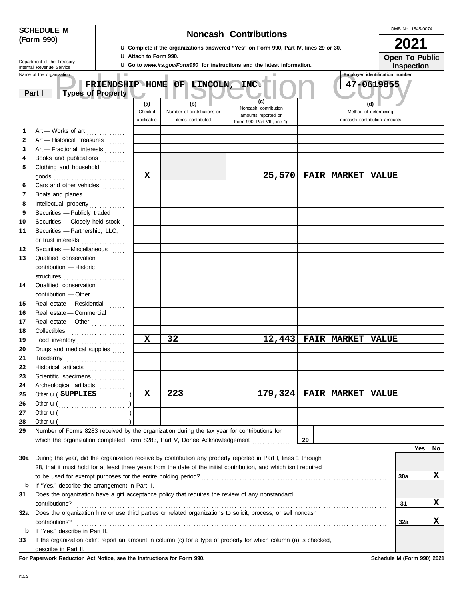| <b>SCHEDULE M</b> |                                                      |                                                                          |   |                              |                             |                                                                                                                                                                                                               |    |                                       |                       |            | OMB No. 1545-0074 |      |  |  |
|-------------------|------------------------------------------------------|--------------------------------------------------------------------------|---|------------------------------|-----------------------------|---------------------------------------------------------------------------------------------------------------------------------------------------------------------------------------------------------------|----|---------------------------------------|-----------------------|------------|-------------------|------|--|--|
|                   | (Form 990)                                           |                                                                          |   | <b>Noncash Contributions</b> |                             |                                                                                                                                                                                                               |    |                                       |                       |            |                   | 2021 |  |  |
|                   |                                                      |                                                                          |   | <b>u</b> Attach to Form 990. |                             | <b>u.</b> Complete if the organizations answered "Yes" on Form 990, Part IV, lines 29 or 30.                                                                                                                  |    |                                       | <b>Open To Public</b> |            |                   |      |  |  |
|                   | Department of the Treasury                           |                                                                          |   |                              |                             | <b>u</b> Go to www.irs.gov/Form990 for instructions and the latest information.                                                                                                                               |    |                                       |                       | Inspection |                   |      |  |  |
|                   | Internal Revenue Service<br>Name of the organization |                                                                          |   |                              |                             |                                                                                                                                                                                                               |    | <b>Employer identification number</b> |                       |            |                   |      |  |  |
|                   |                                                      |                                                                          |   |                              | FRIENDSHIP HOME OF LINCOLN, | INC.                                                                                                                                                                                                          |    |                                       | 47-0619855            |            |                   |      |  |  |
|                   | Part I                                               | <b>Types of Property</b>                                                 |   |                              |                             |                                                                                                                                                                                                               |    |                                       |                       |            |                   |      |  |  |
|                   |                                                      |                                                                          |   | (a)                          | (b)                         | (c)<br>Noncash contribution                                                                                                                                                                                   |    |                                       | (d)                   |            |                   |      |  |  |
|                   |                                                      |                                                                          |   | Check if                     | Number of contributions or  | amounts reported on                                                                                                                                                                                           |    |                                       | Method of determining |            |                   |      |  |  |
|                   |                                                      |                                                                          |   | applicable                   | items contributed           | Form 990, Part VIII, line 1g                                                                                                                                                                                  |    | noncash contribution amounts          |                       |            |                   |      |  |  |
| 1                 |                                                      | Art - Works of art                                                       |   |                              |                             |                                                                                                                                                                                                               |    |                                       |                       |            |                   |      |  |  |
| $\mathbf{2}$      |                                                      | Art - Historical treasures                                               |   |                              |                             |                                                                                                                                                                                                               |    |                                       |                       |            |                   |      |  |  |
| 3                 |                                                      | Art - Fractional interests                                               |   |                              |                             |                                                                                                                                                                                                               |    |                                       |                       |            |                   |      |  |  |
| 4                 |                                                      | Books and publications                                                   |   |                              |                             |                                                                                                                                                                                                               |    |                                       |                       |            |                   |      |  |  |
| 5                 |                                                      | Clothing and household                                                   |   |                              |                             |                                                                                                                                                                                                               |    |                                       |                       |            |                   |      |  |  |
|                   |                                                      |                                                                          |   | X                            |                             | 25,570                                                                                                                                                                                                        |    | <b>FAIR MARKET VALUE</b>              |                       |            |                   |      |  |  |
| 6                 |                                                      | Cars and other vehicles                                                  |   |                              |                             |                                                                                                                                                                                                               |    |                                       |                       |            |                   |      |  |  |
| 7                 |                                                      | Boats and planes                                                         |   |                              |                             |                                                                                                                                                                                                               |    |                                       |                       |            |                   |      |  |  |
| 8                 |                                                      |                                                                          |   |                              |                             |                                                                                                                                                                                                               |    |                                       |                       |            |                   |      |  |  |
| 9<br>10           |                                                      | Securities - Publicly traded $\ldots$<br>Securities - Closely held stock |   |                              |                             |                                                                                                                                                                                                               |    |                                       |                       |            |                   |      |  |  |
| 11                |                                                      | Securities - Partnership, LLC,                                           |   |                              |                             |                                                                                                                                                                                                               |    |                                       |                       |            |                   |      |  |  |
|                   | or trust interests                                   |                                                                          |   |                              |                             |                                                                                                                                                                                                               |    |                                       |                       |            |                   |      |  |  |
| 12                |                                                      | Securities - Miscellaneous                                               | . |                              |                             |                                                                                                                                                                                                               |    |                                       |                       |            |                   |      |  |  |
| 13                |                                                      | Qualified conservation                                                   |   |                              |                             |                                                                                                                                                                                                               |    |                                       |                       |            |                   |      |  |  |
|                   |                                                      | contribution - Historic                                                  |   |                              |                             |                                                                                                                                                                                                               |    |                                       |                       |            |                   |      |  |  |
|                   |                                                      |                                                                          |   |                              |                             |                                                                                                                                                                                                               |    |                                       |                       |            |                   |      |  |  |
| 14                |                                                      | Qualified conservation                                                   |   |                              |                             |                                                                                                                                                                                                               |    |                                       |                       |            |                   |      |  |  |
|                   |                                                      |                                                                          |   |                              |                             |                                                                                                                                                                                                               |    |                                       |                       |            |                   |      |  |  |
| 15                |                                                      | Real estate - Residential                                                |   |                              |                             |                                                                                                                                                                                                               |    |                                       |                       |            |                   |      |  |  |
| 16                |                                                      | Real estate - Commercial                                                 |   |                              |                             |                                                                                                                                                                                                               |    |                                       |                       |            |                   |      |  |  |
| 17                |                                                      | Real estate - Other                                                      |   |                              |                             |                                                                                                                                                                                                               |    |                                       |                       |            |                   |      |  |  |
| 18                | Collectibles                                         |                                                                          |   |                              |                             |                                                                                                                                                                                                               |    |                                       |                       |            |                   |      |  |  |
| 19                |                                                      | Food inventory                                                           |   | $\mathbf x$                  | 32                          | 12,443                                                                                                                                                                                                        |    | <b>FAIR MARKET</b>                    | <b>VALUE</b>          |            |                   |      |  |  |
| 20                |                                                      | Drugs and medical supplies                                               |   |                              |                             |                                                                                                                                                                                                               |    |                                       |                       |            |                   |      |  |  |
| 21                | Taxidermy                                            |                                                                          |   |                              |                             |                                                                                                                                                                                                               |    |                                       |                       |            |                   |      |  |  |
| 22                |                                                      | Historical artifacts                                                     | . |                              |                             |                                                                                                                                                                                                               |    |                                       |                       |            |                   |      |  |  |
| 23                |                                                      | Scientific specimens                                                     |   |                              |                             |                                                                                                                                                                                                               |    |                                       |                       |            |                   |      |  |  |
| 24                |                                                      | Archeological artifacts                                                  |   |                              |                             |                                                                                                                                                                                                               |    |                                       |                       |            |                   |      |  |  |
| 25                |                                                      | Other <b>u</b> (SUPPLIES                                                 |   | $\mathbf x$                  | 223                         |                                                                                                                                                                                                               |    | 179,324 FAIR MARKET VALUE             |                       |            |                   |      |  |  |
| 26                |                                                      | Other $\mathbf{u}(\dots, \dots, \dots, \dots, \dots, \dots)$             |   |                              |                             |                                                                                                                                                                                                               |    |                                       |                       |            |                   |      |  |  |
| 27                |                                                      | Other $\mathbf{u}$ ( <i>multiplaneration</i> )                           |   |                              |                             |                                                                                                                                                                                                               |    |                                       |                       |            |                   |      |  |  |
| 28                | Other $\mathbf{u}$ (                                 |                                                                          |   |                              |                             |                                                                                                                                                                                                               |    |                                       |                       |            |                   |      |  |  |
| 29                |                                                      |                                                                          |   |                              |                             | Number of Forms 8283 received by the organization during the tax year for contributions for<br>which the organization completed Form 8283, Part V, Donee Acknowledgement [11, 11, 11, 11, 11, 11, 11, 11, 11, | 29 |                                       |                       |            |                   |      |  |  |
|                   |                                                      |                                                                          |   |                              |                             |                                                                                                                                                                                                               |    |                                       |                       |            | <b>Yes</b>        | No   |  |  |
| 30a               |                                                      |                                                                          |   |                              |                             | During the year, did the organization receive by contribution any property reported in Part I, lines 1 through                                                                                                |    |                                       |                       |            |                   |      |  |  |
|                   |                                                      |                                                                          |   |                              |                             | 28, that it must hold for at least three years from the date of the initial contribution, and which isn't required                                                                                            |    |                                       |                       |            |                   |      |  |  |
|                   |                                                      |                                                                          |   |                              |                             |                                                                                                                                                                                                               |    |                                       |                       | 30a        |                   | X    |  |  |
| b                 |                                                      | If "Yes," describe the arrangement in Part II.                           |   |                              |                             |                                                                                                                                                                                                               |    |                                       |                       |            |                   |      |  |  |
| 31                |                                                      |                                                                          |   |                              |                             | Does the organization have a gift acceptance policy that requires the review of any nonstandard                                                                                                               |    |                                       |                       |            |                   |      |  |  |
|                   | contributions?                                       |                                                                          |   |                              |                             |                                                                                                                                                                                                               |    |                                       |                       | 31         |                   | X    |  |  |
| 32a               |                                                      |                                                                          |   |                              |                             | Does the organization hire or use third parties or related organizations to solicit, process, or sell noncash                                                                                                 |    |                                       |                       |            |                   |      |  |  |
|                   | contributions?                                       |                                                                          |   |                              |                             |                                                                                                                                                                                                               |    |                                       |                       | 32a        |                   | x    |  |  |
| b                 |                                                      | If "Yes," describe in Part II.                                           |   |                              |                             |                                                                                                                                                                                                               |    |                                       |                       |            |                   |      |  |  |
| 33                |                                                      |                                                                          |   |                              |                             | If the organization didn't report an amount in column (c) for a type of property for which column (a) is checked,                                                                                             |    |                                       |                       |            |                   |      |  |  |
|                   |                                                      | describe in Part II.                                                     |   |                              |                             |                                                                                                                                                                                                               |    |                                       |                       |            |                   |      |  |  |

**For Paperwork Reduction Act Notice, see the Instructions for Form 990. Schedule M (Form 990) 2021**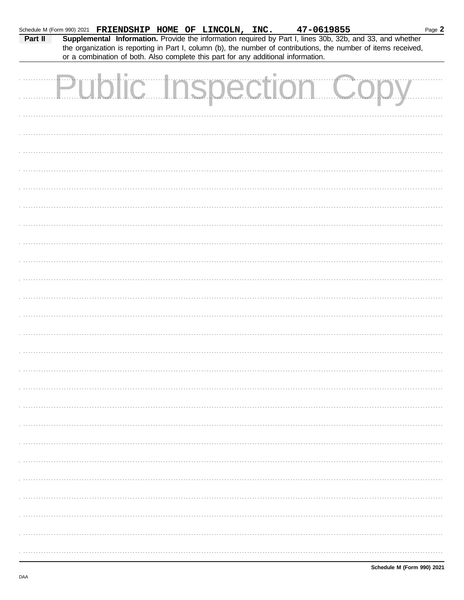| Schedule M (Form 990) 2021 FRIENDSHIP HOME OF LINCOLN, INC. 47-0619855<br>Part II |                              |  |  | Supplemental Information. Provide the information required by Part I, lines 30b, 32b, and 33, and whether<br>the organization is reporting in Part I, column (b), the number of contributions, the number of items received,<br>or a combination of both. Also complete this part for any additional information. |  |  |  | Page 2 |
|-----------------------------------------------------------------------------------|------------------------------|--|--|-------------------------------------------------------------------------------------------------------------------------------------------------------------------------------------------------------------------------------------------------------------------------------------------------------------------|--|--|--|--------|
|                                                                                   | <b>Public Inspection Cop</b> |  |  |                                                                                                                                                                                                                                                                                                                   |  |  |  |        |
|                                                                                   |                              |  |  |                                                                                                                                                                                                                                                                                                                   |  |  |  |        |
|                                                                                   |                              |  |  |                                                                                                                                                                                                                                                                                                                   |  |  |  |        |
|                                                                                   |                              |  |  |                                                                                                                                                                                                                                                                                                                   |  |  |  |        |
|                                                                                   |                              |  |  |                                                                                                                                                                                                                                                                                                                   |  |  |  |        |
|                                                                                   |                              |  |  |                                                                                                                                                                                                                                                                                                                   |  |  |  |        |
|                                                                                   |                              |  |  |                                                                                                                                                                                                                                                                                                                   |  |  |  |        |
|                                                                                   |                              |  |  |                                                                                                                                                                                                                                                                                                                   |  |  |  |        |
|                                                                                   |                              |  |  |                                                                                                                                                                                                                                                                                                                   |  |  |  |        |
|                                                                                   |                              |  |  |                                                                                                                                                                                                                                                                                                                   |  |  |  |        |
|                                                                                   |                              |  |  |                                                                                                                                                                                                                                                                                                                   |  |  |  |        |
|                                                                                   |                              |  |  |                                                                                                                                                                                                                                                                                                                   |  |  |  |        |
|                                                                                   |                              |  |  |                                                                                                                                                                                                                                                                                                                   |  |  |  |        |
|                                                                                   |                              |  |  |                                                                                                                                                                                                                                                                                                                   |  |  |  |        |
|                                                                                   |                              |  |  |                                                                                                                                                                                                                                                                                                                   |  |  |  |        |
|                                                                                   |                              |  |  |                                                                                                                                                                                                                                                                                                                   |  |  |  |        |
|                                                                                   |                              |  |  |                                                                                                                                                                                                                                                                                                                   |  |  |  |        |
|                                                                                   |                              |  |  |                                                                                                                                                                                                                                                                                                                   |  |  |  |        |
|                                                                                   |                              |  |  |                                                                                                                                                                                                                                                                                                                   |  |  |  |        |
|                                                                                   |                              |  |  |                                                                                                                                                                                                                                                                                                                   |  |  |  |        |
|                                                                                   |                              |  |  |                                                                                                                                                                                                                                                                                                                   |  |  |  |        |
|                                                                                   |                              |  |  |                                                                                                                                                                                                                                                                                                                   |  |  |  |        |
|                                                                                   |                              |  |  |                                                                                                                                                                                                                                                                                                                   |  |  |  |        |
|                                                                                   |                              |  |  |                                                                                                                                                                                                                                                                                                                   |  |  |  |        |
|                                                                                   |                              |  |  |                                                                                                                                                                                                                                                                                                                   |  |  |  |        |
|                                                                                   |                              |  |  |                                                                                                                                                                                                                                                                                                                   |  |  |  |        |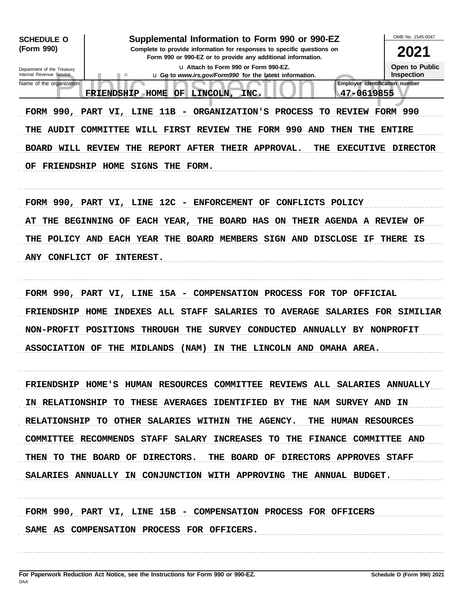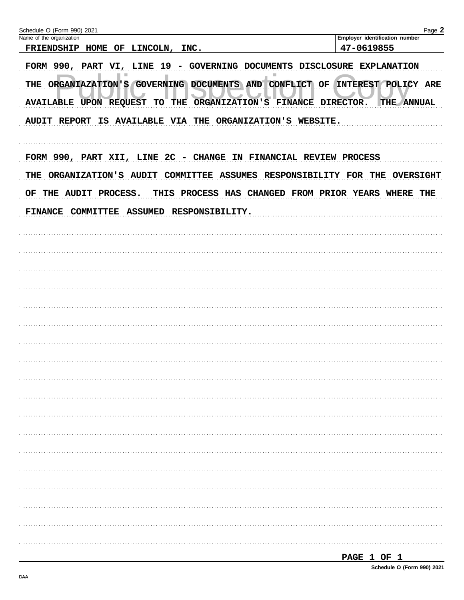| Schedule O (Form 990) 2021<br>Name of the organization                          | Page 2<br>Employer identification number |
|---------------------------------------------------------------------------------|------------------------------------------|
| FRIENDSHIP HOME OF LINCOLN, INC.                                                | 47-0619855                               |
| FORM 990, PART VI, LINE 19 - GOVERNING DOCUMENTS DISCLOSURE EXPLANATION         |                                          |
| THE ORGANIAZATION'S GOVERNING DOCUMENTS AND CONFLICT OF INTEREST POLICY ARE     |                                          |
| TO THE ORGANIZATION'S FINANCE DIRECTOR.<br><b>AVAILABLE UPON REQUEST</b>        | THE ANNUAL                               |
| AUDIT REPORT IS AVAILABLE VIA THE ORGANIZATION'S WEBSITE.                       |                                          |
| FORM 990, PART XII, LINE 2C - CHANGE IN FINANCIAL REVIEW PROCESS                |                                          |
| ORGANIZATION'S AUDIT COMMITTEE ASSUMES RESPONSIBILITY FOR THE OVERSIGHT<br>THE  |                                          |
| THIS PROCESS HAS CHANGED FROM PRIOR YEARS WHERE THE<br>THE AUDIT PROCESS.<br>OF |                                          |
| ASSUMED RESPONSIBILITY.<br>FINANCE COMMITTEE                                    |                                          |
|                                                                                 |                                          |
|                                                                                 |                                          |
|                                                                                 |                                          |
|                                                                                 |                                          |
|                                                                                 |                                          |
|                                                                                 |                                          |
|                                                                                 |                                          |
|                                                                                 |                                          |
|                                                                                 |                                          |
|                                                                                 |                                          |
|                                                                                 |                                          |
|                                                                                 |                                          |
|                                                                                 |                                          |
|                                                                                 |                                          |
|                                                                                 |                                          |
|                                                                                 |                                          |
|                                                                                 |                                          |
|                                                                                 |                                          |
|                                                                                 |                                          |
|                                                                                 |                                          |
|                                                                                 |                                          |
|                                                                                 | PAGE 1 OF 1                              |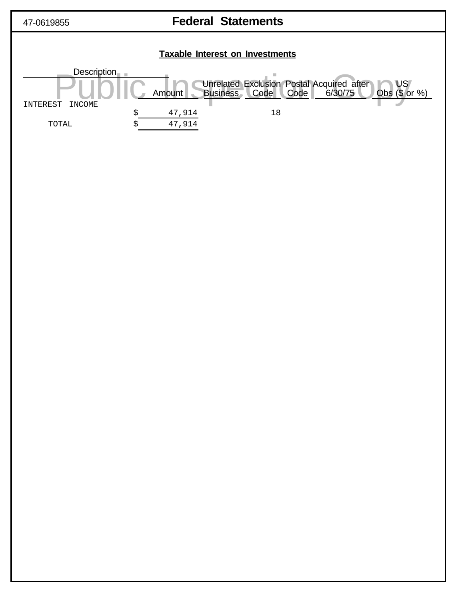

# 47-0619855 **Federal Statements**

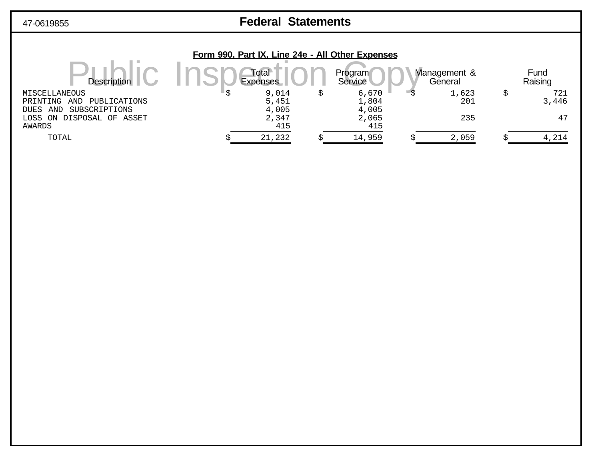# 47-0619855 **Federal Statements**

|                                     |                          | Form 990, Part IX, Line 24e - All Other Expenses |                         |                 |
|-------------------------------------|--------------------------|--------------------------------------------------|-------------------------|-----------------|
| <b>Description</b>                  | Total<br><b>Expenses</b> | Program<br>Service                               | Management &<br>General | Fund<br>Raising |
| MISCELLANEOUS                       | 9,014                    | 6,670                                            | 1,623                   | 721             |
| PUBLICATIONS<br>PRINTING<br>AND     | 5,451                    | 1,804                                            | 201                     | 3,446           |
| SUBSCRIPTIONS<br>AND<br><b>DUES</b> | 4,005                    | 4,005                                            |                         |                 |
| DISPOSAL OF ASSET<br>LOSS ON        | 2,347                    | 2,065                                            | 235                     | 47              |
| AWARDS                              | 415                      | 415                                              |                         |                 |
| TOTAL                               | 21,232                   | 14,959                                           | 2,059                   | 4,214           |